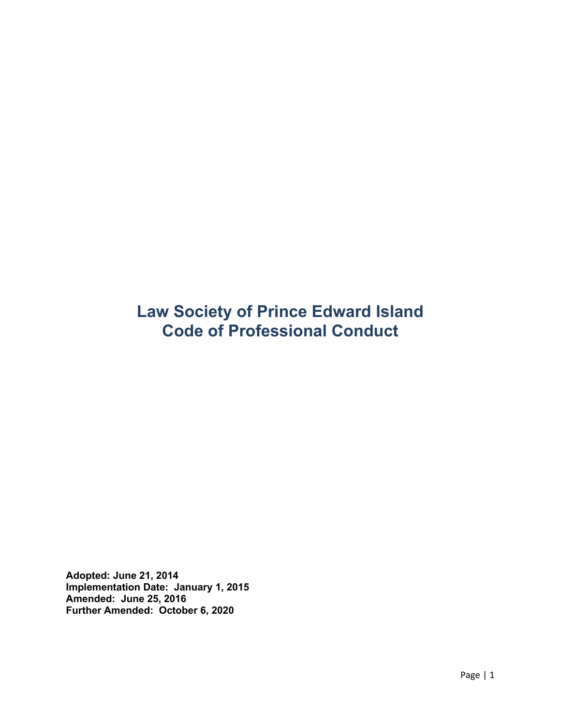**Law Society of Prince Edward Island Code of Professional Conduct**

**Adopted: June 21, 2014 Implementation Date: January 1, 2015 Amended: June 25, 2016 Further Amended: October 6, 2020**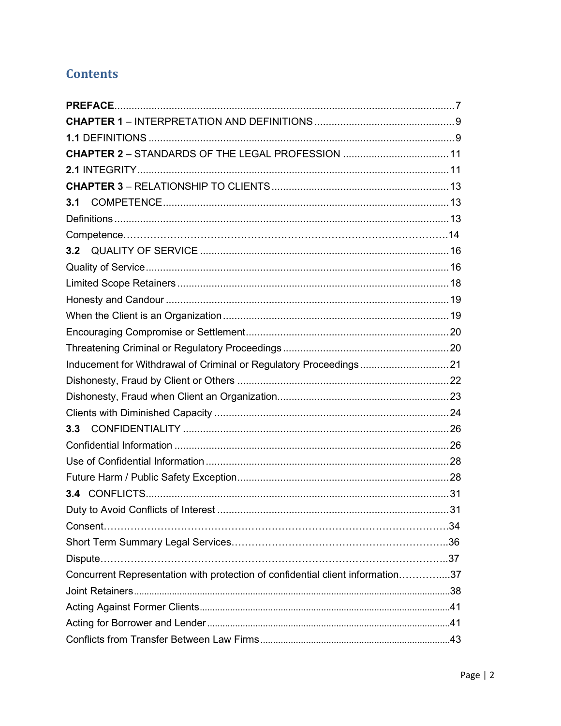# **Contents**

| CHAPTER 2 - STANDARDS OF THE LEGAL PROFESSION  11                              |  |
|--------------------------------------------------------------------------------|--|
|                                                                                |  |
|                                                                                |  |
| 3.1                                                                            |  |
|                                                                                |  |
|                                                                                |  |
|                                                                                |  |
|                                                                                |  |
|                                                                                |  |
|                                                                                |  |
|                                                                                |  |
|                                                                                |  |
|                                                                                |  |
|                                                                                |  |
|                                                                                |  |
|                                                                                |  |
|                                                                                |  |
| 3.3                                                                            |  |
|                                                                                |  |
|                                                                                |  |
|                                                                                |  |
|                                                                                |  |
|                                                                                |  |
|                                                                                |  |
|                                                                                |  |
|                                                                                |  |
| Concurrent Representation with protection of confidential client information37 |  |
|                                                                                |  |
|                                                                                |  |
|                                                                                |  |
|                                                                                |  |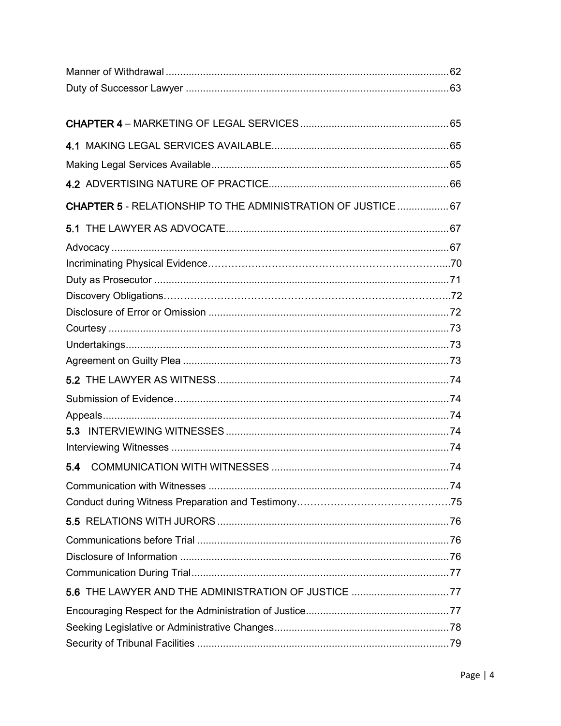| CHAPTER 5 - RELATIONSHIP TO THE ADMINISTRATION OF JUSTICE  67 |  |
|---------------------------------------------------------------|--|
|                                                               |  |
|                                                               |  |
|                                                               |  |
|                                                               |  |
|                                                               |  |
|                                                               |  |
|                                                               |  |
|                                                               |  |
|                                                               |  |
|                                                               |  |
|                                                               |  |
|                                                               |  |
|                                                               |  |
|                                                               |  |
| 5.4                                                           |  |
|                                                               |  |
|                                                               |  |
|                                                               |  |
|                                                               |  |
|                                                               |  |
|                                                               |  |
| 5.6 THE LAWYER AND THE ADMINISTRATION OF JUSTICE 77           |  |
|                                                               |  |
|                                                               |  |
|                                                               |  |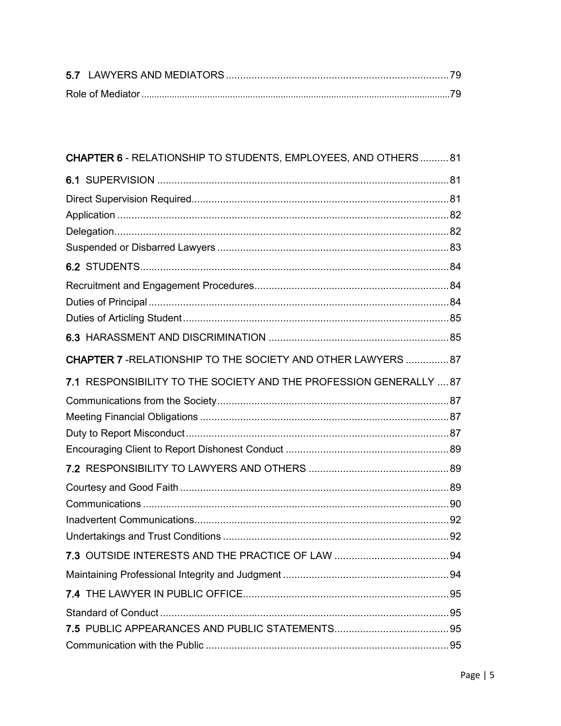| CHAPTER 6 - RELATIONSHIP TO STUDENTS, EMPLOYEES, AND OTHERS81        |  |
|----------------------------------------------------------------------|--|
|                                                                      |  |
|                                                                      |  |
|                                                                      |  |
|                                                                      |  |
|                                                                      |  |
|                                                                      |  |
|                                                                      |  |
|                                                                      |  |
|                                                                      |  |
|                                                                      |  |
| <b>CHAPTER 7 - RELATIONSHIP TO THE SOCIETY AND OTHER LAWYERS  87</b> |  |
| 7.1 RESPONSIBILITY TO THE SOCIETY AND THE PROFESSION GENERALLY  87   |  |
|                                                                      |  |
|                                                                      |  |
|                                                                      |  |
|                                                                      |  |
|                                                                      |  |
|                                                                      |  |
|                                                                      |  |
|                                                                      |  |
|                                                                      |  |
|                                                                      |  |
|                                                                      |  |
|                                                                      |  |
|                                                                      |  |
|                                                                      |  |
|                                                                      |  |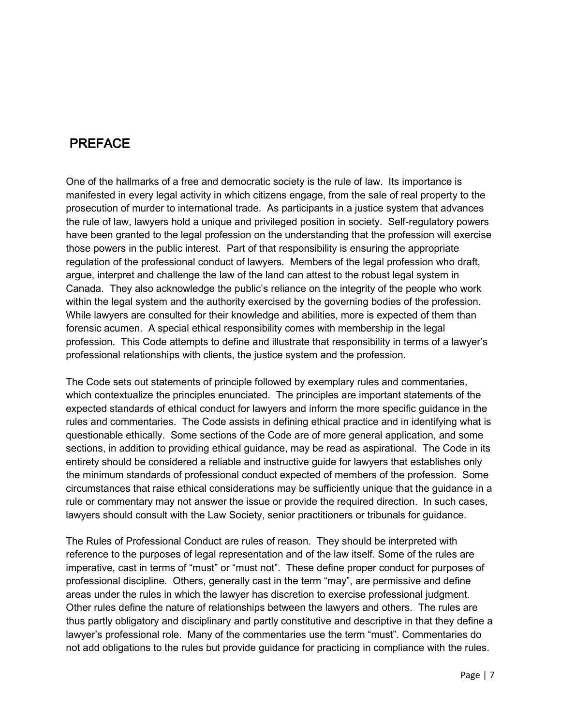# PREFACE

One of the hallmarks of a free and democratic society is the rule of law. Its importance is manifested in every legal activity in which citizens engage, from the sale of real property to the prosecution of murder to international trade. As participants in a justice system that advances the rule of law, lawyers hold a unique and privileged position in society. Self-regulatory powers have been granted to the legal profession on the understanding that the profession will exercise those powers in the public interest. Part of that responsibility is ensuring the appropriate regulation of the professional conduct of lawyers. Members of the legal profession who draft, argue, interpret and challenge the law of the land can attest to the robust legal system in Canada. They also acknowledge the public's reliance on the integrity of the people who work within the legal system and the authority exercised by the governing bodies of the profession. While lawyers are consulted for their knowledge and abilities, more is expected of them than forensic acumen. A special ethical responsibility comes with membership in the legal profession. This Code attempts to define and illustrate that responsibility in terms of a lawyer's professional relationships with clients, the justice system and the profession.

The Code sets out statements of principle followed by exemplary rules and commentaries, which contextualize the principles enunciated. The principles are important statements of the expected standards of ethical conduct for lawyers and inform the more specific guidance in the rules and commentaries. The Code assists in defining ethical practice and in identifying what is questionable ethically. Some sections of the Code are of more general application, and some sections, in addition to providing ethical guidance, may be read as aspirational. The Code in its entirety should be considered a reliable and instructive guide for lawyers that establishes only the minimum standards of professional conduct expected of members of the profession. Some circumstances that raise ethical considerations may be sufficiently unique that the guidance in a rule or commentary may not answer the issue or provide the required direction. In such cases, lawyers should consult with the Law Society, senior practitioners or tribunals for guidance.

The Rules of Professional Conduct are rules of reason. They should be interpreted with reference to the purposes of legal representation and of the law itself. Some of the rules are imperative, cast in terms of "must" or "must not". These define proper conduct for purposes of professional discipline. Others, generally cast in the term "may", are permissive and define areas under the rules in which the lawyer has discretion to exercise professional judgment. Other rules define the nature of relationships between the lawyers and others. The rules are thus partly obligatory and disciplinary and partly constitutive and descriptive in that they define a lawyer's professional role. Many of the commentaries use the term "must". Commentaries do not add obligations to the rules but provide guidance for practicing in compliance with the rules.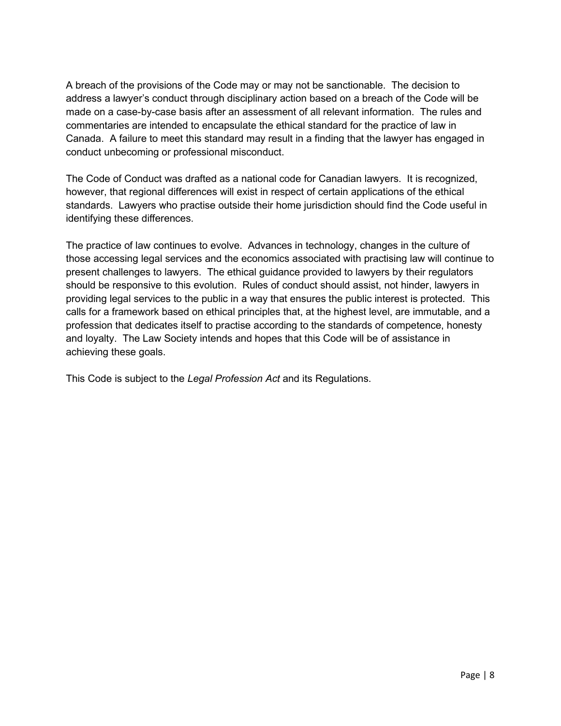A breach of the provisions of the Code may or may not be sanctionable. The decision to address a lawyer's conduct through disciplinary action based on a breach of the Code will be made on a case-by-case basis after an assessment of all relevant information. The rules and commentaries are intended to encapsulate the ethical standard for the practice of law in Canada. A failure to meet this standard may result in a finding that the lawyer has engaged in conduct unbecoming or professional misconduct.

The Code of Conduct was drafted as a national code for Canadian lawyers. It is recognized, however, that regional differences will exist in respect of certain applications of the ethical standards. Lawyers who practise outside their home jurisdiction should find the Code useful in identifying these differences.

The practice of law continues to evolve. Advances in technology, changes in the culture of those accessing legal services and the economics associated with practising law will continue to present challenges to lawyers. The ethical guidance provided to lawyers by their regulators should be responsive to this evolution. Rules of conduct should assist, not hinder, lawyers in providing legal services to the public in a way that ensures the public interest is protected. This calls for a framework based on ethical principles that, at the highest level, are immutable, and a profession that dedicates itself to practise according to the standards of competence, honesty and loyalty. The Law Society intends and hopes that this Code will be of assistance in achieving these goals.

This Code is subject to the *Legal Profession Act* and its Regulations.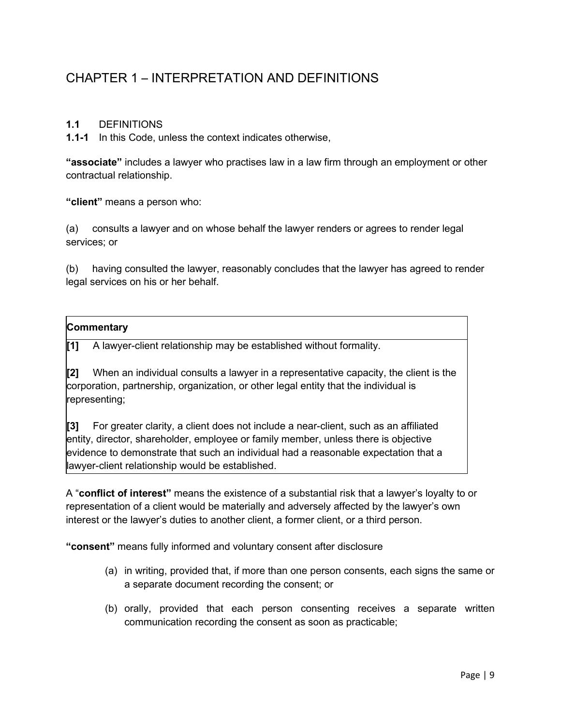# CHAPTER 1 – INTERPRETATION AND DEFINITIONS

#### **1.1** DEFINITIONS

**1.1-1** In this Code, unless the context indicates otherwise,

**"associate"** includes a lawyer who practises law in a law firm through an employment or other contractual relationship.

**"client"** means a person who:

(a) consults a lawyer and on whose behalf the lawyer renders or agrees to render legal services; or

(b) having consulted the lawyer, reasonably concludes that the lawyer has agreed to render legal services on his or her behalf.

#### **Commentary**

**[1]** A lawyer-client relationship may be established without formality.

**[2]** When an individual consults a lawyer in a representative capacity, the client is the corporation, partnership, organization, or other legal entity that the individual is representing;

**[3]** For greater clarity, a client does not include a near-client, such as an affiliated entity, director, shareholder, employee or family member, unless there is objective evidence to demonstrate that such an individual had a reasonable expectation that a lawyer-client relationship would be established.

A "**conflict of interest"** means the existence of a substantial risk that a lawyer's loyalty to or representation of a client would be materially and adversely affected by the lawyer's own interest or the lawyer's duties to another client, a former client, or a third person.

**"consent"** means fully informed and voluntary consent after disclosure

- (a) in writing, provided that, if more than one person consents, each signs the same or a separate document recording the consent; or
- (b) orally, provided that each person consenting receives a separate written communication recording the consent as soon as practicable;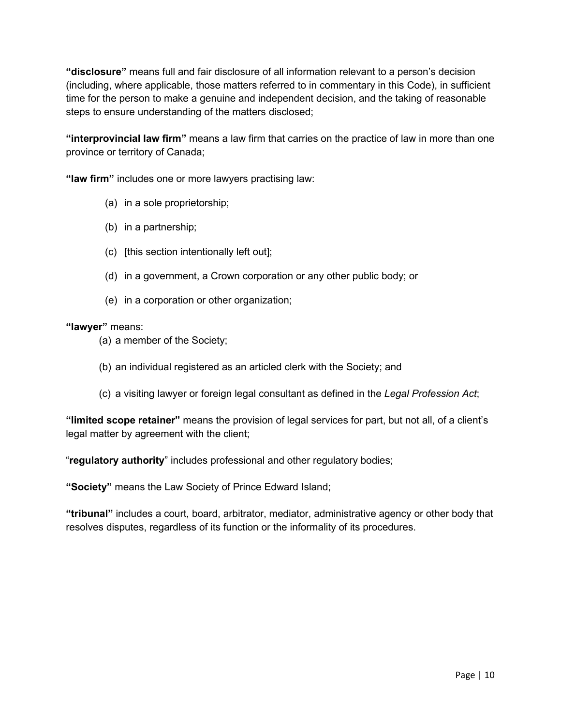**"disclosure"** means full and fair disclosure of all information relevant to a person's decision (including, where applicable, those matters referred to in commentary in this Code), in sufficient time for the person to make a genuine and independent decision, and the taking of reasonable steps to ensure understanding of the matters disclosed;

**"interprovincial law firm"** means a law firm that carries on the practice of law in more than one province or territory of Canada;

**"law firm"** includes one or more lawyers practising law:

- (a) in a sole proprietorship;
- (b) in a partnership;
- (c) [this section intentionally left out];
- (d) in a government, a Crown corporation or any other public body; or
- (e) in a corporation or other organization;

#### **"lawyer"** means:

- (a) a member of the Society;
- (b) an individual registered as an articled clerk with the Society; and
- (c) a visiting lawyer or foreign legal consultant as defined in the *Legal Profession Act*;

**"limited scope retainer"** means the provision of legal services for part, but not all, of a client's legal matter by agreement with the client;

"**regulatory authority**" includes professional and other regulatory bodies;

**"Society"** means the Law Society of Prince Edward Island;

**"tribunal"** includes a court, board, arbitrator, mediator, administrative agency or other body that resolves disputes, regardless of its function or the informality of its procedures.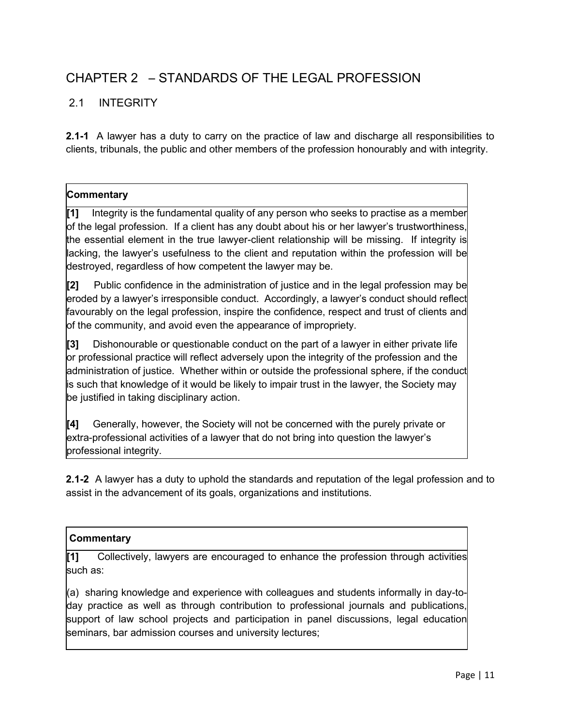# CHAPTER 2 – STANDARDS OF THE LEGAL PROFESSION

# 2.1 INTEGRITY

**2.1-1** A lawyer has a duty to carry on the practice of law and discharge all responsibilities to clients, tribunals, the public and other members of the profession honourably and with integrity.

## **Commentary**

**[1]** Integrity is the fundamental quality of any person who seeks to practise as a member of the legal profession. If a client has any doubt about his or her lawyer's trustworthiness, the essential element in the true lawyer-client relationship will be missing. If integrity is lacking, the lawyer's usefulness to the client and reputation within the profession will be destroyed, regardless of how competent the lawyer may be.

**[2]** Public confidence in the administration of justice and in the legal profession may be eroded by a lawyer's irresponsible conduct. Accordingly, a lawyer's conduct should reflect favourably on the legal profession, inspire the confidence, respect and trust of clients and of the community, and avoid even the appearance of impropriety.

**[3]** Dishonourable or questionable conduct on the part of a lawyer in either private life or professional practice will reflect adversely upon the integrity of the profession and the administration of justice. Whether within or outside the professional sphere, if the conduct is such that knowledge of it would be likely to impair trust in the lawyer, the Society may be justified in taking disciplinary action.

**[4]** Generally, however, the Society will not be concerned with the purely private or extra-professional activities of a lawyer that do not bring into question the lawyer's professional integrity.

**2.1-2** A lawyer has a duty to uphold the standards and reputation of the legal profession and to assist in the advancement of its goals, organizations and institutions.

## **Commentary**

**[1]** Collectively, lawyers are encouraged to enhance the profession through activities such as:

(a) sharing knowledge and experience with colleagues and students informally in day-today practice as well as through contribution to professional journals and publications, support of law school projects and participation in panel discussions, legal education seminars, bar admission courses and university lectures;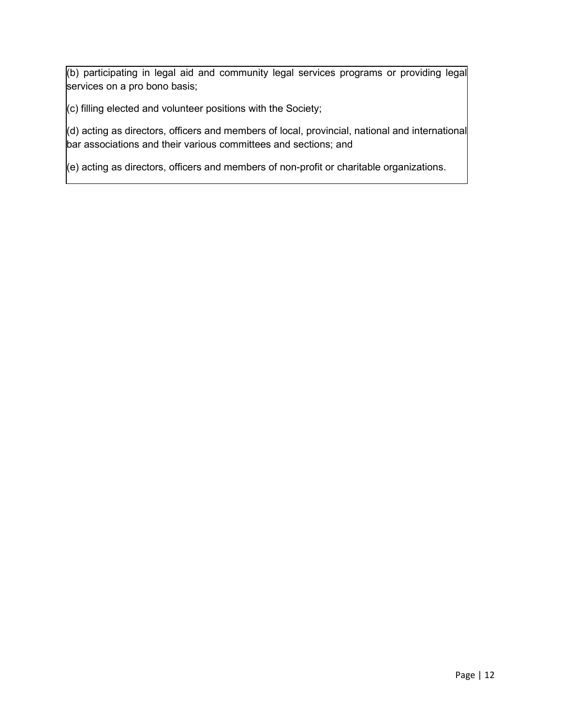(b) participating in legal aid and community legal services programs or providing legal services on a pro bono basis;

 $(c)$  filling elected and volunteer positions with the Society;

(d) acting as directors, officers and members of local, provincial, national and international bar associations and their various committees and sections; and

(e) acting as directors, officers and members of non-profit or charitable organizations.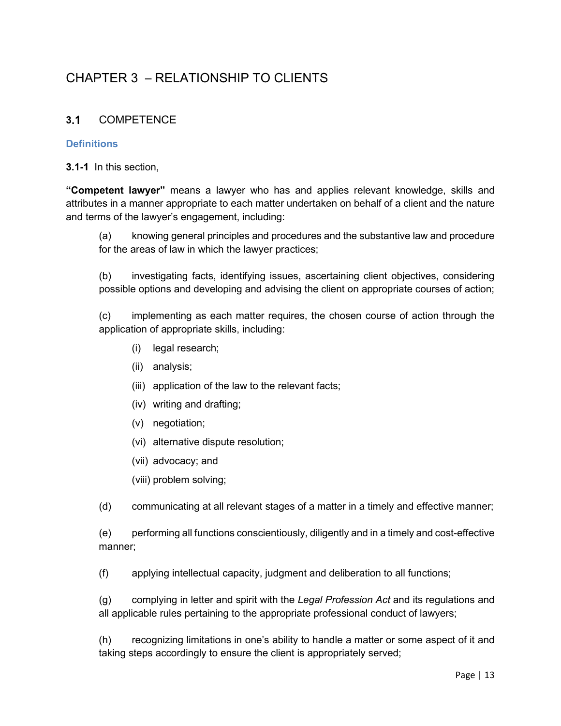# CHAPTER 3 – RELATIONSHIP TO CLIENTS

# **3**.1 COMPETENCE

#### **Definitions**

**3.1-1** In this section,

**"Competent lawyer"** means a lawyer who has and applies relevant knowledge, skills and attributes in a manner appropriate to each matter undertaken on behalf of a client and the nature and terms of the lawyer's engagement, including:

(a) knowing general principles and procedures and the substantive law and procedure for the areas of law in which the lawyer practices;

(b) investigating facts, identifying issues, ascertaining client objectives, considering possible options and developing and advising the client on appropriate courses of action;

(c) implementing as each matter requires, the chosen course of action through the application of appropriate skills, including:

- (i) legal research;
- (ii) analysis;
- (iii) application of the law to the relevant facts;
- (iv) writing and drafting;
- (v) negotiation;
- (vi) alternative dispute resolution;
- (vii) advocacy; and
- (viii) problem solving;

(d) communicating at all relevant stages of a matter in a timely and effective manner;

(e) performing all functions conscientiously, diligently and in a timely and cost-effective manner;

(f) applying intellectual capacity, judgment and deliberation to all functions;

(g) complying in letter and spirit with the *Legal Profession Act* and its regulations and all applicable rules pertaining to the appropriate professional conduct of lawyers;

(h) recognizing limitations in one's ability to handle a matter or some aspect of it and taking steps accordingly to ensure the client is appropriately served;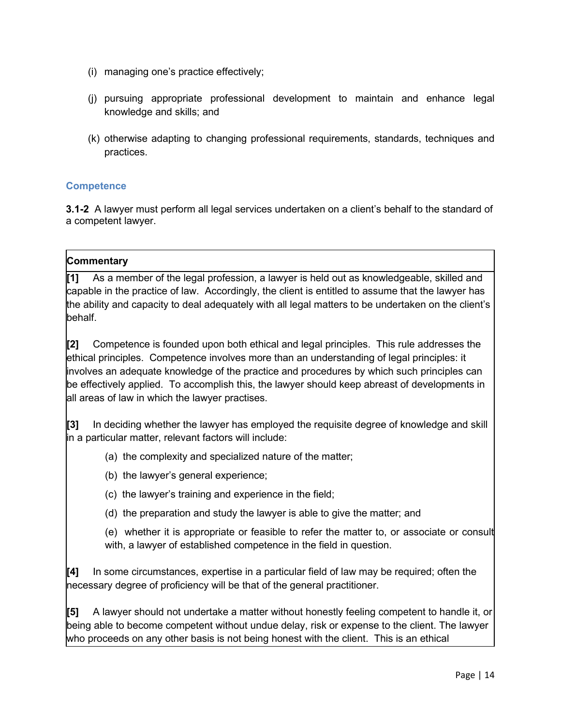- (i) managing one's practice effectively;
- (j) pursuing appropriate professional development to maintain and enhance legal knowledge and skills; and
- (k) otherwise adapting to changing professional requirements, standards, techniques and practices.

#### **Competence**

**3.1-2** A lawyer must perform all legal services undertaken on a client's behalf to the standard of a competent lawyer.

## **Commentary**

**[1]** As a member of the legal profession, a lawyer is held out as knowledgeable, skilled and capable in the practice of law. Accordingly, the client is entitled to assume that the lawyer has the ability and capacity to deal adequately with all legal matters to be undertaken on the client's behalf.

**[2]** Competence is founded upon both ethical and legal principles. This rule addresses the ethical principles. Competence involves more than an understanding of legal principles: it involves an adequate knowledge of the practice and procedures by which such principles can be effectively applied. To accomplish this, the lawyer should keep abreast of developments in all areas of law in which the lawyer practises.

**[3]** In deciding whether the lawyer has employed the requisite degree of knowledge and skill in a particular matter, relevant factors will include:

- (a) the complexity and specialized nature of the matter;
- (b) the lawyer's general experience;
- (c) the lawyer's training and experience in the field;
- (d) the preparation and study the lawyer is able to give the matter; and

(e) whether it is appropriate or feasible to refer the matter to, or associate or consult with, a lawyer of established competence in the field in question.

**[4]** In some circumstances, expertise in a particular field of law may be required; often the necessary degree of proficiency will be that of the general practitioner.

**[5]** A lawyer should not undertake a matter without honestly feeling competent to handle it, or being able to become competent without undue delay, risk or expense to the client. The lawyer who proceeds on any other basis is not being honest with the client. This is an ethical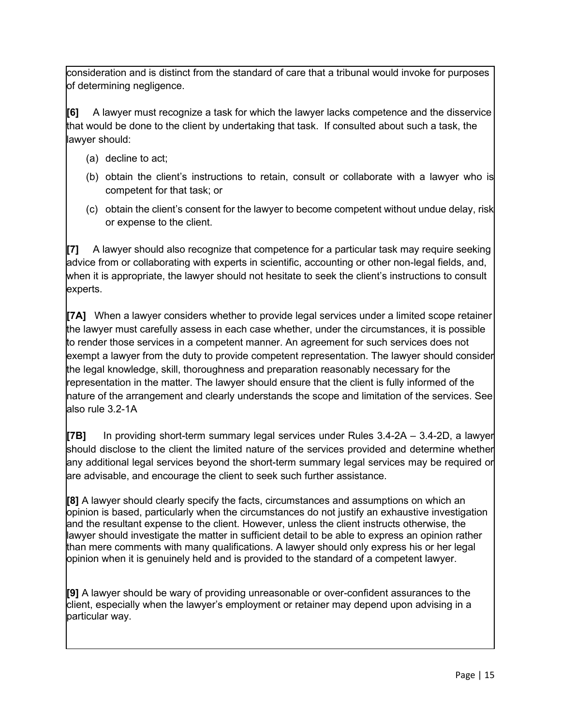consideration and is distinct from the standard of care that a tribunal would invoke for purposes of determining negligence.

**[6]** A lawyer must recognize a task for which the lawyer lacks competence and the disservice that would be done to the client by undertaking that task. If consulted about such a task, the lawyer should:

- (a) decline to act;
- (b) obtain the client's instructions to retain, consult or collaborate with a lawyer who is competent for that task; or
- (c) obtain the client's consent for the lawyer to become competent without undue delay, risk or expense to the client.

**[7]** A lawyer should also recognize that competence for a particular task may require seeking advice from or collaborating with experts in scientific, accounting or other non-legal fields, and, when it is appropriate, the lawyer should not hesitate to seek the client's instructions to consult experts.

**[7A]** When a lawyer considers whether to provide legal services under a limited scope retainer the lawyer must carefully assess in each case whether, under the circumstances, it is possible to render those services in a competent manner. An agreement for such services does not exempt a lawyer from the duty to provide competent representation. The lawyer should consider the legal knowledge, skill, thoroughness and preparation reasonably necessary for the representation in the matter. The lawyer should ensure that the client is fully informed of the nature of the arrangement and clearly understands the scope and limitation of the services. See also rule 3.2-1A

**[7B]** In providing short-term summary legal services under Rules 3.4-2A – 3.4-2D, a lawyer should disclose to the client the limited nature of the services provided and determine whether any additional legal services beyond the short-term summary legal services may be required or are advisable, and encourage the client to seek such further assistance.

**[8]** A lawyer should clearly specify the facts, circumstances and assumptions on which an opinion is based, particularly when the circumstances do not justify an exhaustive investigation and the resultant expense to the client. However, unless the client instructs otherwise, the lawyer should investigate the matter in sufficient detail to be able to express an opinion rather than mere comments with many qualifications. A lawyer should only express his or her legal opinion when it is genuinely held and is provided to the standard of a competent lawyer.

**[9]** A lawyer should be wary of providing unreasonable or over-confident assurances to the client, especially when the lawyer's employment or retainer may depend upon advising in a particular way.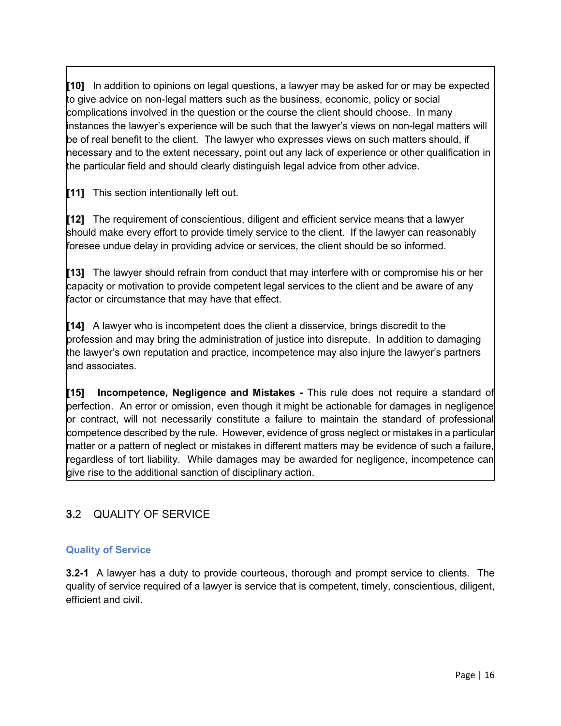**[10]** In addition to opinions on legal questions, a lawyer may be asked for or may be expected to give advice on non-legal matters such as the business, economic, policy or social complications involved in the question or the course the client should choose. In many instances the lawyer's experience will be such that the lawyer's views on non-legal matters will be of real benefit to the client. The lawyer who expresses views on such matters should, if necessary and to the extent necessary, point out any lack of experience or other qualification in the particular field and should clearly distinguish legal advice from other advice.

**[11]** This section intentionally left out.

**[12]** The requirement of conscientious, diligent and efficient service means that a lawyer should make every effort to provide timely service to the client. If the lawyer can reasonably foresee undue delay in providing advice or services, the client should be so informed.

**[13]** The lawyer should refrain from conduct that may interfere with or compromise his or her capacity or motivation to provide competent legal services to the client and be aware of any factor or circumstance that may have that effect.

**[14]** A lawyer who is incompetent does the client a disservice, brings discredit to the profession and may bring the administration of justice into disrepute. In addition to damaging the lawyer's own reputation and practice, incompetence may also injure the lawyer's partners and associates.

**[15] Incompetence, Negligence and Mistakes -** This rule does not require a standard of perfection. An error or omission, even though it might be actionable for damages in negligence or contract, will not necessarily constitute a failure to maintain the standard of professional competence described by the rule. However, evidence of gross neglect or mistakes in a particular matter or a pattern of neglect or mistakes in different matters may be evidence of such a failure, regardless of tort liability. While damages may be awarded for negligence, incompetence can give rise to the additional sanction of disciplinary action.

# 3.2 QUALITY OF SERVICE

## **Quality of Service**

**3.2-1** A lawyer has a duty to provide courteous, thorough and prompt service to clients. The quality of service required of a lawyer is service that is competent, timely, conscientious, diligent, efficient and civil.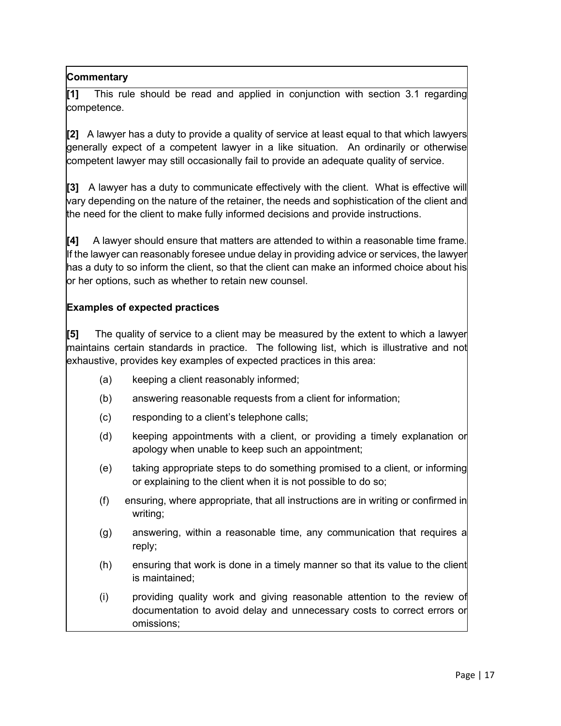## **Commentary**

**[1]** This rule should be read and applied in conjunction with section 3.1 regarding competence.

**[2]** A lawyer has a duty to provide a quality of service at least equal to that which lawyers generally expect of a competent lawyer in a like situation. An ordinarily or otherwise competent lawyer may still occasionally fail to provide an adequate quality of service.

**[3]** A lawyer has a duty to communicate effectively with the client. What is effective will vary depending on the nature of the retainer, the needs and sophistication of the client and the need for the client to make fully informed decisions and provide instructions.

**[4]** A lawyer should ensure that matters are attended to within a reasonable time frame. If the lawyer can reasonably foresee undue delay in providing advice or services, the lawyer has a duty to so inform the client, so that the client can make an informed choice about his or her options, such as whether to retain new counsel.

## **Examples of expected practices**

**[5]** The quality of service to a client may be measured by the extent to which a lawyer maintains certain standards in practice. The following list, which is illustrative and not exhaustive, provides key examples of expected practices in this area:

- (a) keeping a client reasonably informed;
- (b) answering reasonable requests from a client for information;
- (c) responding to a client's telephone calls;
- (d) keeping appointments with a client, or providing a timely explanation or apology when unable to keep such an appointment;
- (e) taking appropriate steps to do something promised to a client, or informing or explaining to the client when it is not possible to do so;
- (f) ensuring, where appropriate, that all instructions are in writing or confirmed in writing;
- (g) answering, within a reasonable time, any communication that requires a reply;
- (h) ensuring that work is done in a timely manner so that its value to the client is maintained;
- (i) providing quality work and giving reasonable attention to the review of documentation to avoid delay and unnecessary costs to correct errors or omissions;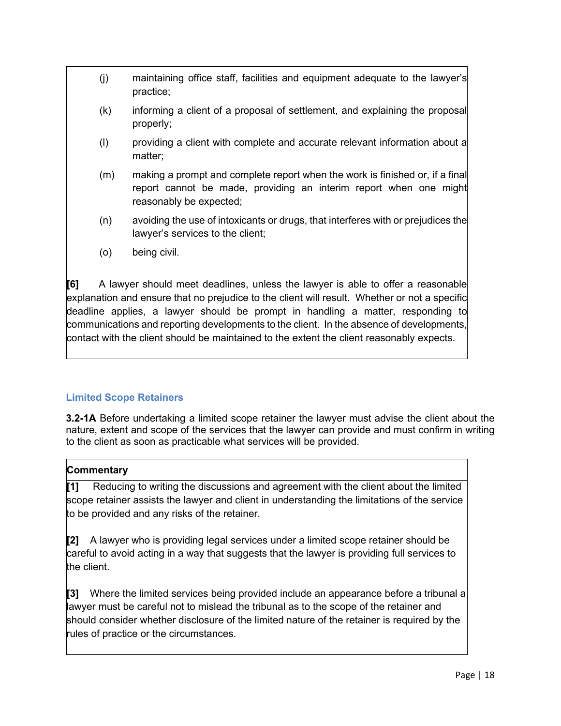- (j) maintaining office staff, facilities and equipment adequate to the lawyer's practice;
- (k) informing a client of a proposal of settlement, and explaining the proposal properly;
- (l) providing a client with complete and accurate relevant information about a matter;
- (m) making a prompt and complete report when the work is finished or, if a final report cannot be made, providing an interim report when one might reasonably be expected;
- (n) avoiding the use of intoxicants or drugs, that interferes with or prejudices the lawyer's services to the client;
- (o) being civil.

**[6]** A lawyer should meet deadlines, unless the lawyer is able to offer a reasonable explanation and ensure that no prejudice to the client will result. Whether or not a specific deadline applies, a lawyer should be prompt in handling a matter, responding to communications and reporting developments to the client. In the absence of developments, contact with the client should be maintained to the extent the client reasonably expects.

## **Limited Scope Retainers**

**3.2-1A** Before undertaking a limited scope retainer the lawyer must advise the client about the nature, extent and scope of the services that the lawyer can provide and must confirm in writing to the client as soon as practicable what services will be provided.

## **Commentary**

**[1]** Reducing to writing the discussions and agreement with the client about the limited scope retainer assists the lawyer and client in understanding the limitations of the service to be provided and any risks of the retainer.

**[2]** A lawyer who is providing legal services under a limited scope retainer should be careful to avoid acting in a way that suggests that the lawyer is providing full services to the client.

**[3]** Where the limited services being provided include an appearance before a tribunal a lawyer must be careful not to mislead the tribunal as to the scope of the retainer and should consider whether disclosure of the limited nature of the retainer is required by the rules of practice or the circumstances.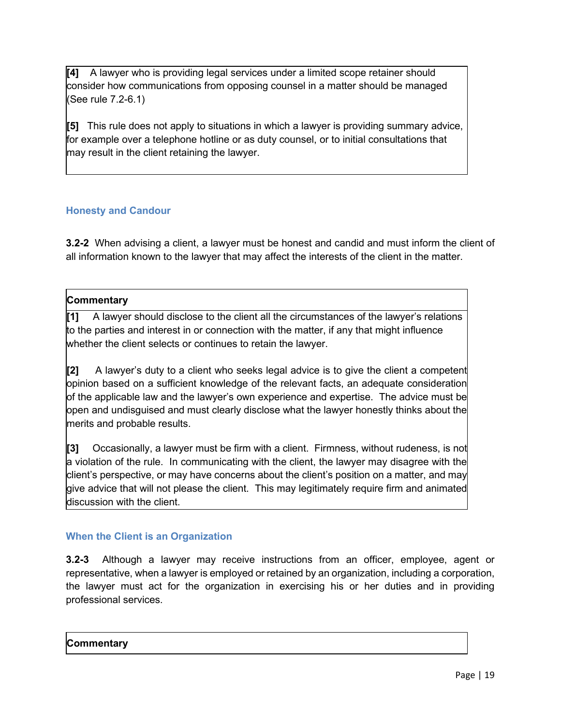**[4]** A lawyer who is providing legal services under a limited scope retainer should consider how communications from opposing counsel in a matter should be managed (See rule 7.2-6.1)

**[5]** This rule does not apply to situations in which a lawyer is providing summary advice, for example over a telephone hotline or as duty counsel, or to initial consultations that may result in the client retaining the lawyer.

## **Honesty and Candour**

**3.2-2** When advising a client, a lawyer must be honest and candid and must inform the client of all information known to the lawyer that may affect the interests of the client in the matter.

## **Commentary**

**[1]** A lawyer should disclose to the client all the circumstances of the lawyer's relations to the parties and interest in or connection with the matter, if any that might influence whether the client selects or continues to retain the lawyer.

**[2]** A lawyer's duty to a client who seeks legal advice is to give the client a competent opinion based on a sufficient knowledge of the relevant facts, an adequate consideration of the applicable law and the lawyer's own experience and expertise. The advice must be open and undisguised and must clearly disclose what the lawyer honestly thinks about the merits and probable results.

**[3]** Occasionally, a lawyer must be firm with a client. Firmness, without rudeness, is not a violation of the rule. In communicating with the client, the lawyer may disagree with the client's perspective, or may have concerns about the client's position on a matter, and may give advice that will not please the client. This may legitimately require firm and animated discussion with the client.

## **When the Client is an Organization**

**3.2-3** Although a lawyer may receive instructions from an officer, employee, agent or representative, when a lawyer is employed or retained by an organization, including a corporation, the lawyer must act for the organization in exercising his or her duties and in providing professional services.

#### **Commentary**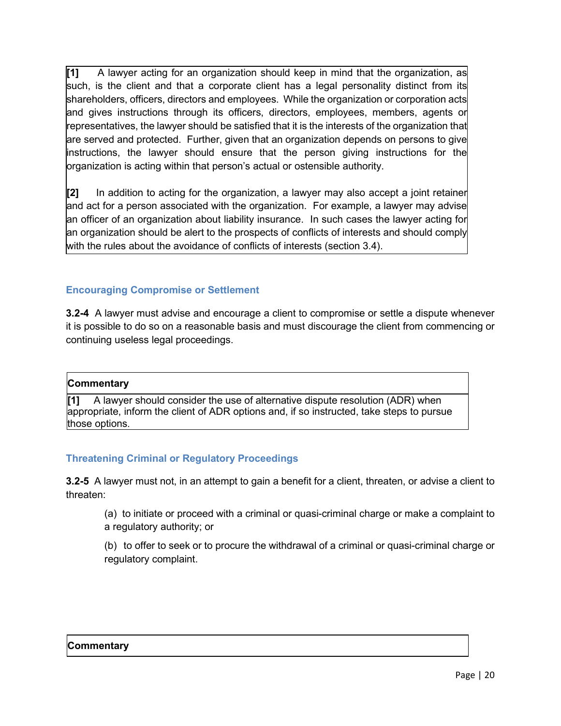**[1]** A lawyer acting for an organization should keep in mind that the organization, as such, is the client and that a corporate client has a legal personality distinct from its shareholders, officers, directors and employees. While the organization or corporation acts and gives instructions through its officers, directors, employees, members, agents or representatives, the lawyer should be satisfied that it is the interests of the organization that are served and protected. Further, given that an organization depends on persons to give instructions, the lawyer should ensure that the person giving instructions for the organization is acting within that person's actual or ostensible authority.

**[2]** In addition to acting for the organization, a lawyer may also accept a joint retainer and act for a person associated with the organization. For example, a lawyer may advise an officer of an organization about liability insurance. In such cases the lawyer acting for an organization should be alert to the prospects of conflicts of interests and should comply with the rules about the avoidance of conflicts of interests (section 3.4).

## **Encouraging Compromise or Settlement**

**3.2-4** A lawyer must advise and encourage a client to compromise or settle a dispute whenever it is possible to do so on a reasonable basis and must discourage the client from commencing or continuing useless legal proceedings.

#### **Commentary**

**[1]** A lawyer should consider the use of alternative dispute resolution (ADR) when appropriate, inform the client of ADR options and, if so instructed, take steps to pursue those options.

#### **Threatening Criminal or Regulatory Proceedings**

**3.2-5** A lawyer must not, in an attempt to gain a benefit for a client, threaten, or advise a client to threaten:

(a) to initiate or proceed with a criminal or quasi-criminal charge or make a complaint to a regulatory authority; or

(b) to offer to seek or to procure the withdrawal of a criminal or quasi-criminal charge or regulatory complaint.

#### **Commentary**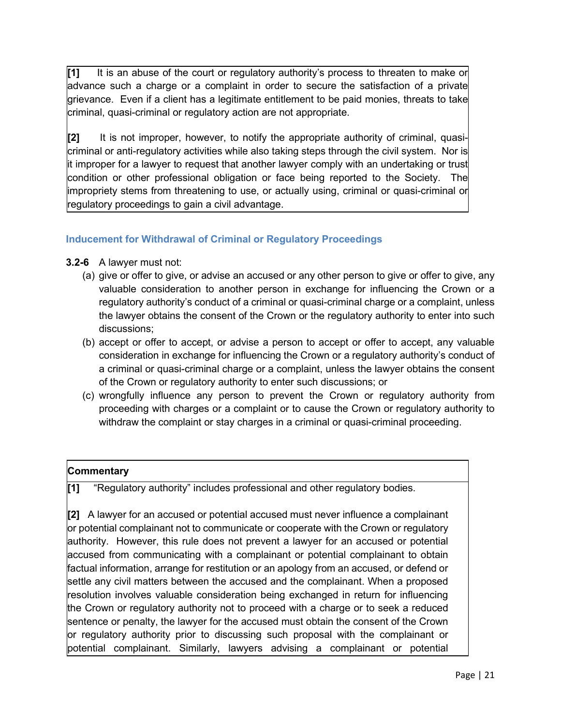**[1]** It is an abuse of the court or regulatory authority's process to threaten to make or advance such a charge or a complaint in order to secure the satisfaction of a private grievance. Even if a client has a legitimate entitlement to be paid monies, threats to take criminal, quasi-criminal or regulatory action are not appropriate.

**[2]** It is not improper, however, to notify the appropriate authority of criminal, quasicriminal or anti-regulatory activities while also taking steps through the civil system. Nor is it improper for a lawyer to request that another lawyer comply with an undertaking or trust condition or other professional obligation or face being reported to the Society. The impropriety stems from threatening to use, or actually using, criminal or quasi-criminal or regulatory proceedings to gain a civil advantage.

#### **Inducement for Withdrawal of Criminal or Regulatory Proceedings**

#### **3.2-6** A lawyer must not:

- (a) give or offer to give, or advise an accused or any other person to give or offer to give, any valuable consideration to another person in exchange for influencing the Crown or a regulatory authority's conduct of a criminal or quasi-criminal charge or a complaint, unless the lawyer obtains the consent of the Crown or the regulatory authority to enter into such discussions;
- (b) accept or offer to accept, or advise a person to accept or offer to accept, any valuable consideration in exchange for influencing the Crown or a regulatory authority's conduct of a criminal or quasi-criminal charge or a complaint, unless the lawyer obtains the consent of the Crown or regulatory authority to enter such discussions; or
- (c) wrongfully influence any person to prevent the Crown or regulatory authority from proceeding with charges or a complaint or to cause the Crown or regulatory authority to withdraw the complaint or stay charges in a criminal or quasi-criminal proceeding.

## **Commentary**

**[1]** "Regulatory authority" includes professional and other regulatory bodies.

**[2]** A lawyer for an accused or potential accused must never influence a complainant or potential complainant not to communicate or cooperate with the Crown or regulatory authority. However, this rule does not prevent a lawyer for an accused or potential accused from communicating with a complainant or potential complainant to obtain factual information, arrange for restitution or an apology from an accused, or defend or settle any civil matters between the accused and the complainant. When a proposed resolution involves valuable consideration being exchanged in return for influencing the Crown or regulatory authority not to proceed with a charge or to seek a reduced sentence or penalty, the lawyer for the accused must obtain the consent of the Crown or regulatory authority prior to discussing such proposal with the complainant or potential complainant. Similarly, lawyers advising a complainant or potential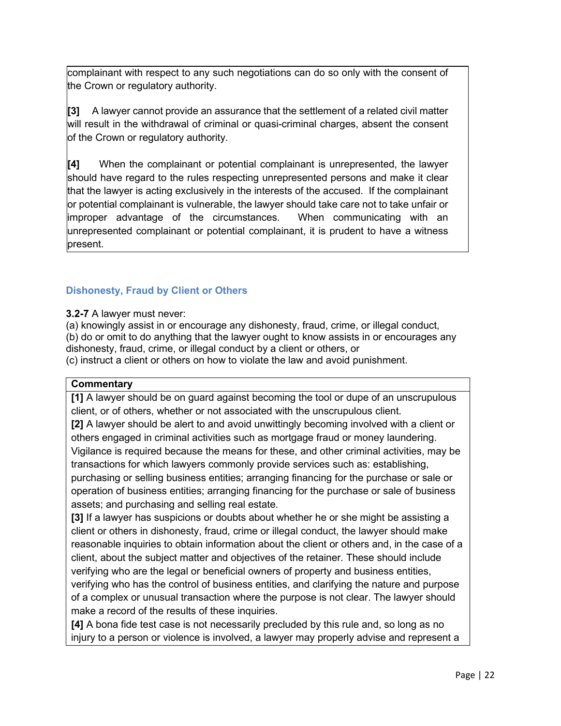complainant with respect to any such negotiations can do so only with the consent of the Crown or regulatory authority.

**[3]** A lawyer cannot provide an assurance that the settlement of a related civil matter will result in the withdrawal of criminal or quasi-criminal charges, absent the consent of the Crown or regulatory authority.

**[4]** When the complainant or potential complainant is unrepresented, the lawyer should have regard to the rules respecting unrepresented persons and make it clear that the lawyer is acting exclusively in the interests of the accused. If the complainant or potential complainant is vulnerable, the lawyer should take care not to take unfair or improper advantage of the circumstances. When communicating with an unrepresented complainant or potential complainant, it is prudent to have a witness present.

## **Dishonesty, Fraud by Client or Others**

#### **3.2-7** A lawyer must never:

(a) knowingly assist in or encourage any dishonesty, fraud, crime, or illegal conduct, (b) do or omit to do anything that the lawyer ought to know assists in or encourages any dishonesty, fraud, crime, or illegal conduct by a client or others, or (c) instruct a client or others on how to violate the law and avoid punishment.

#### **Commentary**

**[1]** A lawyer should be on guard against becoming the tool or dupe of an unscrupulous client, or of others, whether or not associated with the unscrupulous client.

**[2]** A lawyer should be alert to and avoid unwittingly becoming involved with a client or others engaged in criminal activities such as mortgage fraud or money laundering. Vigilance is required because the means for these, and other criminal activities, may be transactions for which lawyers commonly provide services such as: establishing, purchasing or selling business entities; arranging financing for the purchase or sale or operation of business entities; arranging financing for the purchase or sale of business assets; and purchasing and selling real estate.

**[3]** If a lawyer has suspicions or doubts about whether he or she might be assisting a client or others in dishonesty, fraud, crime or illegal conduct, the lawyer should make reasonable inquiries to obtain information about the client or others and, in the case of a client, about the subject matter and objectives of the retainer. These should include verifying who are the legal or beneficial owners of property and business entities, verifying who has the control of business entities, and clarifying the nature and purpose of a complex or unusual transaction where the purpose is not clear. The lawyer should make a record of the results of these inquiries.

**[4]** A bona fide test case is not necessarily precluded by this rule and, so long as no injury to a person or violence is involved, a lawyer may properly advise and represent a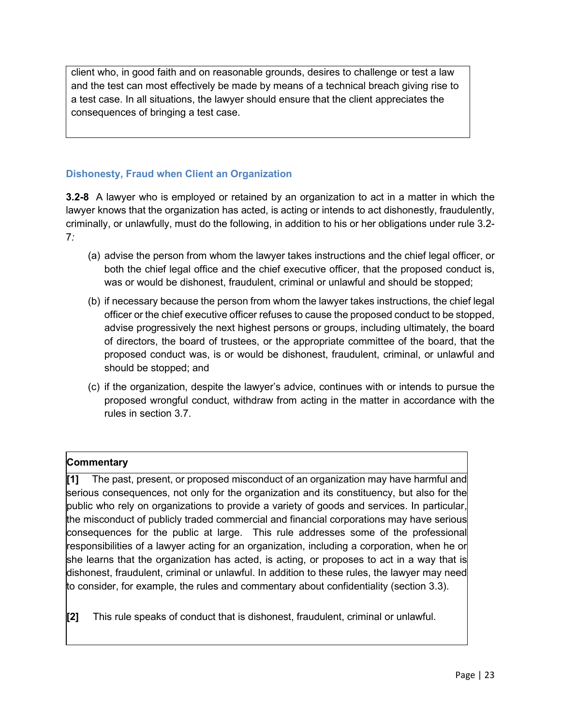client who, in good faith and on reasonable grounds, desires to challenge or test a law and the test can most effectively be made by means of a technical breach giving rise to a test case. In all situations, the lawyer should ensure that the client appreciates the consequences of bringing a test case.

## **Dishonesty, Fraud when Client an Organization**

**3.2-8** A lawyer who is employed or retained by an organization to act in a matter in which the lawyer knows that the organization has acted, is acting or intends to act dishonestly, fraudulently, criminally, or unlawfully, must do the following, in addition to his or her obligations under rule 3.2- 7*:*

- (a) advise the person from whom the lawyer takes instructions and the chief legal officer, or both the chief legal office and the chief executive officer, that the proposed conduct is, was or would be dishonest, fraudulent, criminal or unlawful and should be stopped;
- (b) if necessary because the person from whom the lawyer takes instructions, the chief legal officer or the chief executive officer refuses to cause the proposed conduct to be stopped, advise progressively the next highest persons or groups, including ultimately, the board of directors, the board of trustees, or the appropriate committee of the board, that the proposed conduct was, is or would be dishonest, fraudulent, criminal, or unlawful and should be stopped; and
- (c) if the organization, despite the lawyer's advice, continues with or intends to pursue the proposed wrongful conduct, withdraw from acting in the matter in accordance with the rules in section 3.7.

## **Commentary**

**[1]** The past, present, or proposed misconduct of an organization may have harmful and serious consequences, not only for the organization and its constituency, but also for the public who rely on organizations to provide a variety of goods and services. In particular, the misconduct of publicly traded commercial and financial corporations may have serious consequences for the public at large. This rule addresses some of the professional responsibilities of a lawyer acting for an organization, including a corporation, when he or she learns that the organization has acted, is acting, or proposes to act in a way that is dishonest, fraudulent, criminal or unlawful. In addition to these rules, the lawyer may need to consider, for example, the rules and commentary about confidentiality (section 3.3).

**[2]** This rule speaks of conduct that is dishonest, fraudulent, criminal or unlawful.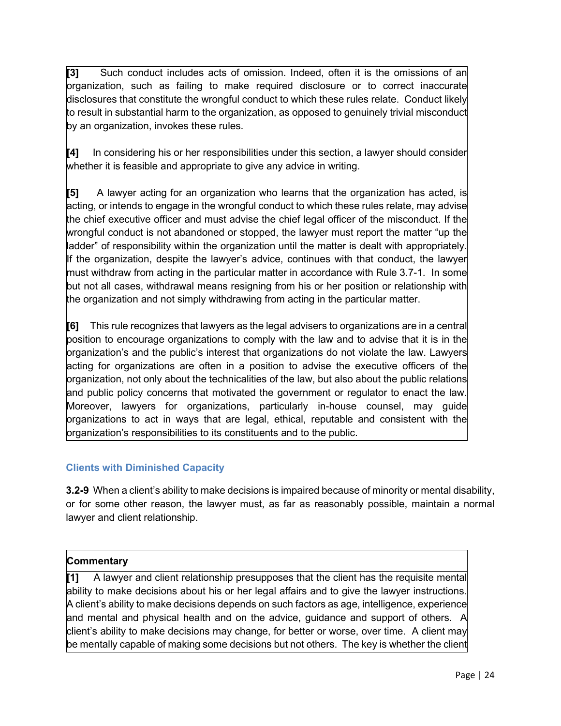**[3]** Such conduct includes acts of omission. Indeed, often it is the omissions of an organization, such as failing to make required disclosure or to correct inaccurate disclosures that constitute the wrongful conduct to which these rules relate. Conduct likely to result in substantial harm to the organization, as opposed to genuinely trivial misconduct by an organization, invokes these rules.

**[4]** In considering his or her responsibilities under this section, a lawyer should consider whether it is feasible and appropriate to give any advice in writing.

**[5]** A lawyer acting for an organization who learns that the organization has acted, is acting, or intends to engage in the wrongful conduct to which these rules relate, may advise the chief executive officer and must advise the chief legal officer of the misconduct. If the wrongful conduct is not abandoned or stopped, the lawyer must report the matter "up the ladder" of responsibility within the organization until the matter is dealt with appropriately. If the organization, despite the lawyer's advice, continues with that conduct, the lawyer must withdraw from acting in the particular matter in accordance with Rule 3.7-1. In some but not all cases, withdrawal means resigning from his or her position or relationship with the organization and not simply withdrawing from acting in the particular matter.

**[6]** This rule recognizes that lawyers as the legal advisers to organizations are in a central position to encourage organizations to comply with the law and to advise that it is in the organization's and the public's interest that organizations do not violate the law. Lawyers acting for organizations are often in a position to advise the executive officers of the organization, not only about the technicalities of the law, but also about the public relations and public policy concerns that motivated the government or regulator to enact the law. Moreover, lawyers for organizations, particularly in-house counsel, may guide organizations to act in ways that are legal, ethical, reputable and consistent with the organization's responsibilities to its constituents and to the public.

## **Clients with Diminished Capacity**

**3.2-9** When a client's ability to make decisions is impaired because of minority or mental disability, or for some other reason, the lawyer must, as far as reasonably possible, maintain a normal lawyer and client relationship.

## **Commentary**

**[1]** A lawyer and client relationship presupposes that the client has the requisite mental ability to make decisions about his or her legal affairs and to give the lawyer instructions. A client's ability to make decisions depends on such factors as age, intelligence, experience and mental and physical health and on the advice, guidance and support of others. A client's ability to make decisions may change, for better or worse, over time. A client may be mentally capable of making some decisions but not others. The key is whether the client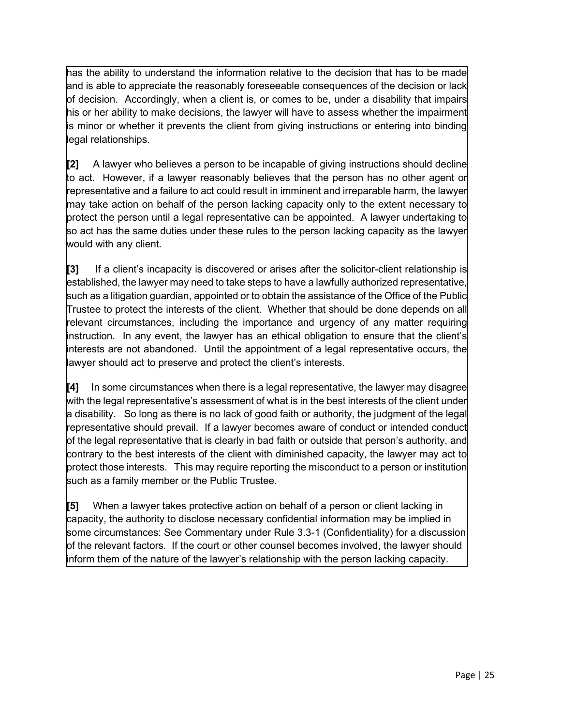has the ability to understand the information relative to the decision that has to be made and is able to appreciate the reasonably foreseeable consequences of the decision or lack of decision. Accordingly, when a client is, or comes to be, under a disability that impairs his or her ability to make decisions, the lawyer will have to assess whether the impairment is minor or whether it prevents the client from giving instructions or entering into binding legal relationships.

**[2]** A lawyer who believes a person to be incapable of giving instructions should decline to act. However, if a lawyer reasonably believes that the person has no other agent or representative and a failure to act could result in imminent and irreparable harm, the lawyer may take action on behalf of the person lacking capacity only to the extent necessary to protect the person until a legal representative can be appointed. A lawyer undertaking to so act has the same duties under these rules to the person lacking capacity as the lawyer would with any client.

**[3]** If a client's incapacity is discovered or arises after the solicitor-client relationship is established, the lawyer may need to take steps to have a lawfully authorized representative, such as a litigation guardian, appointed or to obtain the assistance of the Office of the Public Trustee to protect the interests of the client. Whether that should be done depends on all relevant circumstances, including the importance and urgency of any matter requiring instruction. In any event, the lawyer has an ethical obligation to ensure that the client's interests are not abandoned. Until the appointment of a legal representative occurs, the lawyer should act to preserve and protect the client's interests.

**[4]** In some circumstances when there is a legal representative, the lawyer may disagree with the legal representative's assessment of what is in the best interests of the client under a disability. So long as there is no lack of good faith or authority, the judgment of the legal representative should prevail. If a lawyer becomes aware of conduct or intended conduct of the legal representative that is clearly in bad faith or outside that person's authority, and contrary to the best interests of the client with diminished capacity, the lawyer may act to protect those interests. This may require reporting the misconduct to a person or institution such as a family member or the Public Trustee.

**[5]** When a lawyer takes protective action on behalf of a person or client lacking in capacity, the authority to disclose necessary confidential information may be implied in some circumstances: See Commentary under Rule 3.3-1 (Confidentiality) for a discussion of the relevant factors. If the court or other counsel becomes involved, the lawyer should inform them of the nature of the lawyer's relationship with the person lacking capacity.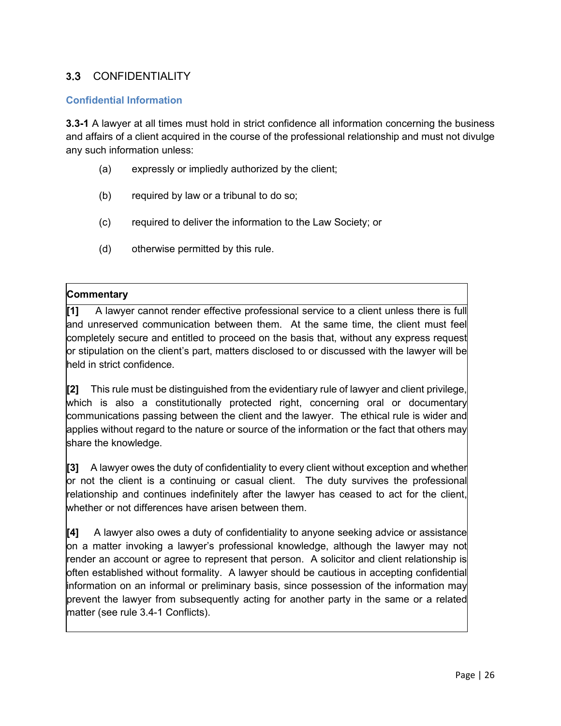# **3**.3 CONFIDENTIALITY

#### **Confidential Information**

**3.3-1** A lawyer at all times must hold in strict confidence all information concerning the business and affairs of a client acquired in the course of the professional relationship and must not divulge any such information unless:

- (a) expressly or impliedly authorized by the client;
- (b) required by law or a tribunal to do so;
- (c) required to deliver the information to the Law Society; or
- (d) otherwise permitted by this rule.

#### **Commentary**

**[1]** A lawyer cannot render effective professional service to a client unless there is full and unreserved communication between them. At the same time, the client must feel completely secure and entitled to proceed on the basis that, without any express request or stipulation on the client's part, matters disclosed to or discussed with the lawyer will be held in strict confidence.

**[2]** This rule must be distinguished from the evidentiary rule of lawyer and client privilege, which is also a constitutionally protected right, concerning oral or documentary communications passing between the client and the lawyer. The ethical rule is wider and applies without regard to the nature or source of the information or the fact that others may share the knowledge.

**[3]** A lawyer owes the duty of confidentiality to every client without exception and whether or not the client is a continuing or casual client. The duty survives the professional relationship and continues indefinitely after the lawyer has ceased to act for the client, whether or not differences have arisen between them.

**[4]** A lawyer also owes a duty of confidentiality to anyone seeking advice or assistance on a matter invoking a lawyer's professional knowledge, although the lawyer may not render an account or agree to represent that person. A solicitor and client relationship is often established without formality. A lawyer should be cautious in accepting confidential information on an informal or preliminary basis, since possession of the information may prevent the lawyer from subsequently acting for another party in the same or a related matter (see rule 3.4-1 Conflicts).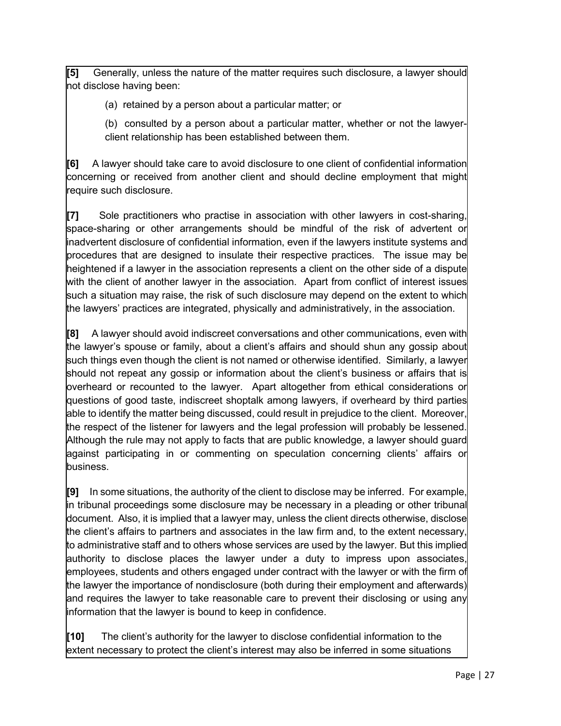**[5]** Generally, unless the nature of the matter requires such disclosure, a lawyer should not disclose having been:

(a) retained by a person about a particular matter; or

(b) consulted by a person about a particular matter, whether or not the lawyerclient relationship has been established between them.

**[6]** A lawyer should take care to avoid disclosure to one client of confidential information concerning or received from another client and should decline employment that might require such disclosure.

**[7]** Sole practitioners who practise in association with other lawyers in cost-sharing, space-sharing or other arrangements should be mindful of the risk of advertent or inadvertent disclosure of confidential information, even if the lawyers institute systems and procedures that are designed to insulate their respective practices. The issue may be heightened if a lawyer in the association represents a client on the other side of a dispute with the client of another lawyer in the association. Apart from conflict of interest issues such a situation may raise, the risk of such disclosure may depend on the extent to which the lawyers' practices are integrated, physically and administratively, in the association.

**[8]** A lawyer should avoid indiscreet conversations and other communications, even with the lawyer's spouse or family, about a client's affairs and should shun any gossip about such things even though the client is not named or otherwise identified. Similarly, a lawyer should not repeat any gossip or information about the client's business or affairs that is overheard or recounted to the lawyer. Apart altogether from ethical considerations or questions of good taste, indiscreet shoptalk among lawyers, if overheard by third parties able to identify the matter being discussed, could result in prejudice to the client. Moreover, the respect of the listener for lawyers and the legal profession will probably be lessened. Although the rule may not apply to facts that are public knowledge, a lawyer should guard against participating in or commenting on speculation concerning clients' affairs or business.

**[9]** In some situations, the authority of the client to disclose may be inferred. For example, in tribunal proceedings some disclosure may be necessary in a pleading or other tribunal document. Also, it is implied that a lawyer may, unless the client directs otherwise, disclose the client's affairs to partners and associates in the law firm and, to the extent necessary, to administrative staff and to others whose services are used by the lawyer*.* But this implied authority to disclose places the lawyer under a duty to impress upon associates, employees, students and others engaged under contract with the lawyer or with the firm of the lawyer the importance of nondisclosure (both during their employment and afterwards) and requires the lawyer to take reasonable care to prevent their disclosing or using any information that the lawyer is bound to keep in confidence.

**[10]** The client's authority for the lawyer to disclose confidential information to the extent necessary to protect the client's interest may also be inferred in some situations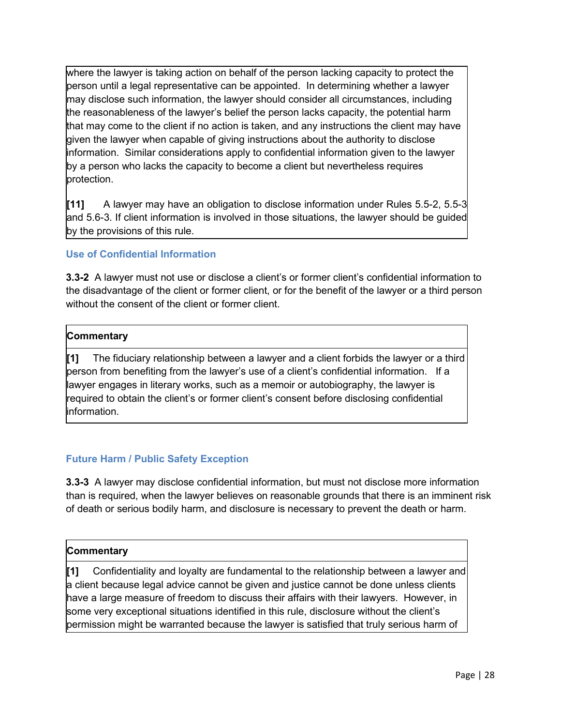where the lawyer is taking action on behalf of the person lacking capacity to protect the person until a legal representative can be appointed. In determining whether a lawyer may disclose such information, the lawyer should consider all circumstances, including the reasonableness of the lawyer's belief the person lacks capacity, the potential harm that may come to the client if no action is taken, and any instructions the client may have given the lawyer when capable of giving instructions about the authority to disclose information. Similar considerations apply to confidential information given to the lawyer by a person who lacks the capacity to become a client but nevertheless requires protection.

**[11]** A lawyer may have an obligation to disclose information under Rules 5.5-2, 5.5-3 and 5.6-3. If client information is involved in those situations, the lawyer should be guided by the provisions of this rule.

## **Use of Confidential Information**

**3.3-2** A lawyer must not use or disclose a client's or former client's confidential information to the disadvantage of the client or former client, or for the benefit of the lawyer or a third person without the consent of the client or former client.

# **Commentary**

**[1]** The fiduciary relationship between a lawyer and a client forbids the lawyer or a third person from benefiting from the lawyer's use of a client's confidential information. If a lawyer engages in literary works, such as a memoir or autobiography, the lawyer is required to obtain the client's or former client's consent before disclosing confidential information.

# **Future Harm / Public Safety Exception**

**3.3-3** A lawyer may disclose confidential information, but must not disclose more information than is required, when the lawyer believes on reasonable grounds that there is an imminent risk of death or serious bodily harm, and disclosure is necessary to prevent the death or harm.

# **Commentary**

**[1]** Confidentiality and loyalty are fundamental to the relationship between a lawyer and a client because legal advice cannot be given and justice cannot be done unless clients have a large measure of freedom to discuss their affairs with their lawyers. However, in some very exceptional situations identified in this rule, disclosure without the client's permission might be warranted because the lawyer is satisfied that truly serious harm of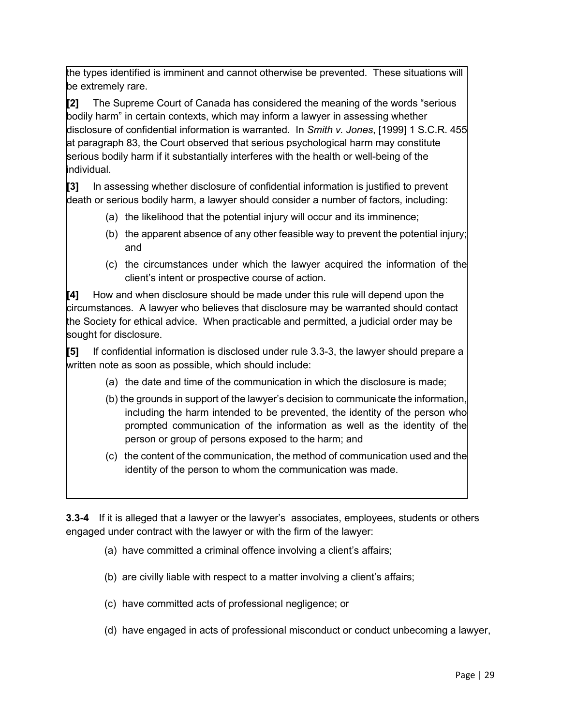the types identified is imminent and cannot otherwise be prevented. These situations will be extremely rare.

**[2]** The Supreme Court of Canada has considered the meaning of the words "serious bodily harm" in certain contexts, which may inform a lawyer in assessing whether disclosure of confidential information is warranted. In *Smith v. Jones*, [1999] 1 S.C.R. 455 at paragraph 83, the Court observed that serious psychological harm may constitute serious bodily harm if it substantially interferes with the health or well-being of the individual.

**[3]** In assessing whether disclosure of confidential information is justified to prevent death or serious bodily harm, a lawyer should consider a number of factors, including:

- (a) the likelihood that the potential injury will occur and its imminence;
- (b) the apparent absence of any other feasible way to prevent the potential injury; and
- (c) the circumstances under which the lawyer acquired the information of the client's intent or prospective course of action.

**[4]** How and when disclosure should be made under this rule will depend upon the circumstances. A lawyer who believes that disclosure may be warranted should contact the Society for ethical advice. When practicable and permitted, a judicial order may be sought for disclosure.

**[5]** If confidential information is disclosed under rule 3.3-3, the lawyer should prepare a written note as soon as possible, which should include:

- (a) the date and time of the communication in which the disclosure is made;
- (b) the grounds in support of the lawyer's decision to communicate the information, including the harm intended to be prevented, the identity of the person who prompted communication of the information as well as the identity of the person or group of persons exposed to the harm; and
- (c) the content of the communication, the method of communication used and the identity of the person to whom the communication was made.

**3.3-4** If it is alleged that a lawyer or the lawyer's associates, employees, students or others engaged under contract with the lawyer or with the firm of the lawyer:

- (a) have committed a criminal offence involving a client's affairs;
- (b) are civilly liable with respect to a matter involving a client's affairs;
- (c) have committed acts of professional negligence; or
- (d) have engaged in acts of professional misconduct or conduct unbecoming a lawyer,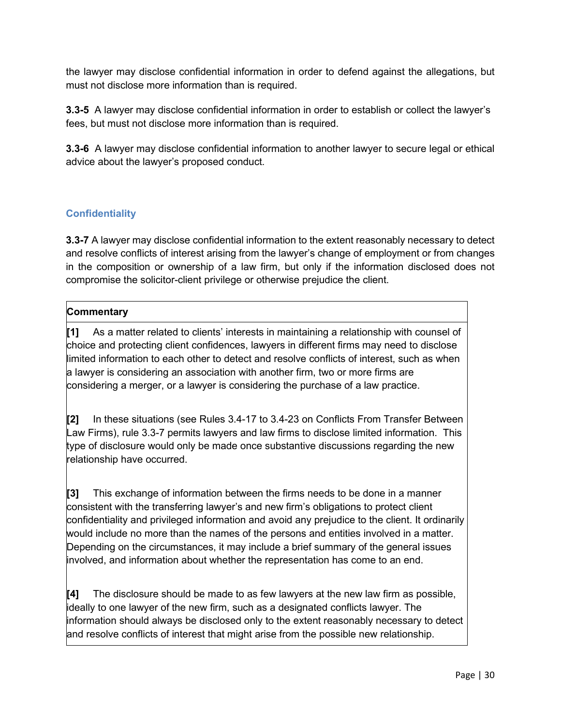the lawyer may disclose confidential information in order to defend against the allegations, but must not disclose more information than is required.

**3.3-5** A lawyer may disclose confidential information in order to establish or collect the lawyer's fees, but must not disclose more information than is required.

**3.3-6** A lawyer may disclose confidential information to another lawyer to secure legal or ethical advice about the lawyer's proposed conduct*.*

## **Confidentiality**

**3.3-7** A lawyer may disclose confidential information to the extent reasonably necessary to detect and resolve conflicts of interest arising from the lawyer's change of employment or from changes in the composition or ownership of a law firm, but only if the information disclosed does not compromise the solicitor-client privilege or otherwise prejudice the client.

## **Commentary**

**[1]** As a matter related to clients' interests in maintaining a relationship with counsel of choice and protecting client confidences, lawyers in different firms may need to disclose limited information to each other to detect and resolve conflicts of interest, such as when a lawyer is considering an association with another firm, two or more firms are considering a merger, or a lawyer is considering the purchase of a law practice.

**[2]** In these situations (see Rules 3.4-17 to 3.4-23 on Conflicts From Transfer Between Law Firms), rule 3.3-7 permits lawyers and law firms to disclose limited information. This type of disclosure would only be made once substantive discussions regarding the new relationship have occurred.

**[3]** This exchange of information between the firms needs to be done in a manner consistent with the transferring lawyer's and new firm's obligations to protect client confidentiality and privileged information and avoid any prejudice to the client. It ordinarily would include no more than the names of the persons and entities involved in a matter. Depending on the circumstances, it may include a brief summary of the general issues involved, and information about whether the representation has come to an end.

**[4]** The disclosure should be made to as few lawyers at the new law firm as possible, ideally to one lawyer of the new firm, such as a designated conflicts lawyer. The information should always be disclosed only to the extent reasonably necessary to detect and resolve conflicts of interest that might arise from the possible new relationship.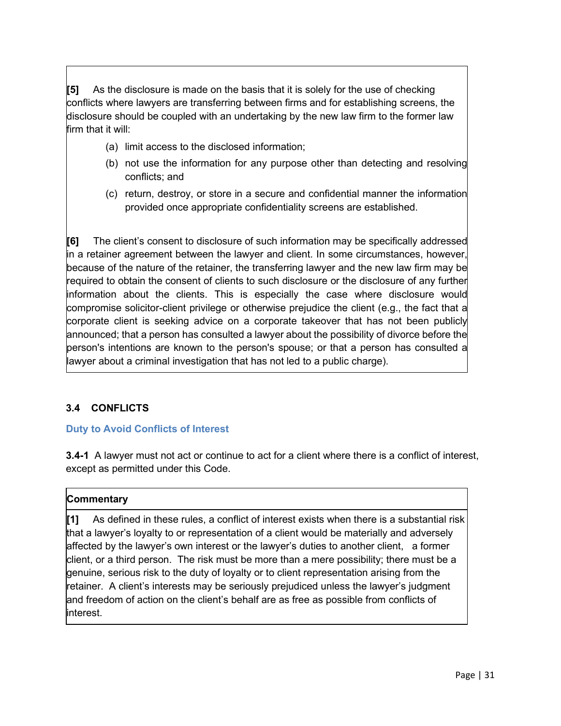**[5]** As the disclosure is made on the basis that it is solely for the use of checking conflicts where lawyers are transferring between firms and for establishing screens, the disclosure should be coupled with an undertaking by the new law firm to the former law firm that it will:

- (a) limit access to the disclosed information;
- (b) not use the information for any purpose other than detecting and resolving conflicts; and
- (c) return, destroy, or store in a secure and confidential manner the information provided once appropriate confidentiality screens are established.

**[6]** The client's consent to disclosure of such information may be specifically addressed in a retainer agreement between the lawyer and client. In some circumstances, however, because of the nature of the retainer, the transferring lawyer and the new law firm may be required to obtain the consent of clients to such disclosure or the disclosure of any further information about the clients. This is especially the case where disclosure would compromise solicitor-client privilege or otherwise prejudice the client (e.g., the fact that a corporate client is seeking advice on a corporate takeover that has not been publicly announced; that a person has consulted a lawyer about the possibility of divorce before the person's intentions are known to the person's spouse; or that a person has consulted a lawyer about a criminal investigation that has not led to a public charge).

## **3.4 CONFLICTS**

## **Duty to Avoid Conflicts of Interest**

**3.4-1** A lawyer must not act or continue to act for a client where there is a conflict of interest, except as permitted under this Code.

## **Commentary**

**[1]** As defined in these rules, a conflict of interest exists when there is a substantial risk that a lawyer's loyalty to or representation of a client would be materially and adversely affected by the lawyer's own interest or the lawyer's duties to another client, a former client, or a third person. The risk must be more than a mere possibility; there must be a genuine, serious risk to the duty of loyalty or to client representation arising from the retainer. A client's interests may be seriously prejudiced unless the lawyer's judgment and freedom of action on the client's behalf are as free as possible from conflicts of interest.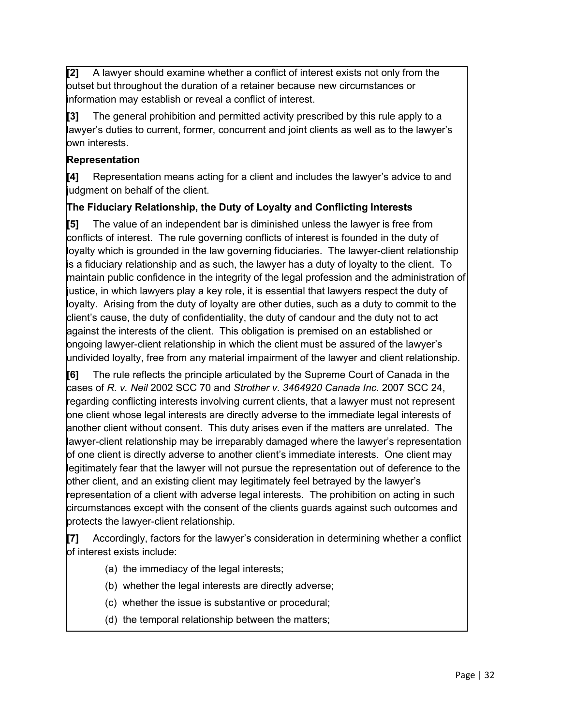**[2]** A lawyer should examine whether a conflict of interest exists not only from the outset but throughout the duration of a retainer because new circumstances or information may establish or reveal a conflict of interest.

**[3]** The general prohibition and permitted activity prescribed by this rule apply to a lawyer's duties to current, former, concurrent and joint clients as well as to the lawyer's own interests.

## **Representation**

**[4]** Representation means acting for a client and includes the lawyer's advice to and judgment on behalf of the client.

# **The Fiduciary Relationship, the Duty of Loyalty and Conflicting Interests**

**[5]** The value of an independent bar is diminished unless the lawyer is free from conflicts of interest. The rule governing conflicts of interest is founded in the duty of loyalty which is grounded in the law governing fiduciaries. The lawyer-client relationship is a fiduciary relationship and as such, the lawyer has a duty of loyalty to the client. To maintain public confidence in the integrity of the legal profession and the administration of justice, in which lawyers play a key role, it is essential that lawyers respect the duty of loyalty. Arising from the duty of loyalty are other duties, such as a duty to commit to the client's cause, the duty of confidentiality, the duty of candour and the duty not to act against the interests of the client. This obligation is premised on an established or ongoing lawyer-client relationship in which the client must be assured of the lawyer's undivided loyalty, free from any material impairment of the lawyer and client relationship.

**[6]** The rule reflects the principle articulated by the Supreme Court of Canada in the cases of *R. v. Neil* 2002 SCC 70 and *Strother v. 3464920 Canada Inc.* 2007 SCC 24, regarding conflicting interests involving current clients, that a lawyer must not represent one client whose legal interests are directly adverse to the immediate legal interests of another client without consent. This duty arises even if the matters are unrelated. The lawyer-client relationship may be irreparably damaged where the lawyer's representation of one client is directly adverse to another client's immediate interests. One client may legitimately fear that the lawyer will not pursue the representation out of deference to the other client, and an existing client may legitimately feel betrayed by the lawyer's representation of a client with adverse legal interests. The prohibition on acting in such circumstances except with the consent of the clients guards against such outcomes and protects the lawyer-client relationship.

**[7]** Accordingly, factors for the lawyer's consideration in determining whether a conflict of interest exists include:

- (a) the immediacy of the legal interests;
- (b) whether the legal interests are directly adverse;
- (c) whether the issue is substantive or procedural;
- (d) the temporal relationship between the matters;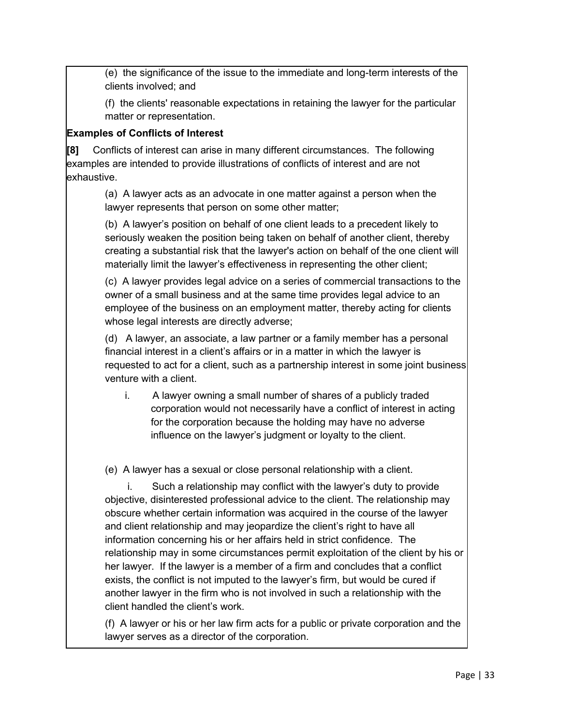(e) the significance of the issue to the immediate and long-term interests of the clients involved; and

(f) the clients' reasonable expectations in retaining the lawyer for the particular matter or representation.

## **Examples of Conflicts of Interest**

**[8]** Conflicts of interest can arise in many different circumstances. The following examples are intended to provide illustrations of conflicts of interest and are not exhaustive.

> (a) A lawyer acts as an advocate in one matter against a person when the lawyer represents that person on some other matter;

(b) A lawyer's position on behalf of one client leads to a precedent likely to seriously weaken the position being taken on behalf of another client, thereby creating a substantial risk that the lawyer's action on behalf of the one client will materially limit the lawyer's effectiveness in representing the other client;

(c) A lawyer provides legal advice on a series of commercial transactions to the owner of a small business and at the same time provides legal advice to an employee of the business on an employment matter, thereby acting for clients whose legal interests are directly adverse;

(d) A lawyer, an associate, a law partner or a family member has a personal financial interest in a client's affairs or in a matter in which the lawyer is requested to act for a client, such as a partnership interest in some joint business venture with a client.

i. A lawyer owning a small number of shares of a publicly traded corporation would not necessarily have a conflict of interest in acting for the corporation because the holding may have no adverse influence on the lawyer's judgment or loyalty to the client.

(e) A lawyer has a sexual or close personal relationship with a client.

 i. Such a relationship may conflict with the lawyer's duty to provide objective, disinterested professional advice to the client. The relationship may obscure whether certain information was acquired in the course of the lawyer and client relationship and may jeopardize the client's right to have all information concerning his or her affairs held in strict confidence. The relationship may in some circumstances permit exploitation of the client by his or her lawyer. If the lawyer is a member of a firm and concludes that a conflict exists, the conflict is not imputed to the lawyer's firm, but would be cured if another lawyer in the firm who is not involved in such a relationship with the client handled the client's work.

(f) A lawyer or his or her law firm acts for a public or private corporation and the lawyer serves as a director of the corporation.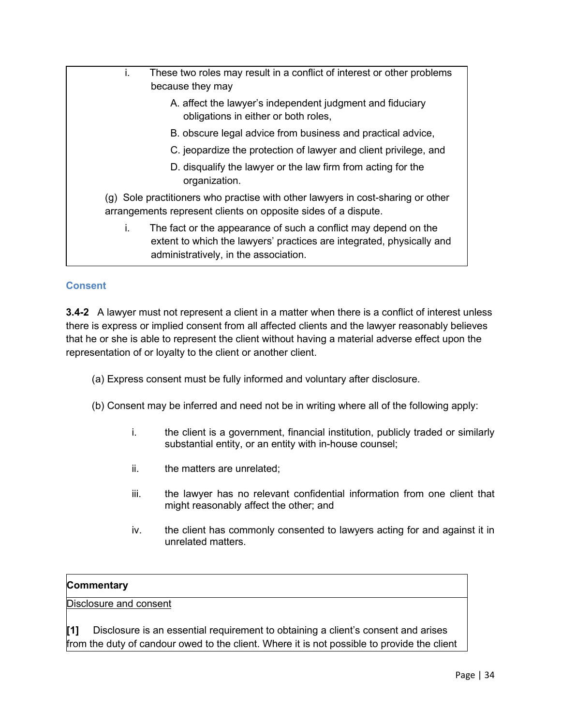| These two roles may result in a conflict of interest or other problems<br>Ι.<br>because they may                                                                                        |
|-----------------------------------------------------------------------------------------------------------------------------------------------------------------------------------------|
| A. affect the lawyer's independent judgment and fiduciary<br>obligations in either or both roles,                                                                                       |
| B. obscure legal advice from business and practical advice,                                                                                                                             |
| C. jeopardize the protection of lawyer and client privilege, and                                                                                                                        |
| D. disqualify the lawyer or the law firm from acting for the<br>organization.                                                                                                           |
| Sole practitioners who practise with other lawyers in cost-sharing or other<br>(Q)  <br>arrangements represent clients on opposite sides of a dispute.                                  |
| The fact or the appearance of such a conflict may depend on the<br>İ.<br>extent to which the lawyers' practices are integrated, physically and<br>administratively, in the association. |

#### **Consent**

**3.4-2** A lawyer must not represent a client in a matter when there is a conflict of interest unless there is express or implied consent from all affected clients and the lawyer reasonably believes that he or she is able to represent the client without having a material adverse effect upon the representation of or loyalty to the client or another client.

- (a) Express consent must be fully informed and voluntary after disclosure.
- (b) Consent may be inferred and need not be in writing where all of the following apply:
	- i. the client is a government, financial institution, publicly traded or similarly substantial entity, or an entity with in-house counsel;
	- ii. the matters are unrelated;
	- iii. the lawyer has no relevant confidential information from one client that might reasonably affect the other; and
	- iv. the client has commonly consented to lawyers acting for and against it in unrelated matters.

#### **Commentary**

Disclosure and consent

**[1]** Disclosure is an essential requirement to obtaining a client's consent and arises from the duty of candour owed to the client. Where it is not possible to provide the client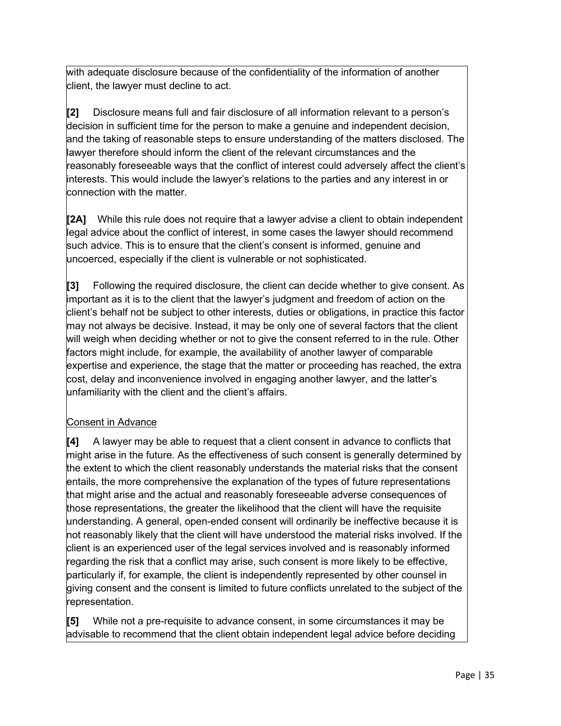with adequate disclosure because of the confidentiality of the information of another client, the lawyer must decline to act.

**[2]** Disclosure means full and fair disclosure of all information relevant to a person's decision in sufficient time for the person to make a genuine and independent decision, and the taking of reasonable steps to ensure understanding of the matters disclosed. The lawyer therefore should inform the client of the relevant circumstances and the reasonably foreseeable ways that the conflict of interest could adversely affect the client's interests. This would include the lawyer's relations to the parties and any interest in or connection with the matter.

**[2A]** While this rule does not require that a lawyer advise a client to obtain independent legal advice about the conflict of interest, in some cases the lawyer should recommend such advice. This is to ensure that the client's consent is informed, genuine and uncoerced, especially if the client is vulnerable or not sophisticated.

**[3]** Following the required disclosure, the client can decide whether to give consent. As important as it is to the client that the lawyer's judgment and freedom of action on the client's behalf not be subject to other interests, duties or obligations, in practice this factor may not always be decisive. Instead, it may be only one of several factors that the client will weigh when deciding whether or not to give the consent referred to in the rule. Other factors might include, for example, the availability of another lawyer of comparable expertise and experience, the stage that the matter or proceeding has reached, the extra cost, delay and inconvenience involved in engaging another lawyer, and the latter's unfamiliarity with the client and the client's affairs.

# Consent in Advance

**[4]** A lawyer may be able to request that a client consent in advance to conflicts that might arise in the future. As the effectiveness of such consent is generally determined by the extent to which the client reasonably understands the material risks that the consent entails, the more comprehensive the explanation of the types of future representations that might arise and the actual and reasonably foreseeable adverse consequences of those representations, the greater the likelihood that the client will have the requisite understanding. A general, open-ended consent will ordinarily be ineffective because it is not reasonably likely that the client will have understood the material risks involved. If the client is an experienced user of the legal services involved and is reasonably informed regarding the risk that a conflict may arise, such consent is more likely to be effective, particularly if, for example, the client is independently represented by other counsel in giving consent and the consent is limited to future conflicts unrelated to the subject of the representation.

**[5]** While not a pre-requisite to advance consent, in some circumstances it may be advisable to recommend that the client obtain independent legal advice before deciding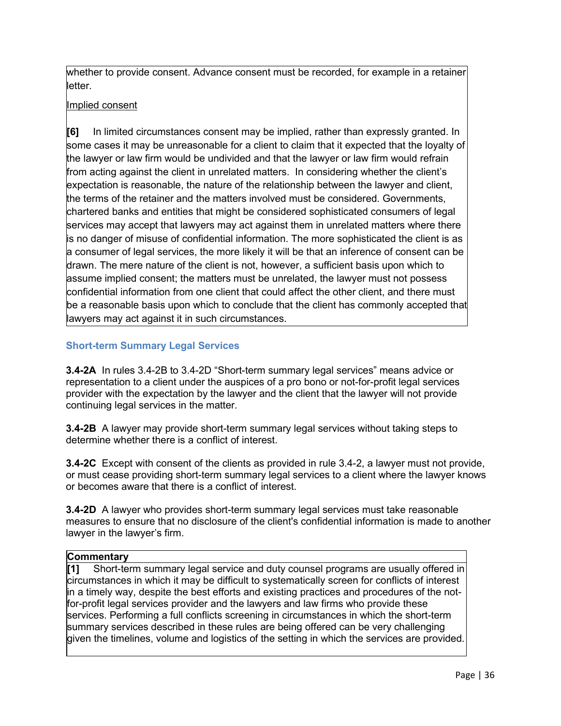whether to provide consent. Advance consent must be recorded, for example in a retainer letter.

## Implied consent

**[6]** In limited circumstances consent may be implied, rather than expressly granted. In some cases it may be unreasonable for a client to claim that it expected that the loyalty of the lawyer or law firm would be undivided and that the lawyer or law firm would refrain from acting against the client in unrelated matters. In considering whether the client's expectation is reasonable, the nature of the relationship between the lawyer and client, the terms of the retainer and the matters involved must be considered. Governments, chartered banks and entities that might be considered sophisticated consumers of legal services may accept that lawyers may act against them in unrelated matters where there is no danger of misuse of confidential information. The more sophisticated the client is as a consumer of legal services, the more likely it will be that an inference of consent can be drawn. The mere nature of the client is not, however, a sufficient basis upon which to assume implied consent; the matters must be unrelated, the lawyer must not possess confidential information from one client that could affect the other client, and there must be a reasonable basis upon which to conclude that the client has commonly accepted that lawyers may act against it in such circumstances.

## **Short-term Summary Legal Services**

**3.4-2A** In rules 3.4-2B to 3.4-2D "Short-term summary legal services" means advice or representation to a client under the auspices of a pro bono or not-for-profit legal services provider with the expectation by the lawyer and the client that the lawyer will not provide continuing legal services in the matter.

**3.4-2B** A lawyer may provide short-term summary legal services without taking steps to determine whether there is a conflict of interest.

**3.4-2C** Except with consent of the clients as provided in rule 3.4-2, a lawyer must not provide, or must cease providing short-term summary legal services to a client where the lawyer knows or becomes aware that there is a conflict of interest.

**3.4-2D** A lawyer who provides short-term summary legal services must take reasonable measures to ensure that no disclosure of the client's confidential information is made to another lawyer in the lawyer's firm.

#### **Commentary**

**[1]** Short-term summary legal service and duty counsel programs are usually offered in circumstances in which it may be difficult to systematically screen for conflicts of interest in a timely way, despite the best efforts and existing practices and procedures of the notfor-profit legal services provider and the lawyers and law firms who provide these services. Performing a full conflicts screening in circumstances in which the short-term summary services described in these rules are being offered can be very challenging given the timelines, volume and logistics of the setting in which the services are provided.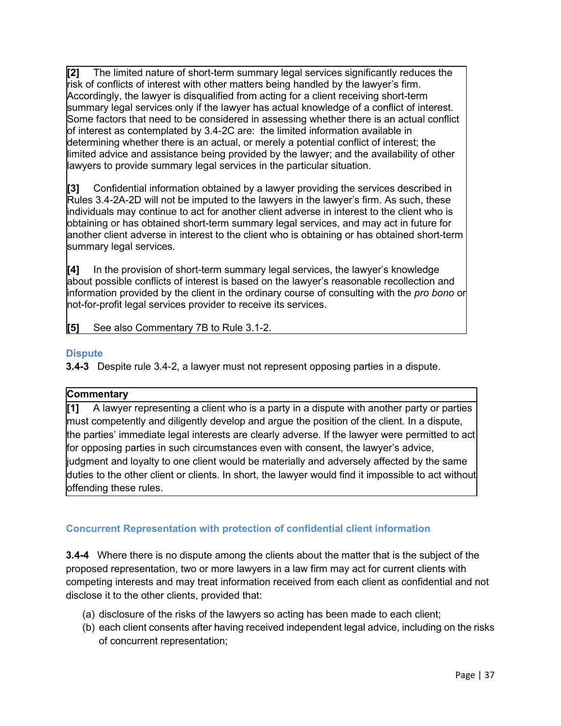**[2]** The limited nature of short-term summary legal services significantly reduces the risk of conflicts of interest with other matters being handled by the lawyer's firm. Accordingly, the lawyer is disqualified from acting for a client receiving short-term summary legal services only if the lawyer has actual knowledge of a conflict of interest. Some factors that need to be considered in assessing whether there is an actual conflict of interest as contemplated by 3.4-2C are: the limited information available in determining whether there is an actual, or merely a potential conflict of interest; the limited advice and assistance being provided by the lawyer; and the availability of other lawyers to provide summary legal services in the particular situation.

**[3]** Confidential information obtained by a lawyer providing the services described in Rules 3.4-2A-2D will not be imputed to the lawyers in the lawyer's firm. As such, these individuals may continue to act for another client adverse in interest to the client who is obtaining or has obtained short-term summary legal services, and may act in future for another client adverse in interest to the client who is obtaining or has obtained short-term summary legal services.

**[4]** In the provision of short-term summary legal services, the lawyer's knowledge about possible conflicts of interest is based on the lawyer's reasonable recollection and information provided by the client in the ordinary course of consulting with the *pro bono* or not-for-profit legal services provider to receive its services.

**[5]** See also Commentary 7B to Rule 3.1-2.

## **Dispute**

**3.4-3** Despite rule 3.4-2, a lawyer must not represent opposing parties in a dispute.

## **Commentary**

**[1]** A lawyer representing a client who is a party in a dispute with another party or parties must competently and diligently develop and argue the position of the client. In a dispute, the parties' immediate legal interests are clearly adverse. If the lawyer were permitted to act for opposing parties in such circumstances even with consent, the lawyer's advice, judgment and loyalty to one client would be materially and adversely affected by the same duties to the other client or clients. In short, the lawyer would find it impossible to act without offending these rules.

# **Concurrent Representation with protection of confidential client information**

**3.4-4** Where there is no dispute among the clients about the matter that is the subject of the proposed representation, two or more lawyers in a law firm may act for current clients with competing interests and may treat information received from each client as confidential and not disclose it to the other clients, provided that:

- (a) disclosure of the risks of the lawyers so acting has been made to each client;
- (b) each client consents after having received independent legal advice, including on the risks of concurrent representation;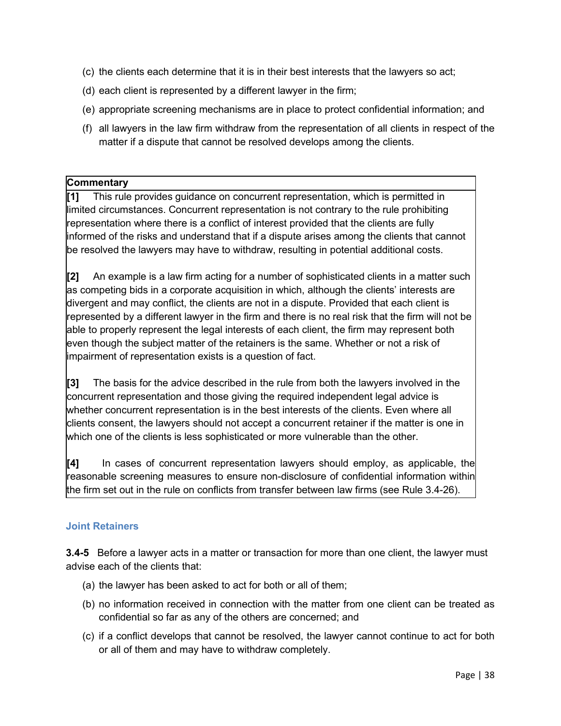- (c) the clients each determine that it is in their best interests that the lawyers so act;
- (d) each client is represented by a different lawyer in the firm;
- (e) appropriate screening mechanisms are in place to protect confidential information; and
- (f) all lawyers in the law firm withdraw from the representation of all clients in respect of the matter if a dispute that cannot be resolved develops among the clients.

**[1]** This rule provides guidance on concurrent representation, which is permitted in limited circumstances. Concurrent representation is not contrary to the rule prohibiting representation where there is a conflict of interest provided that the clients are fully informed of the risks and understand that if a dispute arises among the clients that cannot be resolved the lawyers may have to withdraw, resulting in potential additional costs.

**[2]** An example is a law firm acting for a number of sophisticated clients in a matter such as competing bids in a corporate acquisition in which, although the clients' interests are divergent and may conflict, the clients are not in a dispute. Provided that each client is represented by a different lawyer in the firm and there is no real risk that the firm will not be able to properly represent the legal interests of each client, the firm may represent both even though the subject matter of the retainers is the same. Whether or not a risk of impairment of representation exists is a question of fact.

**[3]** The basis for the advice described in the rule from both the lawyers involved in the concurrent representation and those giving the required independent legal advice is whether concurrent representation is in the best interests of the clients. Even where all clients consent, the lawyers should not accept a concurrent retainer if the matter is one in which one of the clients is less sophisticated or more vulnerable than the other.

**[4]** In cases of concurrent representation lawyers should employ, as applicable, the reasonable screening measures to ensure non-disclosure of confidential information within the firm set out in the rule on conflicts from transfer between law firms (see Rule 3.4-26).

#### **Joint Retainers**

**3.4-5** Before a lawyer acts in a matter or transaction for more than one client, the lawyer must advise each of the clients that:

- (a) the lawyer has been asked to act for both or all of them;
- (b) no information received in connection with the matter from one client can be treated as confidential so far as any of the others are concerned; and
- (c) if a conflict develops that cannot be resolved, the lawyer cannot continue to act for both or all of them and may have to withdraw completely.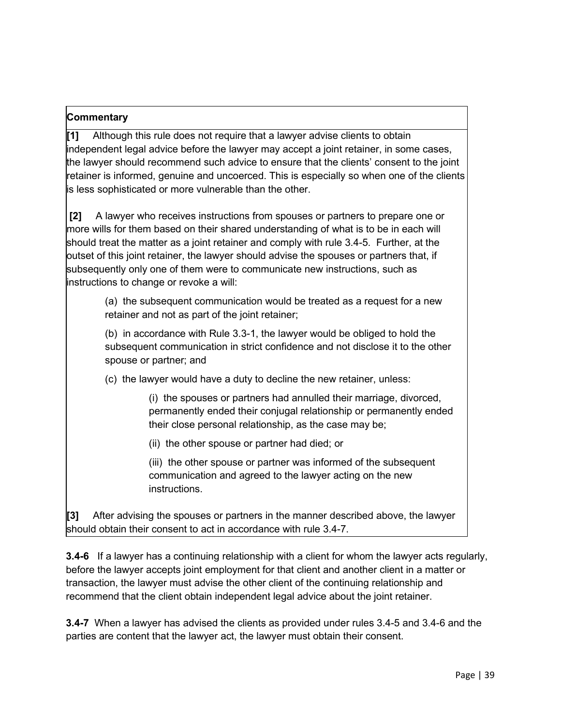**[1]** Although this rule does not require that a lawyer advise clients to obtain independent legal advice before the lawyer may accept a joint retainer, in some cases, the lawyer should recommend such advice to ensure that the clients' consent to the joint retainer is informed, genuine and uncoerced. This is especially so when one of the clients is less sophisticated or more vulnerable than the other.

**[2]** A lawyer who receives instructions from spouses or partners to prepare one or more wills for them based on their shared understanding of what is to be in each will should treat the matter as a joint retainer and comply with rule 3.4-5. Further, at the outset of this joint retainer, the lawyer should advise the spouses or partners that, if subsequently only one of them were to communicate new instructions, such as instructions to change or revoke a will:

> (a) the subsequent communication would be treated as a request for a new retainer and not as part of the joint retainer;

(b) in accordance with Rule 3.3-1, the lawyer would be obliged to hold the subsequent communication in strict confidence and not disclose it to the other spouse or partner; and

(c) the lawyer would have a duty to decline the new retainer, unless:

(i) the spouses or partners had annulled their marriage, divorced, permanently ended their conjugal relationship or permanently ended their close personal relationship, as the case may be;

(ii) the other spouse or partner had died; or

(iii) the other spouse or partner was informed of the subsequent communication and agreed to the lawyer acting on the new instructions.

**[3]** After advising the spouses or partners in the manner described above, the lawyer should obtain their consent to act in accordance with rule 3.4-7.

**3.4-6** If a lawyer has a continuing relationship with a client for whom the lawyer acts regularly, before the lawyer accepts joint employment for that client and another client in a matter or transaction, the lawyer must advise the other client of the continuing relationship and recommend that the client obtain independent legal advice about the joint retainer.

**3.4-7** When a lawyer has advised the clients as provided under rules 3.4-5 and 3.4-6 and the parties are content that the lawyer act, the lawyer must obtain their consent.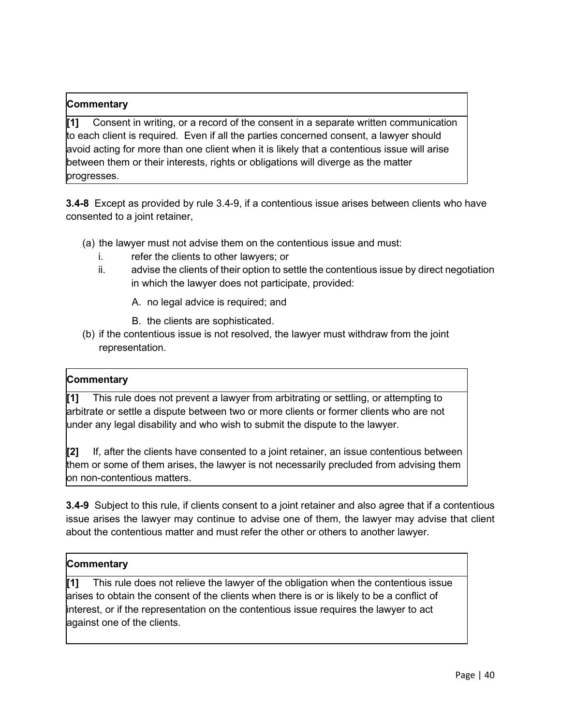**[1]** Consent in writing, or a record of the consent in a separate written communication to each client is required. Even if all the parties concerned consent, a lawyer should avoid acting for more than one client when it is likely that a contentious issue will arise between them or their interests, rights or obligations will diverge as the matter progresses.

**3.4-8** Except as provided by rule 3.4-9, if a contentious issue arises between clients who have consented to a joint retainer,

- (a) the lawyer must not advise them on the contentious issue and must:
	- i. refer the clients to other lawyers; or
	- ii. advise the clients of their option to settle the contentious issue by direct negotiation in which the lawyer does not participate, provided:
		- A. no legal advice is required; and
		- B. the clients are sophisticated.
- (b) if the contentious issue is not resolved, the lawyer must withdraw from the joint representation.

#### **Commentary**

**[1]** This rule does not prevent a lawyer from arbitrating or settling, or attempting to arbitrate or settle a dispute between two or more clients or former clients who are not under any legal disability and who wish to submit the dispute to the lawyer.

**[2]** If, after the clients have consented to a joint retainer, an issue contentious between them or some of them arises, the lawyer is not necessarily precluded from advising them on non-contentious matters.

**3.4-9** Subject to this rule, if clients consent to a joint retainer and also agree that if a contentious issue arises the lawyer may continue to advise one of them, the lawyer may advise that client about the contentious matter and must refer the other or others to another lawyer.

#### **Commentary**

**[1]** This rule does not relieve the lawyer of the obligation when the contentious issue arises to obtain the consent of the clients when there is or is likely to be a conflict of interest, or if the representation on the contentious issue requires the lawyer to act against one of the clients.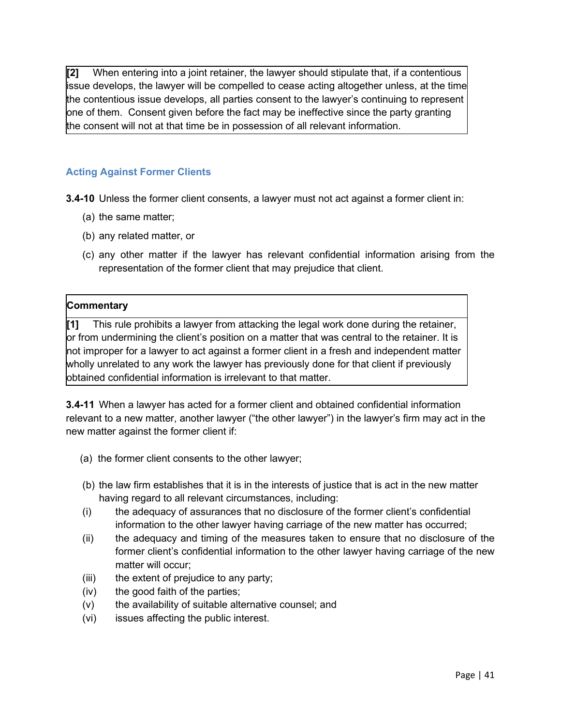**[2]** When entering into a joint retainer, the lawyer should stipulate that, if a contentious issue develops, the lawyer will be compelled to cease acting altogether unless, at the time the contentious issue develops, all parties consent to the lawyer's continuing to represent one of them. Consent given before the fact may be ineffective since the party granting the consent will not at that time be in possession of all relevant information.

## **Acting Against Former Clients**

**3.4-10** Unless the former client consents, a lawyer must not act against a former client in:

- (a) the same matter;
- (b) any related matter, or
- (c) any other matter if the lawyer has relevant confidential information arising from the representation of the former client that may prejudice that client.

## **Commentary**

**[1]** This rule prohibits a lawyer from attacking the legal work done during the retainer, or from undermining the client's position on a matter that was central to the retainer. It is not improper for a lawyer to act against a former client in a fresh and independent matter wholly unrelated to any work the lawyer has previously done for that client if previously obtained confidential information is irrelevant to that matter.

**3.4-11** When a lawyer has acted for a former client and obtained confidential information relevant to a new matter, another lawyer ("the other lawyer") in the lawyer's firm may act in the new matter against the former client if:

- (a) the former client consents to the other lawyer;
- (b) the law firm establishes that it is in the interests of justice that is act in the new matter having regard to all relevant circumstances, including:
- (i) the adequacy of assurances that no disclosure of the former client's confidential information to the other lawyer having carriage of the new matter has occurred;
- (ii) the adequacy and timing of the measures taken to ensure that no disclosure of the former client's confidential information to the other lawyer having carriage of the new matter will occur;
- (iii) the extent of prejudice to any party;
- (iv) the good faith of the parties;
- (v) the availability of suitable alternative counsel; and
- (vi) issues affecting the public interest.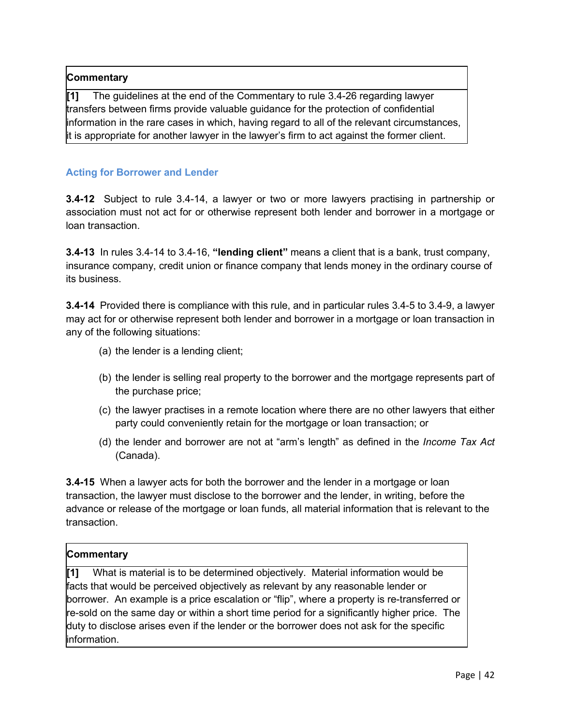**[1]** The guidelines at the end of the Commentary to rule 3.4-26 regarding lawyer transfers between firms provide valuable guidance for the protection of confidential information in the rare cases in which, having regard to all of the relevant circumstances, it is appropriate for another lawyer in the lawyer's firm to act against the former client.

## **Acting for Borrower and Lender**

**3.4-12** Subject to rule 3.4-14, a lawyer or two or more lawyers practising in partnership or association must not act for or otherwise represent both lender and borrower in a mortgage or loan transaction.

**3.4-13** In rules 3.4-14 to 3.4-16, **"lending client"** means a client that is a bank, trust company, insurance company, credit union or finance company that lends money in the ordinary course of its business.

**3.4-14** Provided there is compliance with this rule, and in particular rules 3.4-5 to 3.4-9, a lawyer may act for or otherwise represent both lender and borrower in a mortgage or loan transaction in any of the following situations:

- (a) the lender is a lending client;
- (b) the lender is selling real property to the borrower and the mortgage represents part of the purchase price;
- (c) the lawyer practises in a remote location where there are no other lawyers that either party could conveniently retain for the mortgage or loan transaction; or
- (d) the lender and borrower are not at "arm's length" as defined in the *Income Tax Act* (Canada).

**3.4-15** When a lawyer acts for both the borrower and the lender in a mortgage or loan transaction, the lawyer must disclose to the borrower and the lender, in writing, before the advance or release of the mortgage or loan funds, all material information that is relevant to the transaction.

#### **Commentary**

**[1]** What is material is to be determined objectively. Material information would be facts that would be perceived objectively as relevant by any reasonable lender or borrower. An example is a price escalation or "flip", where a property is re-transferred or re-sold on the same day or within a short time period for a significantly higher price. The duty to disclose arises even if the lender or the borrower does not ask for the specific information.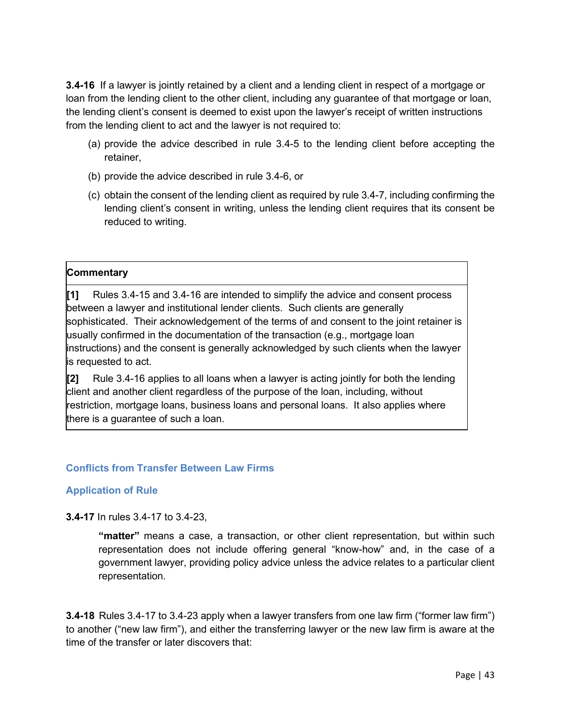**3.4-16** If a lawyer is jointly retained by a client and a lending client in respect of a mortgage or loan from the lending client to the other client, including any guarantee of that mortgage or loan, the lending client's consent is deemed to exist upon the lawyer's receipt of written instructions from the lending client to act and the lawyer is not required to:

- (a) provide the advice described in rule 3.4-5 to the lending client before accepting the retainer,
- (b) provide the advice described in rule 3.4-6, or
- (c) obtain the consent of the lending client as required by rule 3.4-7, including confirming the lending client's consent in writing, unless the lending client requires that its consent be reduced to writing.

## **Commentary**

**[1]** Rules 3.4-15 and 3.4-16 are intended to simplify the advice and consent process between a lawyer and institutional lender clients. Such clients are generally sophisticated. Their acknowledgement of the terms of and consent to the joint retainer is usually confirmed in the documentation of the transaction (e.g., mortgage loan instructions) and the consent is generally acknowledged by such clients when the lawyer is requested to act.

**[2]** Rule 3.4-16 applies to all loans when a lawyer is acting jointly for both the lending client and another client regardless of the purpose of the loan, including, without restriction, mortgage loans, business loans and personal loans. It also applies where there is a guarantee of such a loan.

#### **Conflicts from Transfer Between Law Firms**

#### **Application of Rule**

**3.4-17** In rules 3.4-17 to 3.4-23,

**"matter"** means a case, a transaction, or other client representation, but within such representation does not include offering general "know-how" and, in the case of a government lawyer, providing policy advice unless the advice relates to a particular client representation.

**3.4-18** Rules 3.4-17 to 3.4-23 apply when a lawyer transfers from one law firm ("former law firm") to another ("new law firm"), and either the transferring lawyer or the new law firm is aware at the time of the transfer or later discovers that: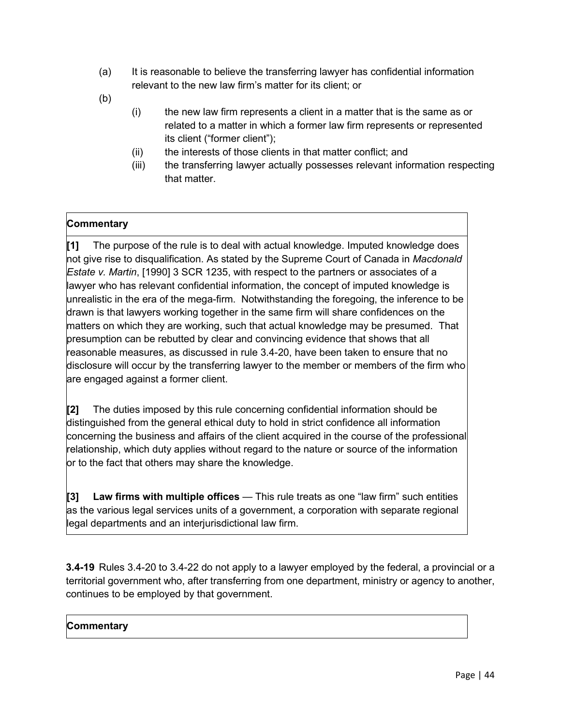- (a) It is reasonable to believe the transferring lawyer has confidential information relevant to the new law firm's matter for its client; or
- (b)
- (i) the new law firm represents a client in a matter that is the same as or related to a matter in which a former law firm represents or represented its client ("former client");
- (ii) the interests of those clients in that matter conflict; and
- (iii) the transferring lawyer actually possesses relevant information respecting that matter.

**[1]** The purpose of the rule is to deal with actual knowledge. Imputed knowledge does not give rise to disqualification. As stated by the Supreme Court of Canada in *Macdonald Estate v. Martin*, [1990] 3 SCR 1235, with respect to the partners or associates of a lawyer who has relevant confidential information, the concept of imputed knowledge is unrealistic in the era of the mega-firm. Notwithstanding the foregoing, the inference to be drawn is that lawyers working together in the same firm will share confidences on the matters on which they are working, such that actual knowledge may be presumed. That presumption can be rebutted by clear and convincing evidence that shows that all reasonable measures, as discussed in rule 3.4-20, have been taken to ensure that no disclosure will occur by the transferring lawyer to the member or members of the firm who are engaged against a former client.

**[2]** The duties imposed by this rule concerning confidential information should be distinguished from the general ethical duty to hold in strict confidence all information concerning the business and affairs of the client acquired in the course of the professional relationship, which duty applies without regard to the nature or source of the information or to the fact that others may share the knowledge.

**[3] Law firms with multiple offices** — This rule treats as one "law firm" such entities as the various legal services units of a government, a corporation with separate regional legal departments and an interjurisdictional law firm.

**3.4-19** Rules 3.4-20 to 3.4-22 do not apply to a lawyer employed by the federal, a provincial or a territorial government who, after transferring from one department, ministry or agency to another, continues to be employed by that government.

#### **Commentary**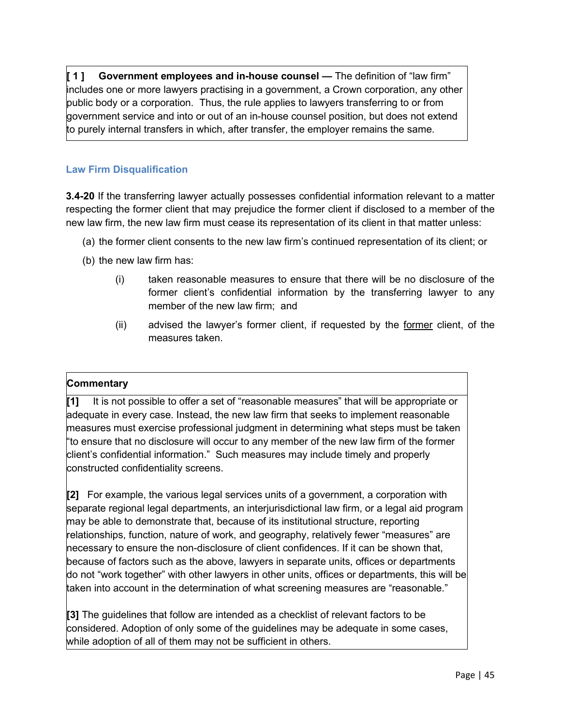**[ 1 ] Government employees and in-house counsel —** The definition of "law firm" includes one or more lawyers practising in a government, a Crown corporation, any other public body or a corporation. Thus, the rule applies to lawyers transferring to or from government service and into or out of an in-house counsel position, but does not extend to purely internal transfers in which, after transfer, the employer remains the same.

## **Law Firm Disqualification**

**3.4-20** If the transferring lawyer actually possesses confidential information relevant to a matter respecting the former client that may prejudice the former client if disclosed to a member of the new law firm, the new law firm must cease its representation of its client in that matter unless:

- (a) the former client consents to the new law firm's continued representation of its client; or
- (b) the new law firm has:
	- (i) taken reasonable measures to ensure that there will be no disclosure of the former client's confidential information by the transferring lawyer to any member of the new law firm; and
	- (ii) advised the lawyer's former client, if requested by the former client, of the measures taken.

## **Commentary**

**[1]** It is not possible to offer a set of "reasonable measures" that will be appropriate or adequate in every case. Instead, the new law firm that seeks to implement reasonable measures must exercise professional judgment in determining what steps must be taken "to ensure that no disclosure will occur to any member of the new law firm of the former client's confidential information." Such measures may include timely and properly constructed confidentiality screens.

**[2]** For example, the various legal services units of a government, a corporation with separate regional legal departments, an interjurisdictional law firm, or a legal aid program may be able to demonstrate that, because of its institutional structure, reporting relationships, function, nature of work, and geography, relatively fewer "measures" are necessary to ensure the non-disclosure of client confidences. If it can be shown that, because of factors such as the above, lawyers in separate units, offices or departments do not "work together" with other lawyers in other units, offices or departments, this will be taken into account in the determination of what screening measures are "reasonable."

**[3]** The guidelines that follow are intended as a checklist of relevant factors to be considered. Adoption of only some of the guidelines may be adequate in some cases, while adoption of all of them may not be sufficient in others.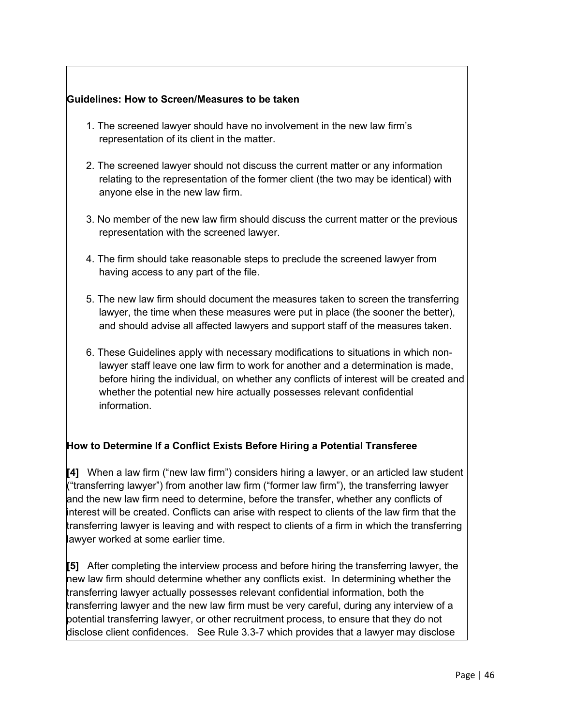## **Guidelines: How to Screen/Measures to be taken**

- 1. The screened lawyer should have no involvement in the new law firm's representation of its client in the matter.
- 2. The screened lawyer should not discuss the current matter or any information relating to the representation of the former client (the two may be identical) with anyone else in the new law firm.
- 3. No member of the new law firm should discuss the current matter or the previous representation with the screened lawyer.
- 4. The firm should take reasonable steps to preclude the screened lawyer from having access to any part of the file.
- 5. The new law firm should document the measures taken to screen the transferring lawyer, the time when these measures were put in place (the sooner the better), and should advise all affected lawyers and support staff of the measures taken.
- 6. These Guidelines apply with necessary modifications to situations in which nonlawyer staff leave one law firm to work for another and a determination is made, before hiring the individual, on whether any conflicts of interest will be created and whether the potential new hire actually possesses relevant confidential information.

## **How to Determine If a Conflict Exists Before Hiring a Potential Transferee**

**[4]** When a law firm ("new law firm") considers hiring a lawyer, or an articled law student ("transferring lawyer") from another law firm ("former law firm"), the transferring lawyer and the new law firm need to determine, before the transfer, whether any conflicts of interest will be created. Conflicts can arise with respect to clients of the law firm that the transferring lawyer is leaving and with respect to clients of a firm in which the transferring lawyer worked at some earlier time.

**[5]** After completing the interview process and before hiring the transferring lawyer, the new law firm should determine whether any conflicts exist. In determining whether the transferring lawyer actually possesses relevant confidential information, both the transferring lawyer and the new law firm must be very careful, during any interview of a potential transferring lawyer, or other recruitment process, to ensure that they do not disclose client confidences. See Rule 3.3-7 which provides that a lawyer may disclose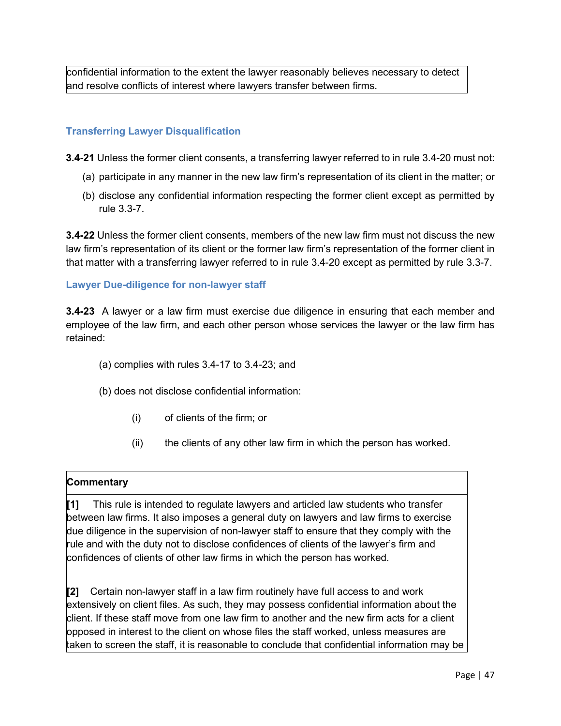confidential information to the extent the lawyer reasonably believes necessary to detect and resolve conflicts of interest where lawyers transfer between firms.

## **Transferring Lawyer Disqualification**

**3.4-21** Unless the former client consents, a transferring lawyer referred to in rule 3.4-20 must not:

- (a) participate in any manner in the new law firm's representation of its client in the matter; or
- (b) disclose any confidential information respecting the former client except as permitted by rule 3.3-7.

**3.4-22** Unless the former client consents, members of the new law firm must not discuss the new law firm's representation of its client or the former law firm's representation of the former client in that matter with a transferring lawyer referred to in rule 3.4-20 except as permitted by rule 3.3-7.

## **Lawyer Due-diligence for non-lawyer staff**

**3.4-23** A lawyer or a law firm must exercise due diligence in ensuring that each member and employee of the law firm, and each other person whose services the lawyer or the law firm has retained:

- (a) complies with rules 3.4-17 to 3.4-23; and
- (b) does not disclose confidential information:
	- (i) of clients of the firm; or
	- (ii) the clients of any other law firm in which the person has worked.

## **Commentary**

**[1]** This rule is intended to regulate lawyers and articled law students who transfer between law firms. It also imposes a general duty on lawyers and law firms to exercise due diligence in the supervision of non-lawyer staff to ensure that they comply with the rule and with the duty not to disclose confidences of clients of the lawyer's firm and confidences of clients of other law firms in which the person has worked.

**[2]** Certain non-lawyer staff in a law firm routinely have full access to and work extensively on client files. As such, they may possess confidential information about the client. If these staff move from one law firm to another and the new firm acts for a client opposed in interest to the client on whose files the staff worked, unless measures are taken to screen the staff, it is reasonable to conclude that confidential information may be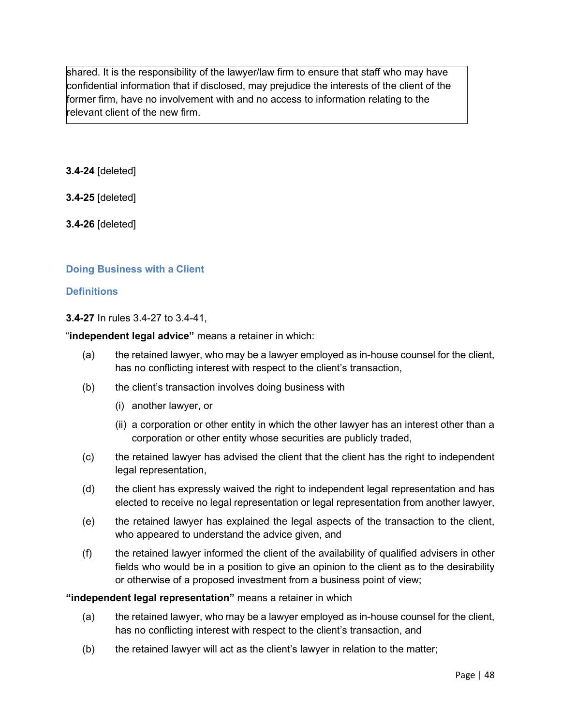shared. It is the responsibility of the lawyer/law firm to ensure that staff who may have confidential information that if disclosed, may prejudice the interests of the client of the former firm, have no involvement with and no access to information relating to the relevant client of the new firm.

**3.4-24** [deleted]

**3.4-25** [deleted]

**3.4-26** [deleted]

#### **Doing Business with a Client**

#### **Definitions**

**3.4-27** In rules 3.4-27 to 3.4-41,

"**independent legal advice"** means a retainer in which:

- (a) the retained lawyer, who may be a lawyer employed as in-house counsel for the client, has no conflicting interest with respect to the client's transaction,
- (b) the client's transaction involves doing business with
	- (i) another lawyer, or
	- (ii) a corporation or other entity in which the other lawyer has an interest other than a corporation or other entity whose securities are publicly traded,
- (c) the retained lawyer has advised the client that the client has the right to independent legal representation,
- (d) the client has expressly waived the right to independent legal representation and has elected to receive no legal representation or legal representation from another lawyer,
- (e) the retained lawyer has explained the legal aspects of the transaction to the client, who appeared to understand the advice given, and
- (f) the retained lawyer informed the client of the availability of qualified advisers in other fields who would be in a position to give an opinion to the client as to the desirability or otherwise of a proposed investment from a business point of view;

**"independent legal representation"** means a retainer in which

- (a) the retained lawyer, who may be a lawyer employed as in-house counsel for the client, has no conflicting interest with respect to the client's transaction, and
- (b) the retained lawyer will act as the client's lawyer in relation to the matter;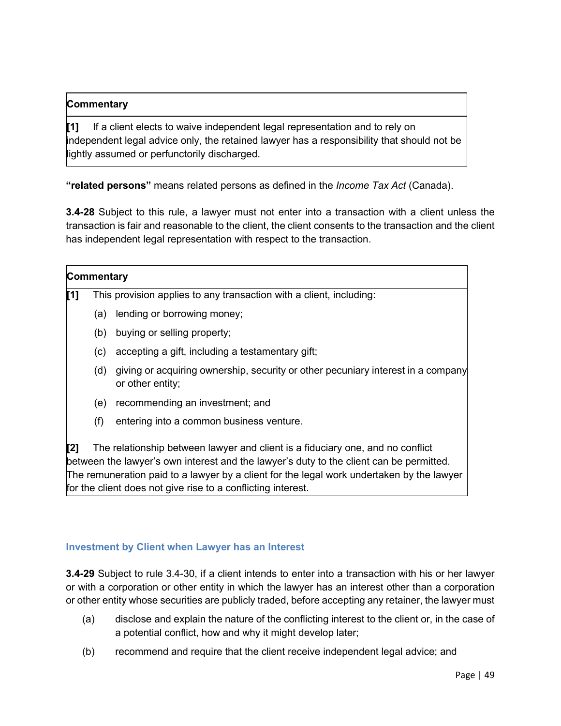**[1]** If a client elects to waive independent legal representation and to rely on independent legal advice only, the retained lawyer has a responsibility that should not be lightly assumed or perfunctorily discharged.

**"related persons"** means related persons as defined in the *Income Tax Act* (Canada).

**3.4-28** Subject to this rule, a lawyer must not enter into a transaction with a client unless the transaction is fair and reasonable to the client, the client consents to the transaction and the client has independent legal representation with respect to the transaction.

# **Commentary [1]** This provision applies to any transaction with a client, including: (a) lending or borrowing money; (b) buying or selling property; (c) accepting a gift, including a testamentary gift; (d) giving or acquiring ownership, security or other pecuniary interest in a company or other entity; (e) recommending an investment; and (f) entering into a common business venture.

**[2]** The relationship between lawyer and client is a fiduciary one, and no conflict between the lawyer's own interest and the lawyer's duty to the client can be permitted. The remuneration paid to a lawyer by a client for the legal work undertaken by the lawyer for the client does not give rise to a conflicting interest.

## **Investment by Client when Lawyer has an Interest**

**3.4-29** Subject to rule 3.4-30, if a client intends to enter into a transaction with his or her lawyer or with a corporation or other entity in which the lawyer has an interest other than a corporation or other entity whose securities are publicly traded, before accepting any retainer, the lawyer must

- (a) disclose and explain the nature of the conflicting interest to the client or, in the case of a potential conflict, how and why it might develop later;
- (b) recommend and require that the client receive independent legal advice; and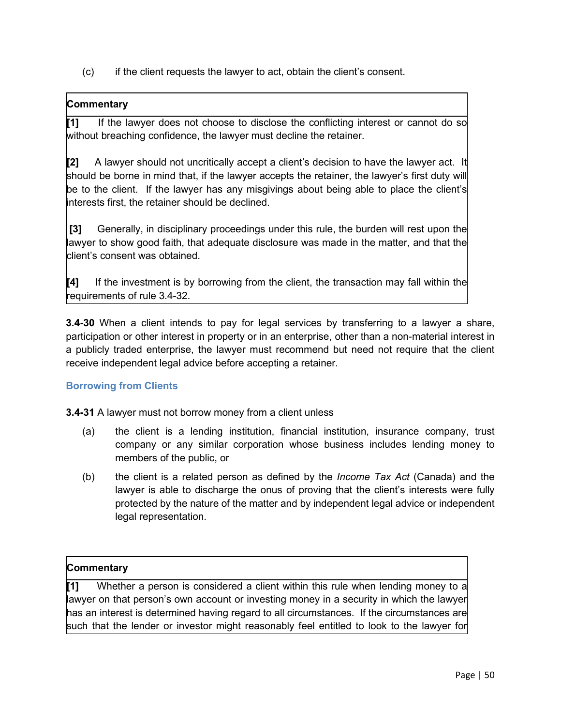(c) if the client requests the lawyer to act, obtain the client's consent.

## **Commentary**

**[1]** If the lawyer does not choose to disclose the conflicting interest or cannot do so without breaching confidence, the lawyer must decline the retainer.

**[2]** A lawyer should not uncritically accept a client's decision to have the lawyer act. It should be borne in mind that, if the lawyer accepts the retainer, the lawyer's first duty will be to the client. If the lawyer has any misgivings about being able to place the client's interests first, the retainer should be declined.

**[3]** Generally, in disciplinary proceedings under this rule, the burden will rest upon the lawyer to show good faith, that adequate disclosure was made in the matter, and that the client's consent was obtained.

**[4]** If the investment is by borrowing from the client, the transaction may fall within the requirements of rule 3.4-32.

**3.4-30** When a client intends to pay for legal services by transferring to a lawyer a share, participation or other interest in property or in an enterprise, other than a non-material interest in a publicly traded enterprise, the lawyer must recommend but need not require that the client receive independent legal advice before accepting a retainer.

#### **Borrowing from Clients**

**3.4-31** A lawyer must not borrow money from a client unless

- (a) the client is a lending institution, financial institution, insurance company, trust company or any similar corporation whose business includes lending money to members of the public, or
- (b) the client is a related person as defined by the *Income Tax Act* (Canada) and the lawyer is able to discharge the onus of proving that the client's interests were fully protected by the nature of the matter and by independent legal advice or independent legal representation.

#### **Commentary**

**[1]** Whether a person is considered a client within this rule when lending money to a lawyer on that person's own account or investing money in a security in which the lawyer has an interest is determined having regard to all circumstances. If the circumstances are such that the lender or investor might reasonably feel entitled to look to the lawyer for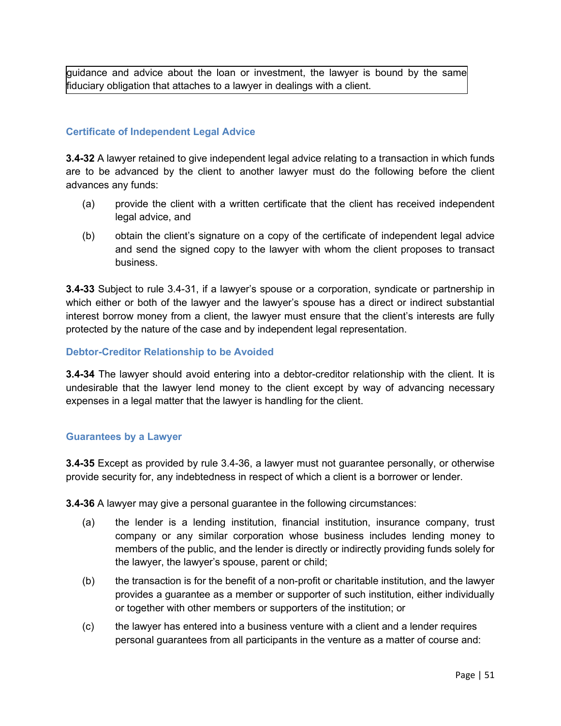guidance and advice about the loan or investment, the lawyer is bound by the same fiduciary obligation that attaches to a lawyer in dealings with a client.

## **Certificate of Independent Legal Advice**

**3.4-32** A lawyer retained to give independent legal advice relating to a transaction in which funds are to be advanced by the client to another lawyer must do the following before the client advances any funds:

- (a) provide the client with a written certificate that the client has received independent legal advice, and
- (b) obtain the client's signature on a copy of the certificate of independent legal advice and send the signed copy to the lawyer with whom the client proposes to transact business.

**3.4-33** Subject to rule 3.4-31, if a lawyer's spouse or a corporation, syndicate or partnership in which either or both of the lawyer and the lawyer's spouse has a direct or indirect substantial interest borrow money from a client, the lawyer must ensure that the client's interests are fully protected by the nature of the case and by independent legal representation.

#### **Debtor-Creditor Relationship to be Avoided**

**3.4-34** The lawyer should avoid entering into a debtor-creditor relationship with the client. It is undesirable that the lawyer lend money to the client except by way of advancing necessary expenses in a legal matter that the lawyer is handling for the client.

#### **Guarantees by a Lawyer**

**3.4-35** Except as provided by rule 3.4-36, a lawyer must not guarantee personally, or otherwise provide security for, any indebtedness in respect of which a client is a borrower or lender.

**3.4-36** A lawyer may give a personal guarantee in the following circumstances:

- (a) the lender is a lending institution, financial institution, insurance company, trust company or any similar corporation whose business includes lending money to members of the public, and the lender is directly or indirectly providing funds solely for the lawyer, the lawyer's spouse, parent or child;
- (b) the transaction is for the benefit of a non-profit or charitable institution, and the lawyer provides a guarantee as a member or supporter of such institution, either individually or together with other members or supporters of the institution; or
- (c) the lawyer has entered into a business venture with a client and a lender requires personal guarantees from all participants in the venture as a matter of course and: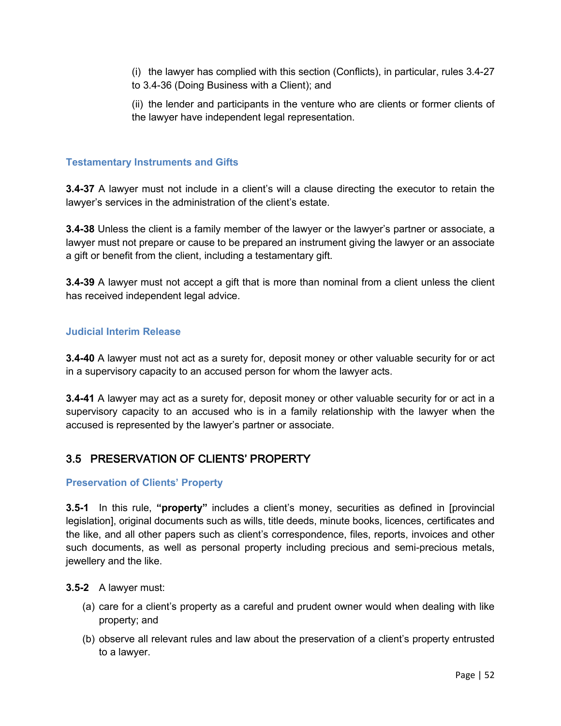- (i) the lawyer has complied with this section (Conflicts), in particular, rules 3.4-27 to 3.4-36 (Doing Business with a Client); and
- (ii) the lender and participants in the venture who are clients or former clients of the lawyer have independent legal representation.

## **Testamentary Instruments and Gifts**

**3.4-37** A lawyer must not include in a client's will a clause directing the executor to retain the lawyer's services in the administration of the client's estate.

**3.4-38** Unless the client is a family member of the lawyer or the lawyer's partner or associate, a lawyer must not prepare or cause to be prepared an instrument giving the lawyer or an associate a gift or benefit from the client, including a testamentary gift.

**3.4-39** A lawyer must not accept a gift that is more than nominal from a client unless the client has received independent legal advice.

#### **Judicial Interim Release**

**3.4-40** A lawyer must not act as a surety for, deposit money or other valuable security for or act in a supervisory capacity to an accused person for whom the lawyer acts.

**3.4-41** A lawyer may act as a surety for, deposit money or other valuable security for or act in a supervisory capacity to an accused who is in a family relationship with the lawyer when the accused is represented by the lawyer's partner or associate.

## 3.5 PRESERVATION OF CLIENTS' PROPERTY

#### **Preservation of Clients' Property**

**3.5-1** In this rule, **"property"** includes a client's money, securities as defined in [provincial legislation], original documents such as wills, title deeds, minute books, licences, certificates and the like, and all other papers such as client's correspondence, files, reports, invoices and other such documents, as well as personal property including precious and semi-precious metals, jewellery and the like.

#### **3.5-2** A lawyer must:

- (a) care for a client's property as a careful and prudent owner would when dealing with like property; and
- (b) observe all relevant rules and law about the preservation of a client's property entrusted to a lawyer.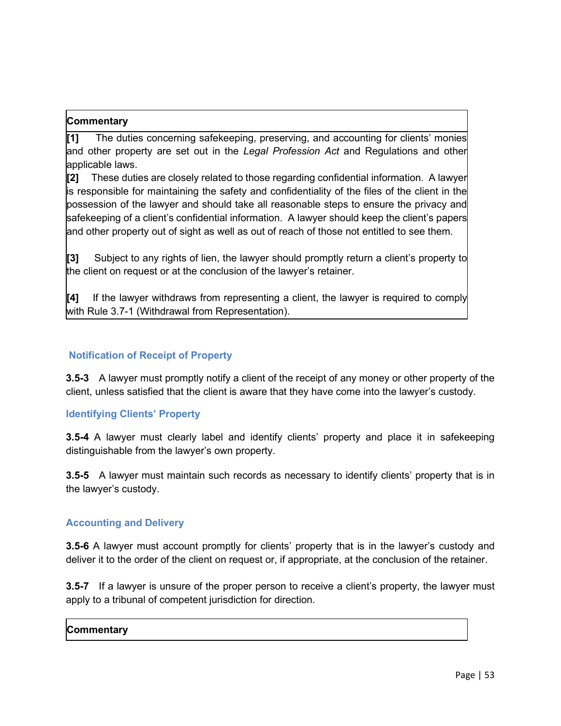**[1]** The duties concerning safekeeping, preserving, and accounting for clients' monies and other property are set out in the *Legal Profession Act* and Regulations and other applicable laws.

**[2]** These duties are closely related to those regarding confidential information. A lawyer is responsible for maintaining the safety and confidentiality of the files of the client in the possession of the lawyer and should take all reasonable steps to ensure the privacy and safekeeping of a client's confidential information. A lawyer should keep the client's papers and other property out of sight as well as out of reach of those not entitled to see them.

**[3]** Subject to any rights of lien, the lawyer should promptly return a client's property to the client on request or at the conclusion of the lawyer's retainer.

**[4]** If the lawyer withdraws from representing a client, the lawyer is required to comply with Rule 3.7-1 (Withdrawal from Representation).

## **Notification of Receipt of Property**

**3.5-3** A lawyer must promptly notify a client of the receipt of any money or other property of the client, unless satisfied that the client is aware that they have come into the lawyer's custody.

#### **Identifying Clients' Property**

**3.5-4** A lawyer must clearly label and identify clients' property and place it in safekeeping distinguishable from the lawyer's own property.

**3.5-5** A lawyer must maintain such records as necessary to identify clients' property that is in the lawyer's custody.

#### **Accounting and Delivery**

**3.5-6** A lawyer must account promptly for clients' property that is in the lawyer's custody and deliver it to the order of the client on request or, if appropriate, at the conclusion of the retainer.

**3.5-7** If a lawyer is unsure of the proper person to receive a client's property, the lawyer must apply to a tribunal of competent jurisdiction for direction.

#### **Commentary**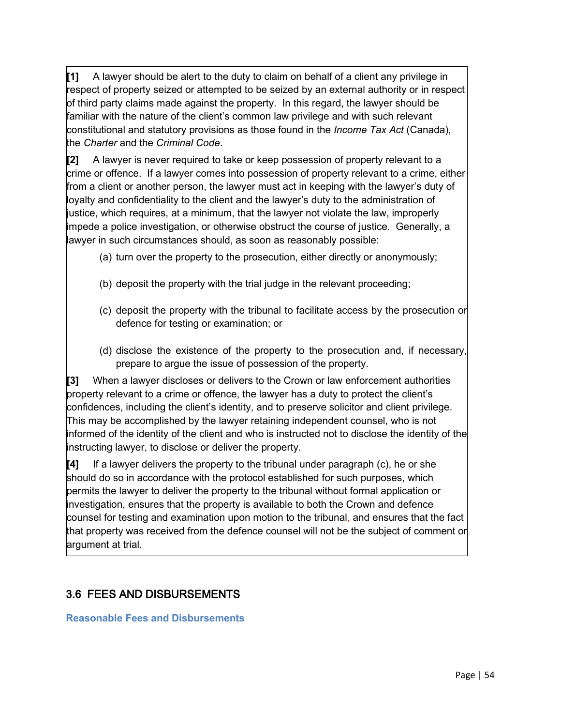**[1]** A lawyer should be alert to the duty to claim on behalf of a client any privilege in respect of property seized or attempted to be seized by an external authority or in respect of third party claims made against the property. In this regard, the lawyer should be familiar with the nature of the client's common law privilege and with such relevant constitutional and statutory provisions as those found in the *Income Tax Act* (Canada), the *Charter* and the *Criminal Code*.

**[2]** A lawyer is never required to take or keep possession of property relevant to a crime or offence. If a lawyer comes into possession of property relevant to a crime, either from a client or another person, the lawyer must act in keeping with the lawyer's duty of loyalty and confidentiality to the client and the lawyer's duty to the administration of justice, which requires, at a minimum, that the lawyer not violate the law, improperly impede a police investigation, or otherwise obstruct the course of justice. Generally, a lawyer in such circumstances should, as soon as reasonably possible:

- (a) turn over the property to the prosecution, either directly or anonymously;
- (b) deposit the property with the trial judge in the relevant proceeding;
- (c) deposit the property with the tribunal to facilitate access by the prosecution or defence for testing or examination; or
- (d) disclose the existence of the property to the prosecution and, if necessary, prepare to argue the issue of possession of the property.

**[3]** When a lawyer discloses or delivers to the Crown or law enforcement authorities property relevant to a crime or offence, the lawyer has a duty to protect the client's confidences, including the client's identity, and to preserve solicitor and client privilege. This may be accomplished by the lawyer retaining independent counsel, who is not informed of the identity of the client and who is instructed not to disclose the identity of the instructing lawyer, to disclose or deliver the property.

**[4]** If a lawyer delivers the property to the tribunal under paragraph (c), he or she should do so in accordance with the protocol established for such purposes, which permits the lawyer to deliver the property to the tribunal without formal application or investigation, ensures that the property is available to both the Crown and defence counsel for testing and examination upon motion to the tribunal, and ensures that the fact that property was received from the defence counsel will not be the subject of comment or argument at trial.

# 3.6 FEES AND DISBURSEMENTS

**Reasonable Fees and Disbursements**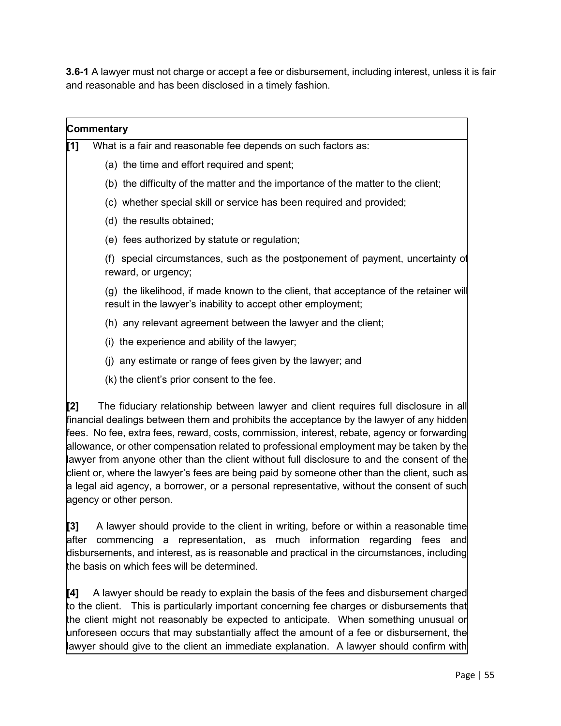**3.6-1** A lawyer must not charge or accept a fee or disbursement, including interest, unless it is fair and reasonable and has been disclosed in a timely fashion.

|             | Commentary                                                                                                                                                                                                                                                                                                                                                                                                                                                                                                                                                                                                                                                                                      |
|-------------|-------------------------------------------------------------------------------------------------------------------------------------------------------------------------------------------------------------------------------------------------------------------------------------------------------------------------------------------------------------------------------------------------------------------------------------------------------------------------------------------------------------------------------------------------------------------------------------------------------------------------------------------------------------------------------------------------|
| [1]         | What is a fair and reasonable fee depends on such factors as:                                                                                                                                                                                                                                                                                                                                                                                                                                                                                                                                                                                                                                   |
|             | (a) the time and effort required and spent;                                                                                                                                                                                                                                                                                                                                                                                                                                                                                                                                                                                                                                                     |
|             | (b) the difficulty of the matter and the importance of the matter to the client;                                                                                                                                                                                                                                                                                                                                                                                                                                                                                                                                                                                                                |
|             | (c) whether special skill or service has been required and provided;                                                                                                                                                                                                                                                                                                                                                                                                                                                                                                                                                                                                                            |
|             | (d) the results obtained;                                                                                                                                                                                                                                                                                                                                                                                                                                                                                                                                                                                                                                                                       |
|             | (e) fees authorized by statute or regulation;                                                                                                                                                                                                                                                                                                                                                                                                                                                                                                                                                                                                                                                   |
|             | (f) special circumstances, such as the postponement of payment, uncertainty of<br>reward, or urgency;                                                                                                                                                                                                                                                                                                                                                                                                                                                                                                                                                                                           |
|             | (g) the likelihood, if made known to the client, that acceptance of the retainer will<br>result in the lawyer's inability to accept other employment;                                                                                                                                                                                                                                                                                                                                                                                                                                                                                                                                           |
|             | (h) any relevant agreement between the lawyer and the client;                                                                                                                                                                                                                                                                                                                                                                                                                                                                                                                                                                                                                                   |
|             | (i) the experience and ability of the lawyer;                                                                                                                                                                                                                                                                                                                                                                                                                                                                                                                                                                                                                                                   |
|             | (j) any estimate or range of fees given by the lawyer; and                                                                                                                                                                                                                                                                                                                                                                                                                                                                                                                                                                                                                                      |
|             | (k) the client's prior consent to the fee.                                                                                                                                                                                                                                                                                                                                                                                                                                                                                                                                                                                                                                                      |
| [2]         | The fiduciary relationship between lawyer and client requires full disclosure in all<br>financial dealings between them and prohibits the acceptance by the lawyer of any hidden<br>fees. No fee, extra fees, reward, costs, commission, interest, rebate, agency or forwarding<br>allowance, or other compensation related to professional employment may be taken by the<br>lawyer from anyone other than the client without full disclosure to and the consent of the<br>client or, where the lawyer's fees are being paid by someone other than the client, such as<br>a legal aid agency, a borrower, or a personal representative, without the consent of such<br>agency or other person. |
| [3]<br>-4-- | A lawyer should provide to the client in writing, before or within a reasonable time<br>componente o representation es mundo information regenting foes                                                                                                                                                                                                                                                                                                                                                                                                                                                                                                                                         |

after commencing a representation, as much information regarding fees and disbursements, and interest, as is reasonable and practical in the circumstances, including the basis on which fees will be determined.

**[4]** A lawyer should be ready to explain the basis of the fees and disbursement charged to the client. This is particularly important concerning fee charges or disbursements that the client might not reasonably be expected to anticipate. When something unusual or unforeseen occurs that may substantially affect the amount of a fee or disbursement, the lawyer should give to the client an immediate explanation. A lawyer should confirm with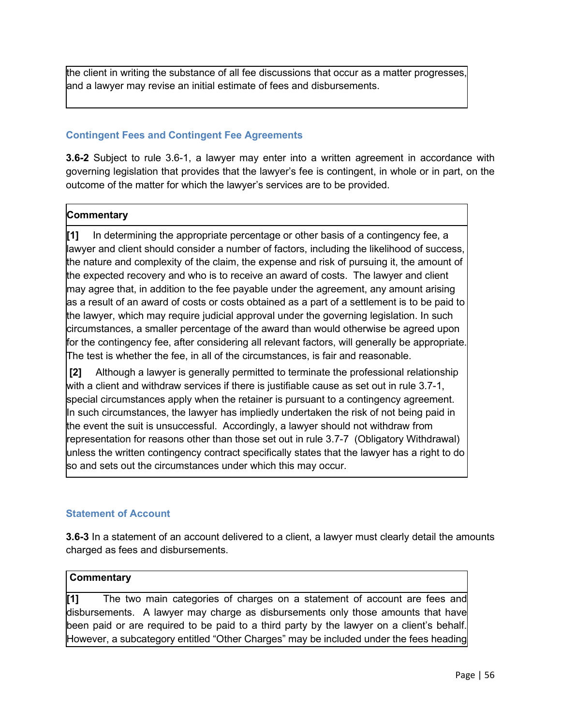the client in writing the substance of all fee discussions that occur as a matter progresses, and a lawyer may revise an initial estimate of fees and disbursements.

## **Contingent Fees and Contingent Fee Agreements**

**3.6-2** Subject to rule 3.6-1, a lawyer may enter into a written agreement in accordance with governing legislation that provides that the lawyer's fee is contingent, in whole or in part, on the outcome of the matter for which the lawyer's services are to be provided.

## **Commentary**

**[1]** In determining the appropriate percentage or other basis of a contingency fee, a lawyer and client should consider a number of factors, including the likelihood of success, the nature and complexity of the claim, the expense and risk of pursuing it, the amount of the expected recovery and who is to receive an award of costs. The lawyer and client may agree that, in addition to the fee payable under the agreement, any amount arising as a result of an award of costs or costs obtained as a part of a settlement is to be paid to the lawyer, which may require judicial approval under the governing legislation. In such circumstances, a smaller percentage of the award than would otherwise be agreed upon for the contingency fee, after considering all relevant factors, will generally be appropriate. The test is whether the fee, in all of the circumstances, is fair and reasonable.

**[2]** Although a lawyer is generally permitted to terminate the professional relationship with a client and withdraw services if there is justifiable cause as set out in rule 3.7-1, special circumstances apply when the retainer is pursuant to a contingency agreement. In such circumstances, the lawyer has impliedly undertaken the risk of not being paid in the event the suit is unsuccessful. Accordingly, a lawyer should not withdraw from representation for reasons other than those set out in rule 3.7-7 (Obligatory Withdrawal) unless the written contingency contract specifically states that the lawyer has a right to do so and sets out the circumstances under which this may occur.

## **Statement of Account**

**3.6-3** In a statement of an account delivered to a client, a lawyer must clearly detail the amounts charged as fees and disbursements.

#### **Commentary**

**[1]** The two main categories of charges on a statement of account are fees and disbursements. A lawyer may charge as disbursements only those amounts that have been paid or are required to be paid to a third party by the lawyer on a client's behalf. However, a subcategory entitled "Other Charges" may be included under the fees heading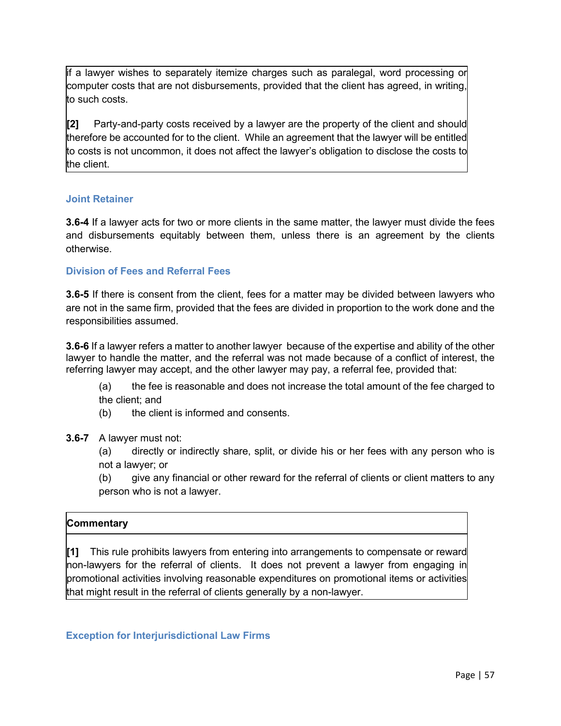if a lawyer wishes to separately itemize charges such as paralegal, word processing or computer costs that are not disbursements, provided that the client has agreed, in writing, to such costs.

**[2]** Party-and-party costs received by a lawyer are the property of the client and should therefore be accounted for to the client. While an agreement that the lawyer will be entitled to costs is not uncommon, it does not affect the lawyer's obligation to disclose the costs to the client.

## **Joint Retainer**

**3.6-4** If a lawyer acts for two or more clients in the same matter, the lawyer must divide the fees and disbursements equitably between them, unless there is an agreement by the clients otherwise.

## **Division of Fees and Referral Fees**

**3.6-5** If there is consent from the client, fees for a matter may be divided between lawyers who are not in the same firm, provided that the fees are divided in proportion to the work done and the responsibilities assumed.

**3.6-6** If a lawyer refers a matter to another lawyer because of the expertise and ability of the other lawyer to handle the matter, and the referral was not made because of a conflict of interest, the referring lawyer may accept, and the other lawyer may pay, a referral fee, provided that:

- (a) the fee is reasonable and does not increase the total amount of the fee charged to the client; and
- (b) the client is informed and consents.

#### **3.6-7** A lawyer must not:

(a) directly or indirectly share, split, or divide his or her fees with any person who is not a lawyer; or

(b) give any financial or other reward for the referral of clients or client matters to any person who is not a lawyer.

#### **Commentary**

**[1]** This rule prohibits lawyers from entering into arrangements to compensate or reward non-lawyers for the referral of clients. It does not prevent a lawyer from engaging in promotional activities involving reasonable expenditures on promotional items or activities that might result in the referral of clients generally by a non-lawyer.

**Exception for Interjurisdictional Law Firms**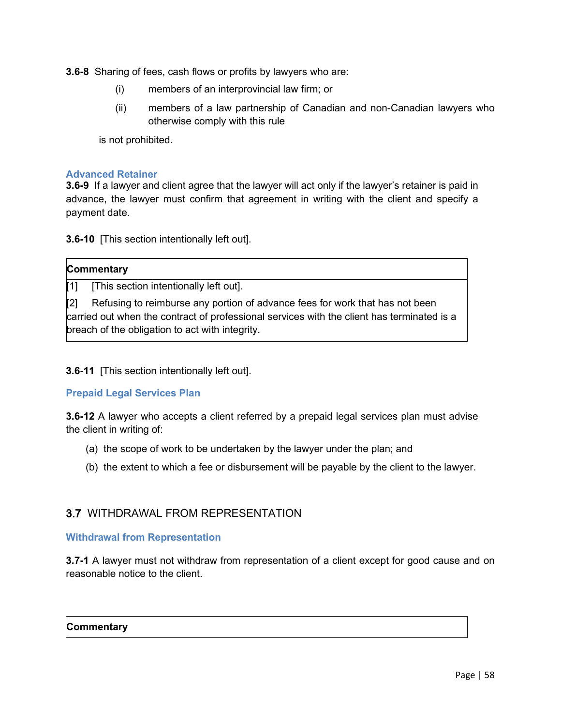**3.6-8** Sharing of fees, cash flows or profits by lawyers who are:

- (i) members of an interprovincial law firm; or
- (ii) members of a law partnership of Canadian and non-Canadian lawyers who otherwise comply with this rule

is not prohibited.

#### **Advanced Retainer**

**3.6-9** If a lawyer and client agree that the lawyer will act only if the lawyer's retainer is paid in advance, the lawyer must confirm that agreement in writing with the client and specify a payment date.

**3.6-10** [This section intentionally left out].

#### **Commentary**

 $\vert$ [1] [This section intentionally left out].

[2]Refusing to reimburse any portion of advance fees for work that has not been carried out when the contract of professional services with the client has terminated is a breach of the obligation to act with integrity.

#### **3.6-11** [This section intentionally left out].

**Prepaid Legal Services Plan**

**3.6-12** A lawyer who accepts a client referred by a prepaid legal services plan must advise the client in writing of:

- (a) the scope of work to be undertaken by the lawyer under the plan; and
- (b) the extent to which a fee or disbursement will be payable by the client to the lawyer.

## 3.7 WITHDRAWAL FROM REPRESENTATION

#### **Withdrawal from Representation**

**3.7-1** A lawyer must not withdraw from representation of a client except for good cause and on reasonable notice to the client.

#### **Commentary**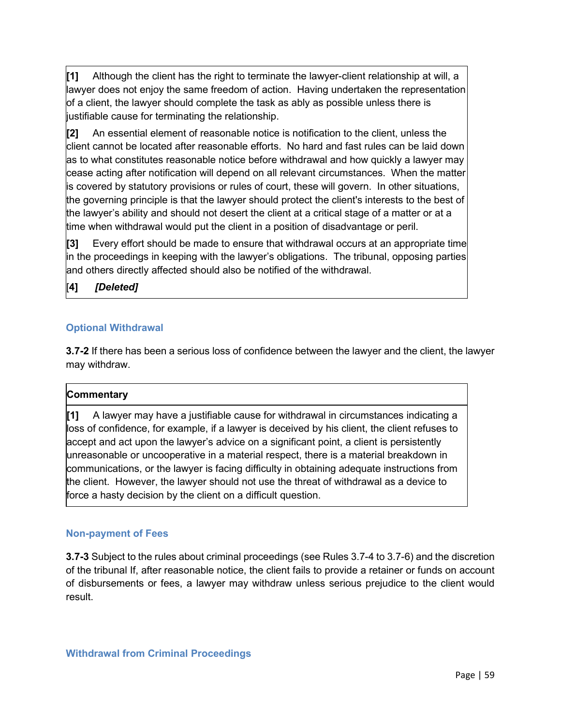**[1]** Although the client has the right to terminate the lawyer-client relationship at will, a lawyer does not enjoy the same freedom of action. Having undertaken the representation of a client, the lawyer should complete the task as ably as possible unless there is justifiable cause for terminating the relationship.

**[2]** An essential element of reasonable notice is notification to the client, unless the client cannot be located after reasonable efforts. No hard and fast rules can be laid down as to what constitutes reasonable notice before withdrawal and how quickly a lawyer may cease acting after notification will depend on all relevant circumstances. When the matter is covered by statutory provisions or rules of court, these will govern. In other situations, the governing principle is that the lawyer should protect the client's interests to the best of the lawyer's ability and should not desert the client at a critical stage of a matter or at a time when withdrawal would put the client in a position of disadvantage or peril.

**[3]** Every effort should be made to ensure that withdrawal occurs at an appropriate time in the proceedings in keeping with the lawyer's obligations. The tribunal, opposing parties and others directly affected should also be notified of the withdrawal.

[**4]** *[Deleted]*

## **Optional Withdrawal**

**3.7-2** If there has been a serious loss of confidence between the lawyer and the client, the lawyer may withdraw.

#### **Commentary**

**[1]** A lawyer may have a justifiable cause for withdrawal in circumstances indicating a loss of confidence, for example, if a lawyer is deceived by his client, the client refuses to accept and act upon the lawyer's advice on a significant point, a client is persistently unreasonable or uncooperative in a material respect, there is a material breakdown in communications, or the lawyer is facing difficulty in obtaining adequate instructions from the client. However, the lawyer should not use the threat of withdrawal as a device to force a hasty decision by the client on a difficult question.

#### **Non-payment of Fees**

**3.7-3** Subject to the rules about criminal proceedings (see Rules 3.7-4 to 3.7-6) and the discretion of the tribunal If, after reasonable notice, the client fails to provide a retainer or funds on account of disbursements or fees, a lawyer may withdraw unless serious prejudice to the client would result.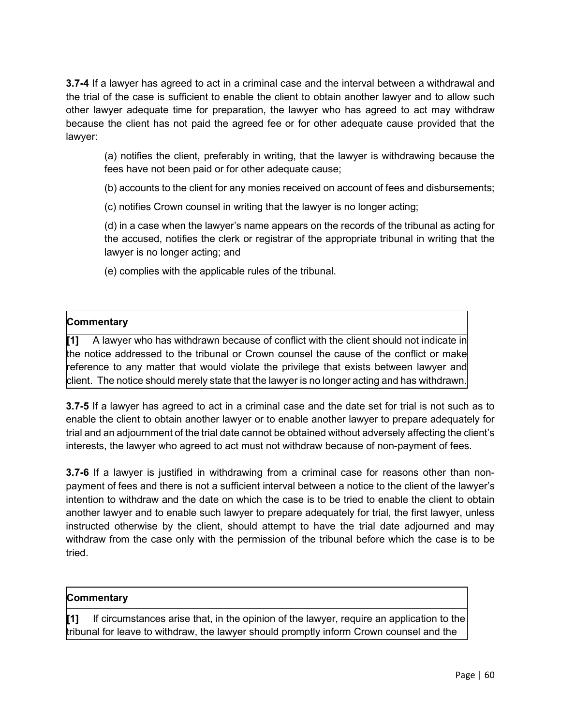**3.7-4** If a lawyer has agreed to act in a criminal case and the interval between a withdrawal and the trial of the case is sufficient to enable the client to obtain another lawyer and to allow such other lawyer adequate time for preparation, the lawyer who has agreed to act may withdraw because the client has not paid the agreed fee or for other adequate cause provided that the lawyer:

(a) notifies the client, preferably in writing, that the lawyer is withdrawing because the fees have not been paid or for other adequate cause;

(b) accounts to the client for any monies received on account of fees and disbursements;

(c) notifies Crown counsel in writing that the lawyer is no longer acting;

(d) in a case when the lawyer's name appears on the records of the tribunal as acting for the accused, notifies the clerk or registrar of the appropriate tribunal in writing that the lawyer is no longer acting; and

(e) complies with the applicable rules of the tribunal.

## **Commentary**

**[1]** A lawyer who has withdrawn because of conflict with the client should not indicate in the notice addressed to the tribunal or Crown counsel the cause of the conflict or make reference to any matter that would violate the privilege that exists between lawyer and client. The notice should merely state that the lawyer is no longer acting and has withdrawn.

**3.7-5** If a lawyer has agreed to act in a criminal case and the date set for trial is not such as to enable the client to obtain another lawyer or to enable another lawyer to prepare adequately for trial and an adjournment of the trial date cannot be obtained without adversely affecting the client's interests, the lawyer who agreed to act must not withdraw because of non-payment of fees.

**3.7-6** If a lawyer is justified in withdrawing from a criminal case for reasons other than nonpayment of fees and there is not a sufficient interval between a notice to the client of the lawyer's intention to withdraw and the date on which the case is to be tried to enable the client to obtain another lawyer and to enable such lawyer to prepare adequately for trial, the first lawyer, unless instructed otherwise by the client, should attempt to have the trial date adjourned and may withdraw from the case only with the permission of the tribunal before which the case is to be tried.

## **Commentary**

**[1]** If circumstances arise that, in the opinion of the lawyer, require an application to the tribunal for leave to withdraw, the lawyer should promptly inform Crown counsel and the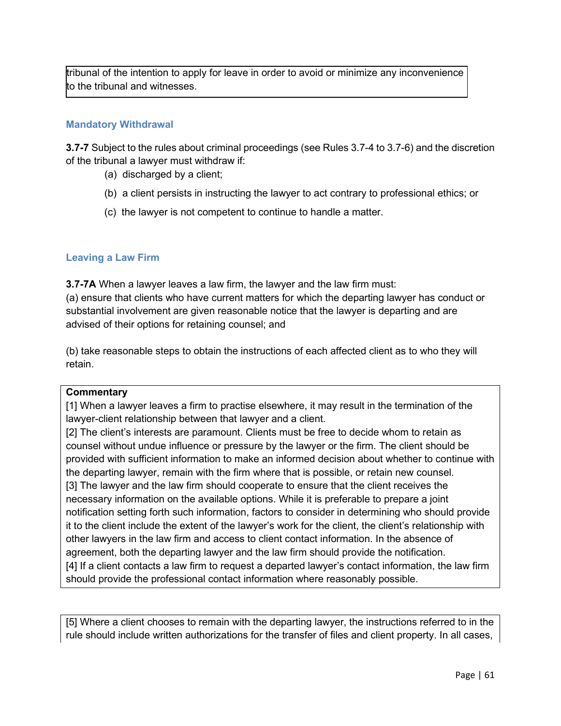tribunal of the intention to apply for leave in order to avoid or minimize any inconvenience to the tribunal and witnesses.

## **Mandatory Withdrawal**

**3.7-7** Subject to the rules about criminal proceedings (see Rules 3.7-4 to 3.7-6) and the discretion of the tribunal a lawyer must withdraw if:

- (a) discharged by a client;
- (b) a client persists in instructing the lawyer to act contrary to professional ethics; or
- (c) the lawyer is not competent to continue to handle a matter.

#### **Leaving a Law Firm**

**3.7-7A** When a lawyer leaves a law firm, the lawyer and the law firm must: (a) ensure that clients who have current matters for which the departing lawyer has conduct or substantial involvement are given reasonable notice that the lawyer is departing and are advised of their options for retaining counsel; and

(b) take reasonable steps to obtain the instructions of each affected client as to who they will retain.

#### **Commentary**

[1] When a lawyer leaves a firm to practise elsewhere, it may result in the termination of the lawyer-client relationship between that lawyer and a client.

[2] The client's interests are paramount. Clients must be free to decide whom to retain as counsel without undue influence or pressure by the lawyer or the firm. The client should be provided with sufficient information to make an informed decision about whether to continue with the departing lawyer, remain with the firm where that is possible, or retain new counsel. [3] The lawyer and the law firm should cooperate to ensure that the client receives the necessary information on the available options. While it is preferable to prepare a joint notification setting forth such information, factors to consider in determining who should provide it to the client include the extent of the lawyer's work for the client, the client's relationship with other lawyers in the law firm and access to client contact information. In the absence of agreement, both the departing lawyer and the law firm should provide the notification. [4] If a client contacts a law firm to request a departed lawyer's contact information, the law firm should provide the professional contact information where reasonably possible.

[5] Where a client chooses to remain with the departing lawyer, the instructions referred to in the rule should include written authorizations for the transfer of files and client property. In all cases,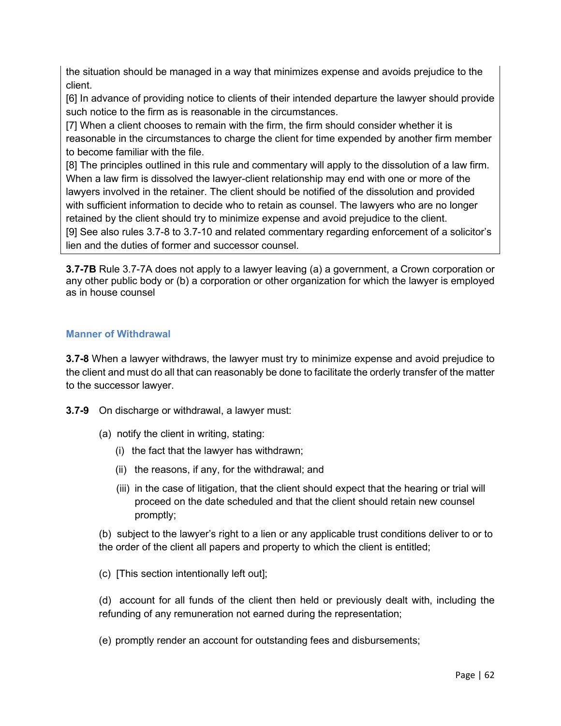the situation should be managed in a way that minimizes expense and avoids prejudice to the client.

[6] In advance of providing notice to clients of their intended departure the lawyer should provide such notice to the firm as is reasonable in the circumstances.

[7] When a client chooses to remain with the firm, the firm should consider whether it is reasonable in the circumstances to charge the client for time expended by another firm member to become familiar with the file.

[8] The principles outlined in this rule and commentary will apply to the dissolution of a law firm. When a law firm is dissolved the lawyer-client relationship may end with one or more of the lawyers involved in the retainer. The client should be notified of the dissolution and provided with sufficient information to decide who to retain as counsel. The lawyers who are no longer retained by the client should try to minimize expense and avoid prejudice to the client. [9] See also rules 3.7-8 to 3.7-10 and related commentary regarding enforcement of a solicitor's lien and the duties of former and successor counsel.

**3.7-7B** Rule 3.7-7A does not apply to a lawyer leaving (a) a government, a Crown corporation or any other public body or (b) a corporation or other organization for which the lawyer is employed as in house counsel

## **Manner of Withdrawal**

**3.7-8** When a lawyer withdraws, the lawyer must try to minimize expense and avoid prejudice to the client and must do all that can reasonably be done to facilitate the orderly transfer of the matter to the successor lawyer.

- **3.7-9** On discharge or withdrawal, a lawyer must:
	- (a) notify the client in writing, stating:
		- (i) the fact that the lawyer has withdrawn;
		- (ii) the reasons, if any, for the withdrawal; and
		- (iii) in the case of litigation, that the client should expect that the hearing or trial will proceed on the date scheduled and that the client should retain new counsel promptly;

(b) subject to the lawyer's right to a lien or any applicable trust conditions deliver to or to the order of the client all papers and property to which the client is entitled;

(c) [This section intentionally left out];

(d) account for all funds of the client then held or previously dealt with, including the refunding of any remuneration not earned during the representation;

(e) promptly render an account for outstanding fees and disbursements;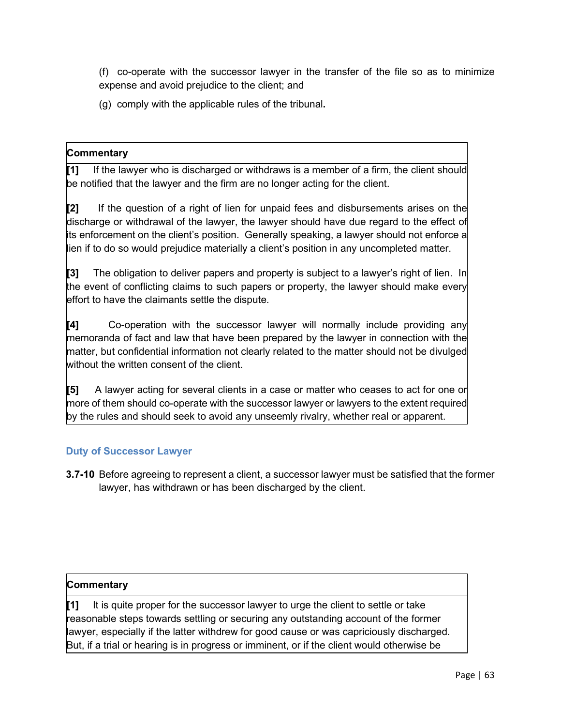(f) co-operate with the successor lawyer in the transfer of the file so as to minimize expense and avoid prejudice to the client; and

(g) comply with the applicable rules of the tribunal**.**

## **Commentary**

**[1]** If the lawyer who is discharged or withdraws is a member of a firm, the client should be notified that the lawyer and the firm are no longer acting for the client.

**[2]** If the question of a right of lien for unpaid fees and disbursements arises on the discharge or withdrawal of the lawyer, the lawyer should have due regard to the effect of its enforcement on the client's position. Generally speaking, a lawyer should not enforce a lien if to do so would prejudice materially a client's position in any uncompleted matter.

**[3]** The obligation to deliver papers and property is subject to a lawyer's right of lien. In the event of conflicting claims to such papers or property, the lawyer should make every effort to have the claimants settle the dispute.

**[4]** Co-operation with the successor lawyer will normally include providing any memoranda of fact and law that have been prepared by the lawyer in connection with the matter, but confidential information not clearly related to the matter should not be divulged without the written consent of the client.

**[5]** A lawyer acting for several clients in a case or matter who ceases to act for one or more of them should co-operate with the successor lawyer or lawyers to the extent required by the rules and should seek to avoid any unseemly rivalry, whether real or apparent.

#### **Duty of Successor Lawyer**

**3.7-10** Before agreeing to represent a client, a successor lawyer must be satisfied that the former lawyer, has withdrawn or has been discharged by the client.

#### **Commentary**

**[1]** It is quite proper for the successor lawyer to urge the client to settle or take reasonable steps towards settling or securing any outstanding account of the former lawyer, especially if the latter withdrew for good cause or was capriciously discharged. But, if a trial or hearing is in progress or imminent, or if the client would otherwise be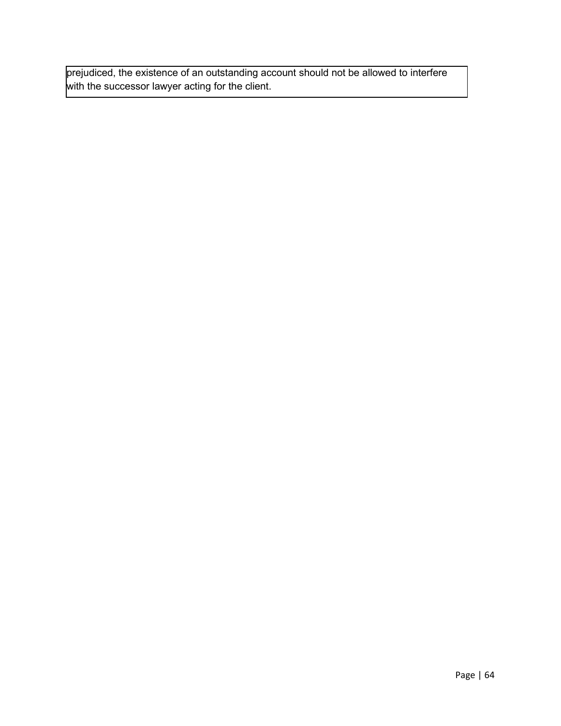prejudiced, the existence of an outstanding account should not be allowed to interfere with the successor lawyer acting for the client.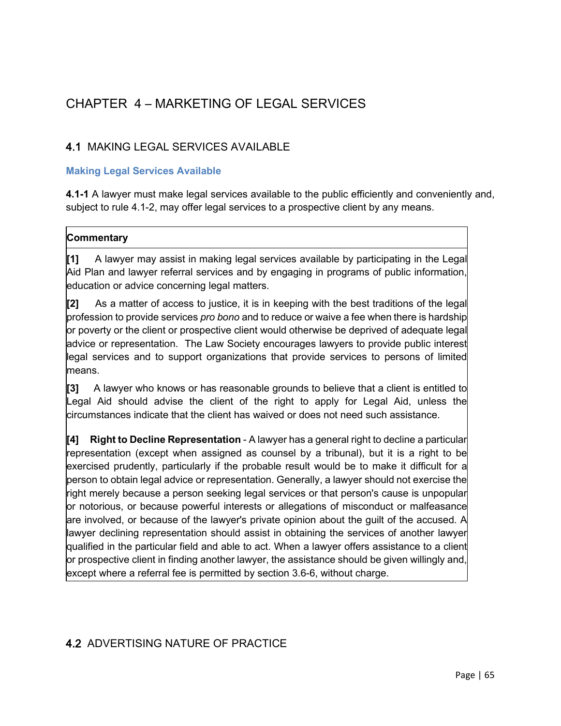# CHAPTER 4 – MARKETING OF LEGAL SERVICES

# 4.1 MAKING LEGAL SERVICES AVAILABLE

#### **Making Legal Services Available**

**4.1-1** A lawyer must make legal services available to the public efficiently and conveniently and, subject to rule 4.1-2, may offer legal services to a prospective client by any means.

## **Commentary**

**[1]** A lawyer may assist in making legal services available by participating in the Legal Aid Plan and lawyer referral services and by engaging in programs of public information, education or advice concerning legal matters.

**[2]** As a matter of access to justice, it is in keeping with the best traditions of the legal profession to provide services *pro bono* and to reduce or waive a fee when there is hardship or poverty or the client or prospective client would otherwise be deprived of adequate legal advice or representation. The Law Society encourages lawyers to provide public interest legal services and to support organizations that provide services to persons of limited means.

**[3]** A lawyer who knows or has reasonable grounds to believe that a client is entitled to Legal Aid should advise the client of the right to apply for Legal Aid, unless the circumstances indicate that the client has waived or does not need such assistance.

**[4] Right to Decline Representation** - A lawyer has a general right to decline a particular representation (except when assigned as counsel by a tribunal), but it is a right to be exercised prudently, particularly if the probable result would be to make it difficult for a person to obtain legal advice or representation. Generally, a lawyer should not exercise the right merely because a person seeking legal services or that person's cause is unpopular or notorious, or because powerful interests or allegations of misconduct or malfeasance are involved, or because of the lawyer's private opinion about the guilt of the accused. A lawyer declining representation should assist in obtaining the services of another lawyer qualified in the particular field and able to act. When a lawyer offers assistance to a client or prospective client in finding another lawyer, the assistance should be given willingly and, except where a referral fee is permitted by section 3.6-6, without charge.

# 4.2 ADVERTISING NATURE OF PRACTICE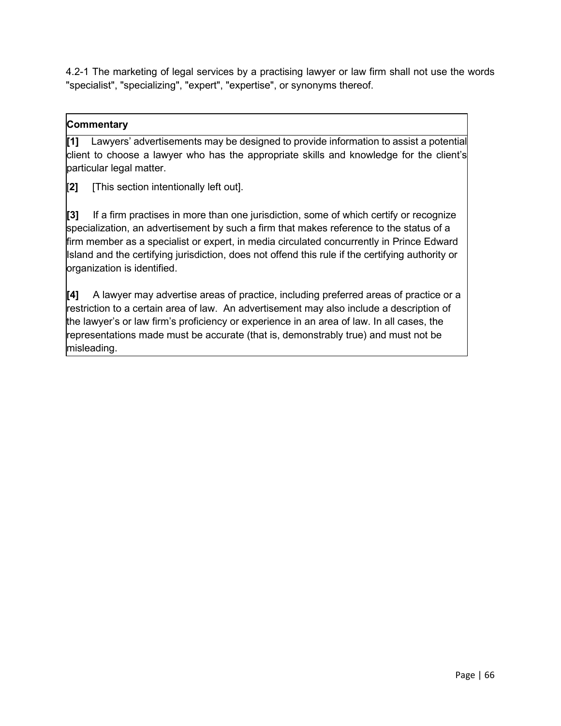4.2-1 The marketing of legal services by a practising lawyer or law firm shall not use the words "specialist", "specializing", "expert", "expertise", or synonyms thereof.

## **Commentary**

**[1]** Lawyers' advertisements may be designed to provide information to assist a potential client to choose a lawyer who has the appropriate skills and knowledge for the client's particular legal matter.

[**2]** [This section intentionally left out].

**[3]** If a firm practises in more than one jurisdiction, some of which certify or recognize specialization, an advertisement by such a firm that makes reference to the status of a firm member as a specialist or expert, in media circulated concurrently in Prince Edward Island and the certifying jurisdiction, does not offend this rule if the certifying authority or organization is identified.

**[4]** A lawyer may advertise areas of practice, including preferred areas of practice or a restriction to a certain area of law. An advertisement may also include a description of the lawyer's or law firm's proficiency or experience in an area of law. In all cases, the representations made must be accurate (that is, demonstrably true) and must not be misleading.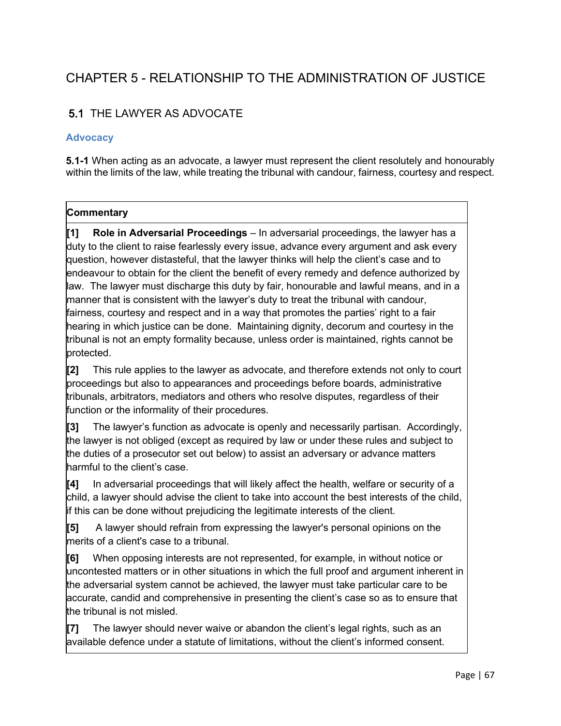# CHAPTER 5 - RELATIONSHIP TO THE ADMINISTRATION OF JUSTICE

# 5.1 THE LAWYER AS ADVOCATE

#### **Advocacy**

**5.1-1** When acting as an advocate, a lawyer must represent the client resolutely and honourably within the limits of the law, while treating the tribunal with candour, fairness, courtesy and respect.

#### **Commentary**

**[1] Role in Adversarial Proceedings** – In adversarial proceedings, the lawyer has a duty to the client to raise fearlessly every issue, advance every argument and ask every question, however distasteful, that the lawyer thinks will help the client's case and to endeavour to obtain for the client the benefit of every remedy and defence authorized by law. The lawyer must discharge this duty by fair, honourable and lawful means, and in a manner that is consistent with the lawyer's duty to treat the tribunal with candour, fairness, courtesy and respect and in a way that promotes the parties' right to a fair hearing in which justice can be done. Maintaining dignity, decorum and courtesy in the tribunal is not an empty formality because, unless order is maintained, rights cannot be protected.

**[2]** This rule applies to the lawyer as advocate, and therefore extends not only to court proceedings but also to appearances and proceedings before boards, administrative tribunals, arbitrators, mediators and others who resolve disputes, regardless of their function or the informality of their procedures.

**[3]** The lawyer's function as advocate is openly and necessarily partisan. Accordingly, the lawyer is not obliged (except as required by law or under these rules and subject to the duties of a prosecutor set out below) to assist an adversary or advance matters harmful to the client's case.

**[4]** In adversarial proceedings that will likely affect the health, welfare or security of a child, a lawyer should advise the client to take into account the best interests of the child, if this can be done without prejudicing the legitimate interests of the client.

**[5]** A lawyer should refrain from expressing the lawyer's personal opinions on the merits of a client's case to a tribunal.

**[6]** When opposing interests are not represented, for example, in without notice or uncontested matters or in other situations in which the full proof and argument inherent in the adversarial system cannot be achieved, the lawyer must take particular care to be accurate, candid and comprehensive in presenting the client's case so as to ensure that the tribunal is not misled.

**[7]** The lawyer should never waive or abandon the client's legal rights, such as an available defence under a statute of limitations, without the client's informed consent.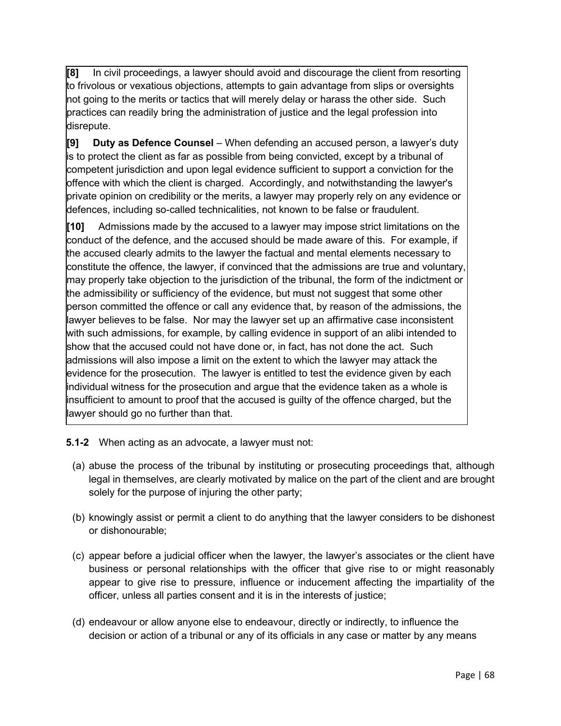**[8]** In civil proceedings, a lawyer should avoid and discourage the client from resorting to frivolous or vexatious objections, attempts to gain advantage from slips or oversights not going to the merits or tactics that will merely delay or harass the other side. Such practices can readily bring the administration of justice and the legal profession into disrepute.

**[9] Duty as Defence Counsel** – When defending an accused person, a lawyer's duty is to protect the client as far as possible from being convicted, except by a tribunal of competent jurisdiction and upon legal evidence sufficient to support a conviction for the offence with which the client is charged. Accordingly, and notwithstanding the lawyer's private opinion on credibility or the merits, a lawyer may properly rely on any evidence or defences, including so-called technicalities, not known to be false or fraudulent.

**[10]** Admissions made by the accused to a lawyer may impose strict limitations on the conduct of the defence, and the accused should be made aware of this. For example, if the accused clearly admits to the lawyer the factual and mental elements necessary to constitute the offence, the lawyer, if convinced that the admissions are true and voluntary, may properly take objection to the jurisdiction of the tribunal, the form of the indictment or the admissibility or sufficiency of the evidence, but must not suggest that some other person committed the offence or call any evidence that, by reason of the admissions, the lawyer believes to be false. Nor may the lawyer set up an affirmative case inconsistent with such admissions, for example, by calling evidence in support of an alibi intended to show that the accused could not have done or, in fact, has not done the act. Such admissions will also impose a limit on the extent to which the lawyer may attack the evidence for the prosecution. The lawyer is entitled to test the evidence given by each individual witness for the prosecution and argue that the evidence taken as a whole is insufficient to amount to proof that the accused is guilty of the offence charged, but the lawyer should go no further than that.

**5.1-2** When acting as an advocate, a lawyer must not:

- (a) abuse the process of the tribunal by instituting or prosecuting proceedings that, although legal in themselves, are clearly motivated by malice on the part of the client and are brought solely for the purpose of injuring the other party;
- (b) knowingly assist or permit a client to do anything that the lawyer considers to be dishonest or dishonourable;
- (c) appear before a judicial officer when the lawyer, the lawyer's associates or the client have business or personal relationships with the officer that give rise to or might reasonably appear to give rise to pressure, influence or inducement affecting the impartiality of the officer, unless all parties consent and it is in the interests of justice;
- (d) endeavour or allow anyone else to endeavour, directly or indirectly, to influence the decision or action of a tribunal or any of its officials in any case or matter by any means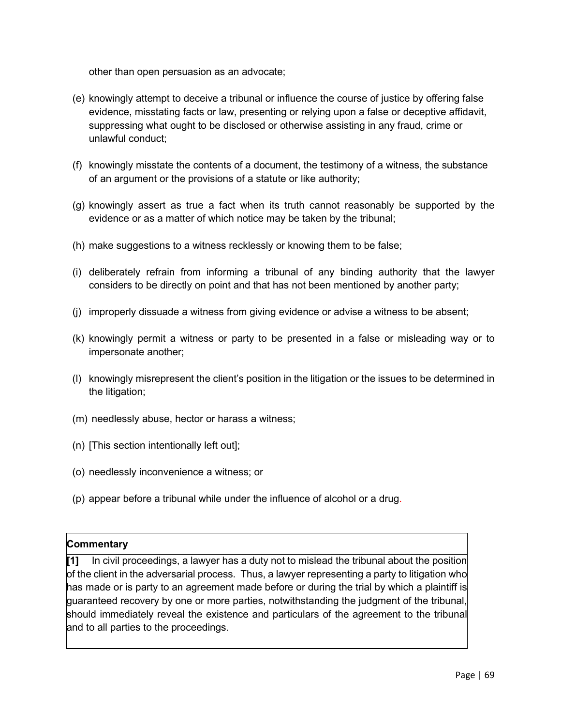other than open persuasion as an advocate;

- (e) knowingly attempt to deceive a tribunal or influence the course of justice by offering false evidence, misstating facts or law, presenting or relying upon a false or deceptive affidavit, suppressing what ought to be disclosed or otherwise assisting in any fraud, crime or unlawful conduct;
- (f) knowingly misstate the contents of a document, the testimony of a witness, the substance of an argument or the provisions of a statute or like authority;
- (g) knowingly assert as true a fact when its truth cannot reasonably be supported by the evidence or as a matter of which notice may be taken by the tribunal;
- (h) make suggestions to a witness recklessly or knowing them to be false;
- (i) deliberately refrain from informing a tribunal of any binding authority that the lawyer considers to be directly on point and that has not been mentioned by another party;
- (j) improperly dissuade a witness from giving evidence or advise a witness to be absent;
- (k) knowingly permit a witness or party to be presented in a false or misleading way or to impersonate another;
- (l) knowingly misrepresent the client's position in the litigation or the issues to be determined in the litigation;
- (m) needlessly abuse, hector or harass a witness;
- (n) [This section intentionally left out];
- (o) needlessly inconvenience a witness; or
- (p) appear before a tribunal while under the influence of alcohol or a drug.

#### **Commentary**

**[1]** In civil proceedings, a lawyer has a duty not to mislead the tribunal about the position of the client in the adversarial process. Thus, a lawyer representing a party to litigation who has made or is party to an agreement made before or during the trial by which a plaintiff is guaranteed recovery by one or more parties, notwithstanding the judgment of the tribunal, should immediately reveal the existence and particulars of the agreement to the tribunal and to all parties to the proceedings.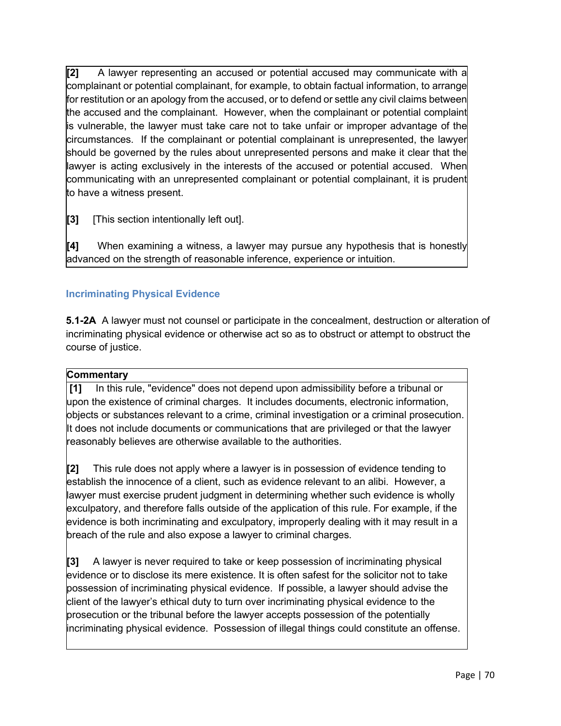**[2]** A lawyer representing an accused or potential accused may communicate with a complainant or potential complainant, for example, to obtain factual information, to arrange for restitution or an apology from the accused, or to defend or settle any civil claims between the accused and the complainant. However, when the complainant or potential complaint is vulnerable, the lawyer must take care not to take unfair or improper advantage of the circumstances. If the complainant or potential complainant is unrepresented, the lawyer should be governed by the rules about unrepresented persons and make it clear that the lawyer is acting exclusively in the interests of the accused or potential accused. When communicating with an unrepresented complainant or potential complainant, it is prudent to have a witness present.

**[3]** [This section intentionally left out].

**[4]** When examining a witness, a lawyer may pursue any hypothesis that is honestly advanced on the strength of reasonable inference, experience or intuition.

# **Incriminating Physical Evidence**

**5.1-2A** A lawyer must not counsel or participate in the concealment, destruction or alteration of incriminating physical evidence or otherwise act so as to obstruct or attempt to obstruct the course of justice.

## **Commentary**

**[1]** In this rule, "evidence" does not depend upon admissibility before a tribunal or upon the existence of criminal charges. It includes documents, electronic information, objects or substances relevant to a crime, criminal investigation or a criminal prosecution. It does not include documents or communications that are privileged or that the lawyer reasonably believes are otherwise available to the authorities.

**[2]** This rule does not apply where a lawyer is in possession of evidence tending to establish the innocence of a client, such as evidence relevant to an alibi. However, a lawyer must exercise prudent judgment in determining whether such evidence is wholly exculpatory, and therefore falls outside of the application of this rule. For example, if the evidence is both incriminating and exculpatory, improperly dealing with it may result in a breach of the rule and also expose a lawyer to criminal charges.

**[3]** A lawyer is never required to take or keep possession of incriminating physical evidence or to disclose its mere existence. It is often safest for the solicitor not to take possession of incriminating physical evidence. If possible, a lawyer should advise the client of the lawyer's ethical duty to turn over incriminating physical evidence to the prosecution or the tribunal before the lawyer accepts possession of the potentially incriminating physical evidence. Possession of illegal things could constitute an offense.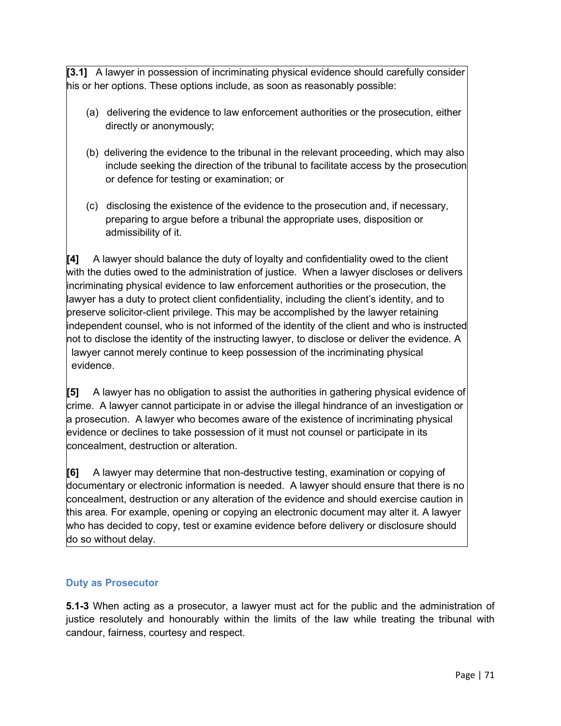**[3.1]** A lawyer in possession of incriminating physical evidence should carefully consider his or her options. These options include, as soon as reasonably possible:

- (a) delivering the evidence to law enforcement authorities or the prosecution, either directly or anonymously;
- (b) delivering the evidence to the tribunal in the relevant proceeding, which may also include seeking the direction of the tribunal to facilitate access by the prosecution or defence for testing or examination; or
- (c) disclosing the existence of the evidence to the prosecution and, if necessary, preparing to argue before a tribunal the appropriate uses, disposition or admissibility of it.

**[4]** A lawyer should balance the duty of loyalty and confidentiality owed to the client with the duties owed to the administration of justice. When a lawyer discloses or delivers incriminating physical evidence to law enforcement authorities or the prosecution, the lawyer has a duty to protect client confidentiality, including the client's identity, and to preserve solicitor-client privilege. This may be accomplished by the lawyer retaining independent counsel, who is not informed of the identity of the client and who is instructed not to disclose the identity of the instructing lawyer, to disclose or deliver the evidence. A lawyer cannot merely continue to keep possession of the incriminating physical evidence.

**[5]** A lawyer has no obligation to assist the authorities in gathering physical evidence of crime. A lawyer cannot participate in or advise the illegal hindrance of an investigation or a prosecution. A lawyer who becomes aware of the existence of incriminating physical evidence or declines to take possession of it must not counsel or participate in its concealment, destruction or alteration.

**[6]** A lawyer may determine that non-destructive testing, examination or copying of documentary or electronic information is needed. A lawyer should ensure that there is no concealment, destruction or any alteration of the evidence and should exercise caution in this area. For example, opening or copying an electronic document may alter it. A lawyer who has decided to copy, test or examine evidence before delivery or disclosure should do so without delay.

## **Duty as Prosecutor**

**5.1-3** When acting as a prosecutor, a lawyer must act for the public and the administration of justice resolutely and honourably within the limits of the law while treating the tribunal with candour, fairness, courtesy and respect.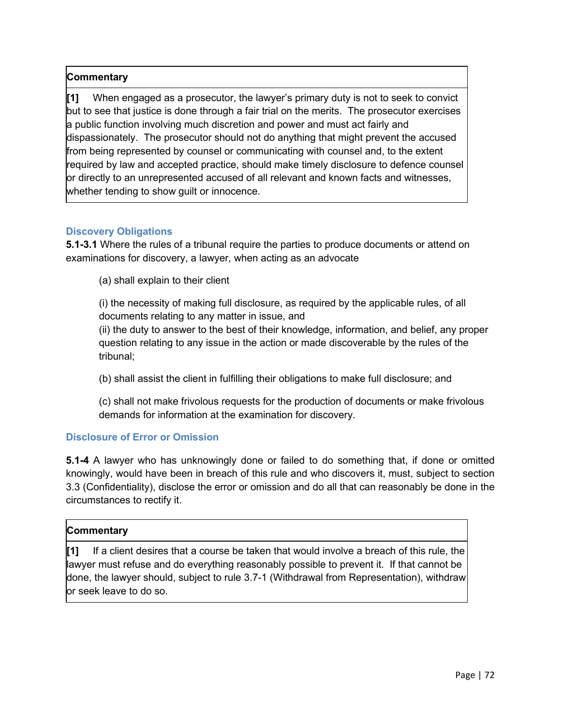**[1]** When engaged as a prosecutor, the lawyer's primary duty is not to seek to convict but to see that justice is done through a fair trial on the merits. The prosecutor exercises a public function involving much discretion and power and must act fairly and dispassionately. The prosecutor should not do anything that might prevent the accused from being represented by counsel or communicating with counsel and, to the extent required by law and accepted practice, should make timely disclosure to defence counsel or directly to an unrepresented accused of all relevant and known facts and witnesses, whether tending to show guilt or innocence.

#### **Discovery Obligations**

**5.1-3.1** Where the rules of a tribunal require the parties to produce documents or attend on examinations for discovery, a lawyer, when acting as an advocate

(a) shall explain to their client

(i) the necessity of making full disclosure, as required by the applicable rules, of all documents relating to any matter in issue, and

(ii) the duty to answer to the best of their knowledge, information, and belief, any proper question relating to any issue in the action or made discoverable by the rules of the tribunal;

(b) shall assist the client in fulfilling their obligations to make full disclosure; and

(c) shall not make frivolous requests for the production of documents or make frivolous demands for information at the examination for discovery.

#### **Disclosure of Error or Omission**

**5.1-4** A lawyer who has unknowingly done or failed to do something that, if done or omitted knowingly, would have been in breach of this rule and who discovers it, must, subject to section 3.3 (Confidentiality), disclose the error or omission and do all that can reasonably be done in the circumstances to rectify it.

#### **Commentary**

**[1]** If a client desires that a course be taken that would involve a breach of this rule, the lawyer must refuse and do everything reasonably possible to prevent it. If that cannot be done, the lawyer should, subject to rule 3.7-1 (Withdrawal from Representation), withdraw or seek leave to do so.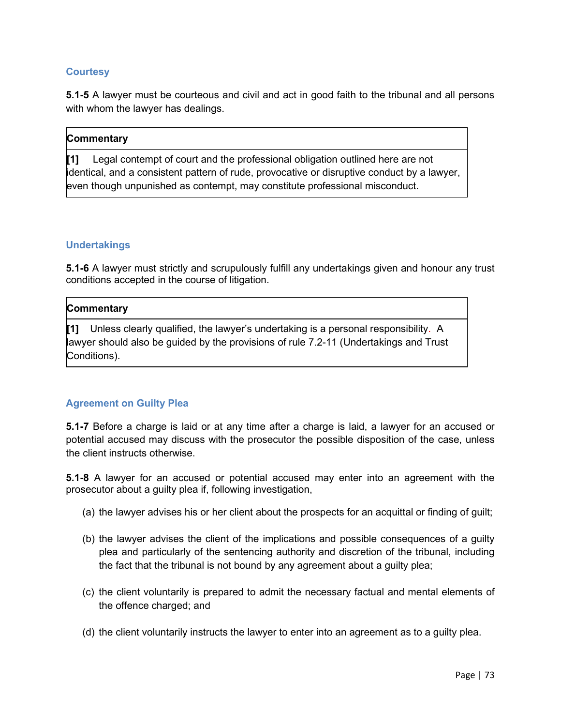# **Courtesy**

**5.1-5** A lawyer must be courteous and civil and act in good faith to the tribunal and all persons with whom the lawyer has dealings.

# **Commentary**

**[1]** Legal contempt of court and the professional obligation outlined here are not identical, and a consistent pattern of rude, provocative or disruptive conduct by a lawyer, even though unpunished as contempt, may constitute professional misconduct.

# **Undertakings**

**5.1-6** A lawyer must strictly and scrupulously fulfill any undertakings given and honour any trust conditions accepted in the course of litigation.

# **Commentary**

**[1]** Unless clearly qualified, the lawyer's undertaking is a personal responsibility. A lawyer should also be guided by the provisions of rule 7.2-11 (Undertakings and Trust Conditions).

# **Agreement on Guilty Plea**

**5.1-7** Before a charge is laid or at any time after a charge is laid, a lawyer for an accused or potential accused may discuss with the prosecutor the possible disposition of the case, unless the client instructs otherwise.

**5.1-8** A lawyer for an accused or potential accused may enter into an agreement with the prosecutor about a guilty plea if, following investigation,

- (a) the lawyer advises his or her client about the prospects for an acquittal or finding of guilt;
- (b) the lawyer advises the client of the implications and possible consequences of a guilty plea and particularly of the sentencing authority and discretion of the tribunal, including the fact that the tribunal is not bound by any agreement about a guilty plea;
- (c) the client voluntarily is prepared to admit the necessary factual and mental elements of the offence charged; and
- (d) the client voluntarily instructs the lawyer to enter into an agreement as to a guilty plea.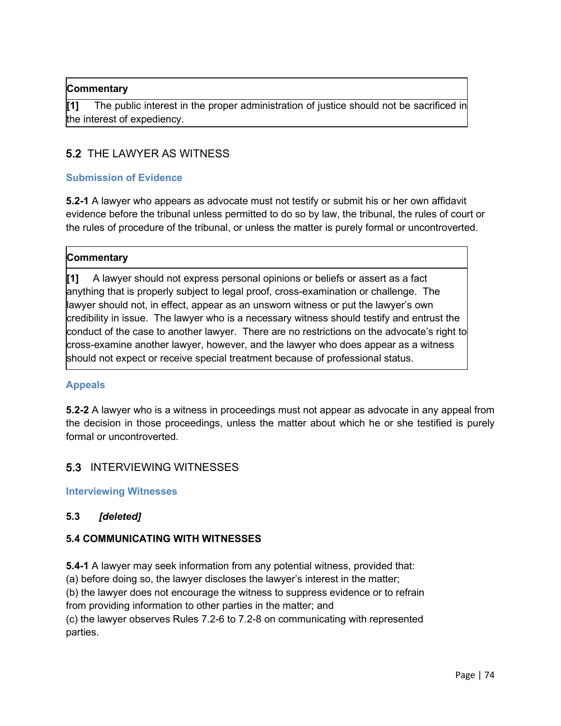# **Commentary**

**[1]** The public interest in the proper administration of justice should not be sacrificed in the interest of expediency.

# 5.2 THE LAWYER AS WITNESS

# **Submission of Evidence**

**5.2-1** A lawyer who appears as advocate must not testify or submit his or her own affidavit evidence before the tribunal unless permitted to do so by law, the tribunal, the rules of court or the rules of procedure of the tribunal, or unless the matter is purely formal or uncontroverted.

# **Commentary**

**[1]** A lawyer should not express personal opinions or beliefs or assert as a fact anything that is properly subject to legal proof, cross-examination or challenge. The lawyer should not, in effect, appear as an unsworn witness or put the lawyer's own credibility in issue. The lawyer who is a necessary witness should testify and entrust the conduct of the case to another lawyer. There are no restrictions on the advocate's right to cross-examine another lawyer, however, and the lawyer who does appear as a witness should not expect or receive special treatment because of professional status.

# **Appeals**

**5.2-2** A lawyer who is a witness in proceedings must not appear as advocate in any appeal from the decision in those proceedings, unless the matter about which he or she testified is purely formal or uncontroverted.

# 5.3 INTERVIEWING WITNESSES

**Interviewing Witnesses**

# **5.3** *[deleted]*

# **5.4 COMMUNICATING WITH WITNESSES**

**5.4-1** A lawyer may seek information from any potential witness, provided that:

(a) before doing so, the lawyer discloses the lawyer's interest in the matter;

(b) the lawyer does not encourage the witness to suppress evidence or to refrain from providing information to other parties in the matter; and

(c) the lawyer observes Rules 7.2-6 to 7.2-8 on communicating with represented parties.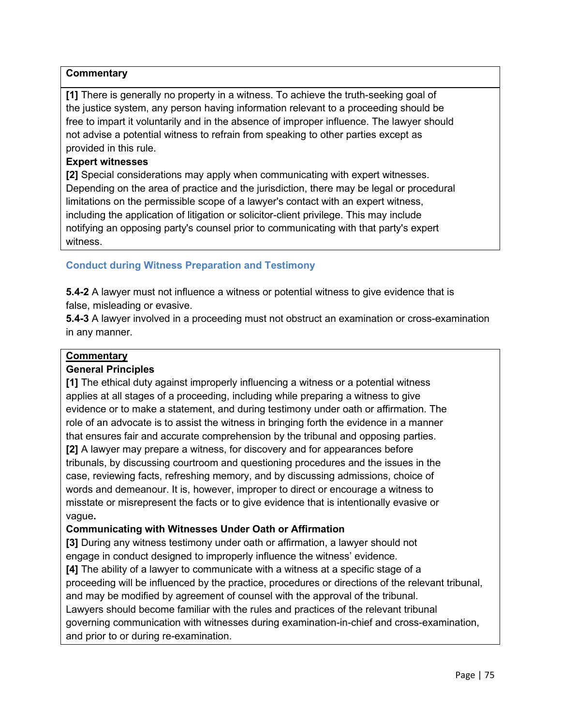# **Commentary**

**[1]** There is generally no property in a witness. To achieve the truth-seeking goal of the justice system, any person having information relevant to a proceeding should be free to impart it voluntarily and in the absence of improper influence. The lawyer should not advise a potential witness to refrain from speaking to other parties except as provided in this rule.

# **Expert witnesses**

**[2]** Special considerations may apply when communicating with expert witnesses. Depending on the area of practice and the jurisdiction, there may be legal or procedural limitations on the permissible scope of a lawyer's contact with an expert witness, including the application of litigation or solicitor-client privilege. This may include notifying an opposing party's counsel prior to communicating with that party's expert witness.

# **Conduct during Witness Preparation and Testimony**

**5.4-2** A lawyer must not influence a witness or potential witness to give evidence that is false, misleading or evasive.

**5.4-3** A lawyer involved in a proceeding must not obstruct an examination or cross-examination in any manner.

# **Commentary**

# **General Principles**

**[1]** The ethical duty against improperly influencing a witness or a potential witness applies at all stages of a proceeding, including while preparing a witness to give evidence or to make a statement, and during testimony under oath or affirmation. The role of an advocate is to assist the witness in bringing forth the evidence in a manner that ensures fair and accurate comprehension by the tribunal and opposing parties. **[2]** A lawyer may prepare a witness, for discovery and for appearances before tribunals, by discussing courtroom and questioning procedures and the issues in the case, reviewing facts, refreshing memory, and by discussing admissions, choice of words and demeanour. It is, however, improper to direct or encourage a witness to misstate or misrepresent the facts or to give evidence that is intentionally evasive or vague**.**

# **Communicating with Witnesses Under Oath or Affirmation**

**[3]** During any witness testimony under oath or affirmation, a lawyer should not engage in conduct designed to improperly influence the witness' evidence. **[4]** The ability of a lawyer to communicate with a witness at a specific stage of a proceeding will be influenced by the practice, procedures or directions of the relevant tribunal, and may be modified by agreement of counsel with the approval of the tribunal. Lawyers should become familiar with the rules and practices of the relevant tribunal governing communication with witnesses during examination-in-chief and cross-examination, and prior to or during re-examination.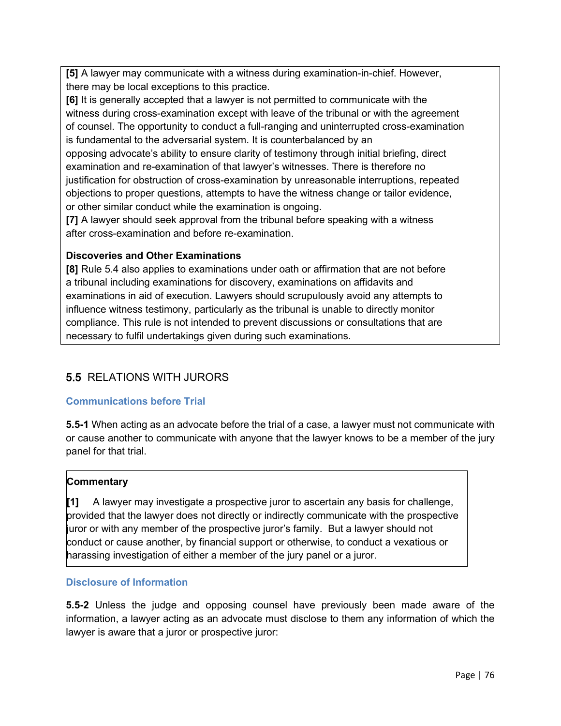**[5]** A lawyer may communicate with a witness during examination-in-chief. However, there may be local exceptions to this practice.

**[6]** It is generally accepted that a lawyer is not permitted to communicate with the witness during cross-examination except with leave of the tribunal or with the agreement of counsel. The opportunity to conduct a full-ranging and uninterrupted cross-examination is fundamental to the adversarial system. It is counterbalanced by an opposing advocate's ability to ensure clarity of testimony through initial briefing, direct

examination and re-examination of that lawyer's witnesses. There is therefore no justification for obstruction of cross-examination by unreasonable interruptions, repeated objections to proper questions, attempts to have the witness change or tailor evidence, or other similar conduct while the examination is ongoing.

**[7]** A lawyer should seek approval from the tribunal before speaking with a witness after cross-examination and before re-examination.

# **Discoveries and Other Examinations**

**[8]** Rule 5.4 also applies to examinations under oath or affirmation that are not before a tribunal including examinations for discovery, examinations on affidavits and examinations in aid of execution. Lawyers should scrupulously avoid any attempts to influence witness testimony, particularly as the tribunal is unable to directly monitor compliance. This rule is not intended to prevent discussions or consultations that are necessary to fulfil undertakings given during such examinations.

# 5.5 RELATIONS WITH JURORS

# **Communications before Trial**

**5.5-1** When acting as an advocate before the trial of a case, a lawyer must not communicate with or cause another to communicate with anyone that the lawyer knows to be a member of the jury panel for that trial.

# **Commentary**

**[1]** A lawyer may investigate a prospective juror to ascertain any basis for challenge, provided that the lawyer does not directly or indirectly communicate with the prospective juror or with any member of the prospective juror's family. But a lawyer should not conduct or cause another, by financial support or otherwise, to conduct a vexatious or harassing investigation of either a member of the jury panel or a juror.

# **Disclosure of Information**

**5.5-2** Unless the judge and opposing counsel have previously been made aware of the information, a lawyer acting as an advocate must disclose to them any information of which the lawyer is aware that a juror or prospective juror: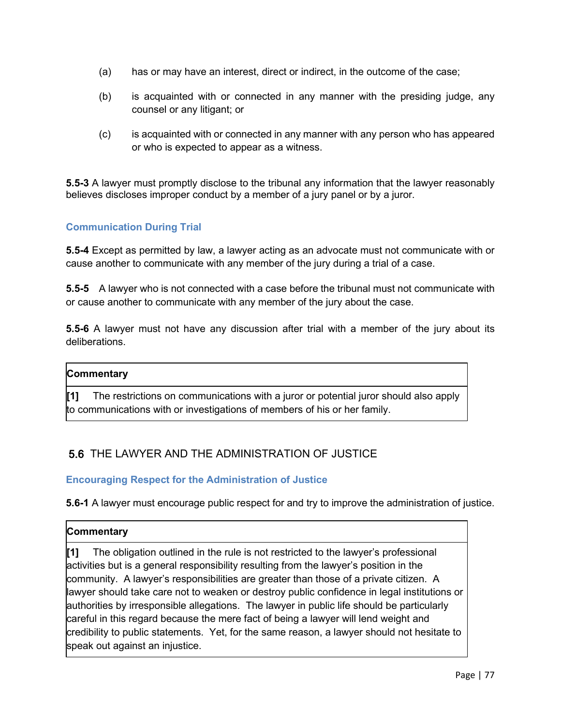- (a) has or may have an interest, direct or indirect, in the outcome of the case;
- (b) is acquainted with or connected in any manner with the presiding judge, any counsel or any litigant; or
- (c) is acquainted with or connected in any manner with any person who has appeared or who is expected to appear as a witness.

**5.5-3** A lawyer must promptly disclose to the tribunal any information that the lawyer reasonably believes discloses improper conduct by a member of a jury panel or by a juror.

# **Communication During Trial**

**5.5-4** Except as permitted by law, a lawyer acting as an advocate must not communicate with or cause another to communicate with any member of the jury during a trial of a case.

**5.5-5** A lawyer who is not connected with a case before the tribunal must not communicate with or cause another to communicate with any member of the jury about the case.

**5.5-6** A lawyer must not have any discussion after trial with a member of the jury about its deliberations.

# **Commentary**

**[1]** The restrictions on communications with a juror or potential juror should also apply to communications with or investigations of members of his or her family.

# 5.6 THE LAWYER AND THE ADMINISTRATION OF JUSTICE

# **Encouraging Respect for the Administration of Justice**

**5.6-1** A lawyer must encourage public respect for and try to improve the administration of justice.

# **Commentary**

**[1]** The obligation outlined in the rule is not restricted to the lawyer's professional activities but is a general responsibility resulting from the lawyer's position in the community. A lawyer's responsibilities are greater than those of a private citizen. A lawyer should take care not to weaken or destroy public confidence in legal institutions or authorities by irresponsible allegations. The lawyer in public life should be particularly careful in this regard because the mere fact of being a lawyer will lend weight and credibility to public statements. Yet, for the same reason, a lawyer should not hesitate to speak out against an injustice.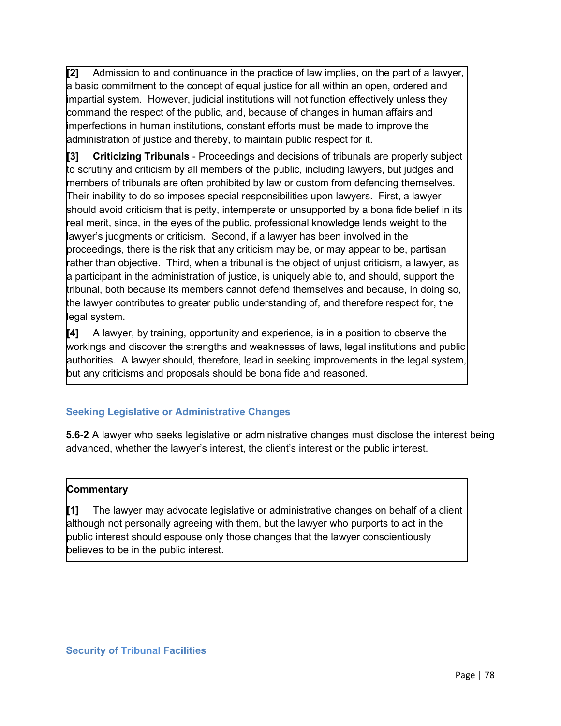**[2]** Admission to and continuance in the practice of law implies, on the part of a lawyer, a basic commitment to the concept of equal justice for all within an open, ordered and impartial system. However, judicial institutions will not function effectively unless they command the respect of the public, and, because of changes in human affairs and imperfections in human institutions, constant efforts must be made to improve the administration of justice and thereby, to maintain public respect for it.

**[3] Criticizing Tribunals** - Proceedings and decisions of tribunals are properly subject to scrutiny and criticism by all members of the public, including lawyers, but judges and members of tribunals are often prohibited by law or custom from defending themselves. Their inability to do so imposes special responsibilities upon lawyers. First, a lawyer should avoid criticism that is petty, intemperate or unsupported by a bona fide belief in its real merit, since, in the eyes of the public, professional knowledge lends weight to the lawyer's judgments or criticism. Second, if a lawyer has been involved in the proceedings, there is the risk that any criticism may be, or may appear to be, partisan rather than objective. Third, when a tribunal is the object of unjust criticism, a lawyer, as a participant in the administration of justice, is uniquely able to, and should, support the tribunal, both because its members cannot defend themselves and because, in doing so, the lawyer contributes to greater public understanding of, and therefore respect for, the legal system.

**[4]** A lawyer, by training, opportunity and experience, is in a position to observe the workings and discover the strengths and weaknesses of laws, legal institutions and public authorities. A lawyer should, therefore, lead in seeking improvements in the legal system, but any criticisms and proposals should be bona fide and reasoned.

# **Seeking Legislative or Administrative Changes**

**5.6-2** A lawyer who seeks legislative or administrative changes must disclose the interest being advanced, whether the lawyer's interest, the client's interest or the public interest.

# **Commentary**

**[1]** The lawyer may advocate legislative or administrative changes on behalf of a client although not personally agreeing with them, but the lawyer who purports to act in the public interest should espouse only those changes that the lawyer conscientiously believes to be in the public interest.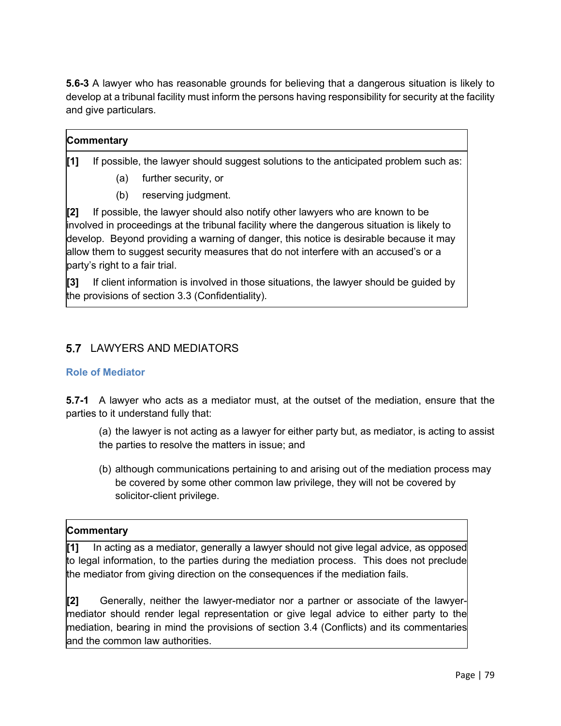**5.6-3** A lawyer who has reasonable grounds for believing that a dangerous situation is likely to develop at a tribunal facility must inform the persons having responsibility for security at the facility and give particulars.

# **Commentary**

**[1]** If possible, the lawyer should suggest solutions to the anticipated problem such as:

- (a) further security, or
- (b) reserving judgment.

**[2]** If possible, the lawyer should also notify other lawyers who are known to be involved in proceedings at the tribunal facility where the dangerous situation is likely to develop. Beyond providing a warning of danger, this notice is desirable because it may allow them to suggest security measures that do not interfere with an accused's or a party's right to a fair trial.

**[3]** If client information is involved in those situations, the lawyer should be guided by the provisions of section 3.3 (Confidentiality).

# 5.7 LAWYERS AND MEDIATORS

# **Role of Mediator**

**5.7-1** A lawyer who acts as a mediator must, at the outset of the mediation, ensure that the parties to it understand fully that:

- (a) the lawyer is not acting as a lawyer for either party but, as mediator, is acting to assist the parties to resolve the matters in issue; and
- (b) although communications pertaining to and arising out of the mediation process may be covered by some other common law privilege, they will not be covered by solicitor-client privilege.

# **Commentary**

**[1]** In acting as a mediator, generally a lawyer should not give legal advice, as opposed to legal information, to the parties during the mediation process. This does not preclude the mediator from giving direction on the consequences if the mediation fails.

**[2]** Generally, neither the lawyer-mediator nor a partner or associate of the lawyermediator should render legal representation or give legal advice to either party to the mediation, bearing in mind the provisions of section 3.4 (Conflicts) and its commentaries and the common law authorities.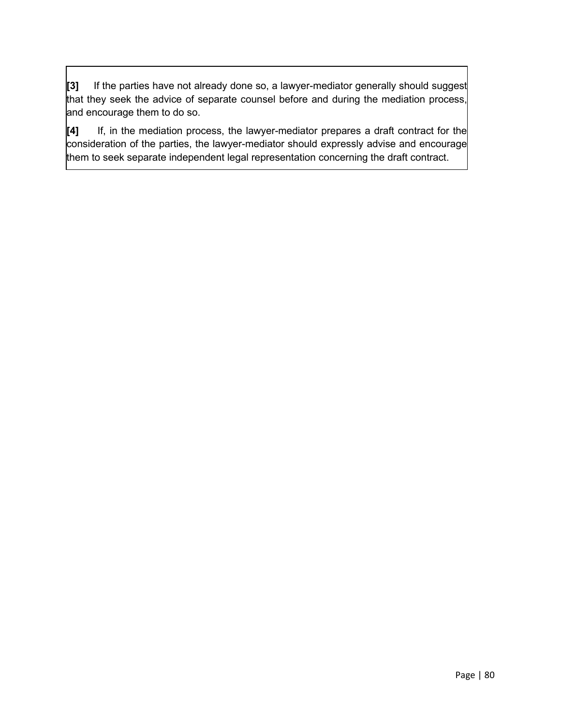**[3]** If the parties have not already done so, a lawyer-mediator generally should suggest that they seek the advice of separate counsel before and during the mediation process, and encourage them to do so.

**[4]** If, in the mediation process, the lawyer-mediator prepares a draft contract for the consideration of the parties, the lawyer-mediator should expressly advise and encourage them to seek separate independent legal representation concerning the draft contract.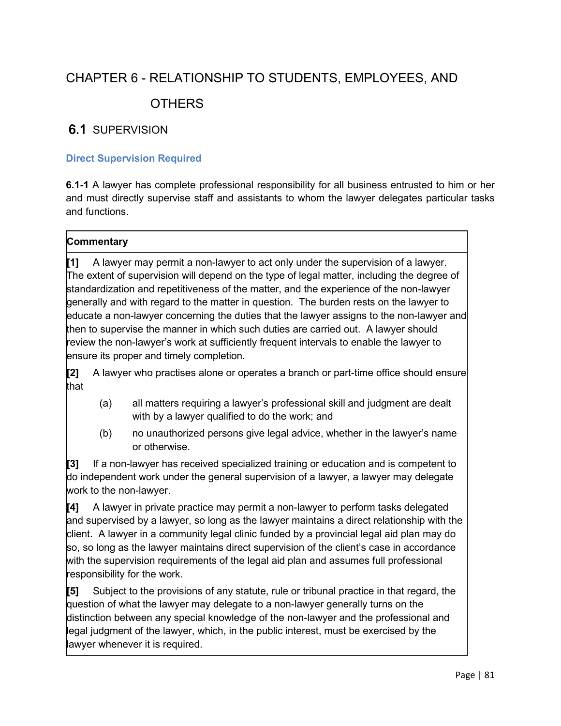# CHAPTER 6 - RELATIONSHIP TO STUDENTS, EMPLOYEES, AND **OTHERS**

# 6.1 SUPERVISION

# **Direct Supervision Required**

**6.1-1** A lawyer has complete professional responsibility for all business entrusted to him or her and must directly supervise staff and assistants to whom the lawyer delegates particular tasks and functions.

# **Commentary**

**[1]** A lawyer may permit a non-lawyer to act only under the supervision of a lawyer. The extent of supervision will depend on the type of legal matter, including the degree of standardization and repetitiveness of the matter, and the experience of the non-lawyer generally and with regard to the matter in question. The burden rests on the lawyer to educate a non-lawyer concerning the duties that the lawyer assigns to the non-lawyer and then to supervise the manner in which such duties are carried out. A lawyer should review the non-lawyer's work at sufficiently frequent intervals to enable the lawyer to ensure its proper and timely completion.

**[2]** A lawyer who practises alone or operates a branch or part-time office should ensure that

- (a) all matters requiring a lawyer's professional skill and judgment are dealt with by a lawyer qualified to do the work; and
- (b) no unauthorized persons give legal advice, whether in the lawyer's name or otherwise.

**[3]** If a non-lawyer has received specialized training or education and is competent to do independent work under the general supervision of a lawyer, a lawyer may delegate work to the non-lawyer.

**[4]** A lawyer in private practice may permit a non-lawyer to perform tasks delegated and supervised by a lawyer, so long as the lawyer maintains a direct relationship with the client. A lawyer in a community legal clinic funded by a provincial legal aid plan may do so, so long as the lawyer maintains direct supervision of the client's case in accordance with the supervision requirements of the legal aid plan and assumes full professional responsibility for the work.

**[5]** Subject to the provisions of any statute, rule or tribunal practice in that regard, the question of what the lawyer may delegate to a non-lawyer generally turns on the distinction between any special knowledge of the non-lawyer and the professional and legal judgment of the lawyer, which, in the public interest, must be exercised by the lawyer whenever it is required.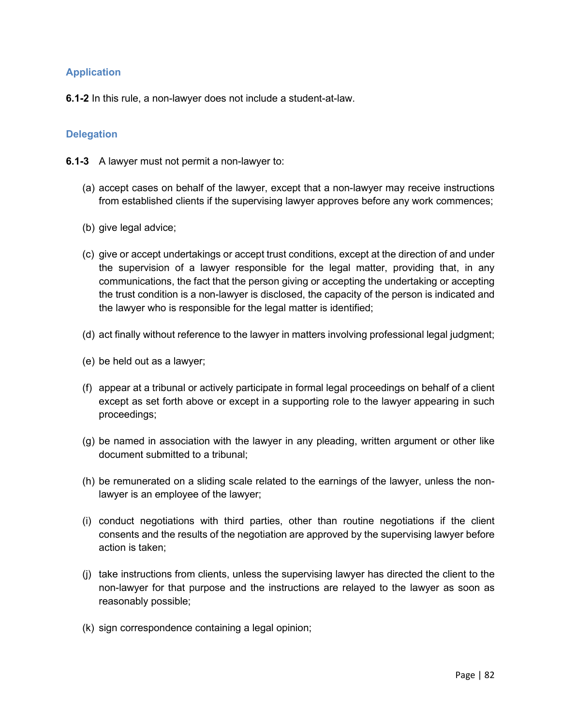# **Application**

**6.1-2** In this rule, a non-lawyer does not include a student-at-law.

# **Delegation**

**6.1-3** A lawyer must not permit a non-lawyer to:

- (a) accept cases on behalf of the lawyer, except that a non-lawyer may receive instructions from established clients if the supervising lawyer approves before any work commences;
- (b) give legal advice;
- (c) give or accept undertakings or accept trust conditions, except at the direction of and under the supervision of a lawyer responsible for the legal matter, providing that, in any communications, the fact that the person giving or accepting the undertaking or accepting the trust condition is a non-lawyer is disclosed, the capacity of the person is indicated and the lawyer who is responsible for the legal matter is identified;
- (d) act finally without reference to the lawyer in matters involving professional legal judgment;
- (e) be held out as a lawyer;
- (f) appear at a tribunal or actively participate in formal legal proceedings on behalf of a client except as set forth above or except in a supporting role to the lawyer appearing in such proceedings;
- (g) be named in association with the lawyer in any pleading, written argument or other like document submitted to a tribunal;
- (h) be remunerated on a sliding scale related to the earnings of the lawyer, unless the nonlawyer is an employee of the lawyer;
- (i) conduct negotiations with third parties, other than routine negotiations if the client consents and the results of the negotiation are approved by the supervising lawyer before action is taken;
- (j) take instructions from clients, unless the supervising lawyer has directed the client to the non-lawyer for that purpose and the instructions are relayed to the lawyer as soon as reasonably possible;
- (k) sign correspondence containing a legal opinion;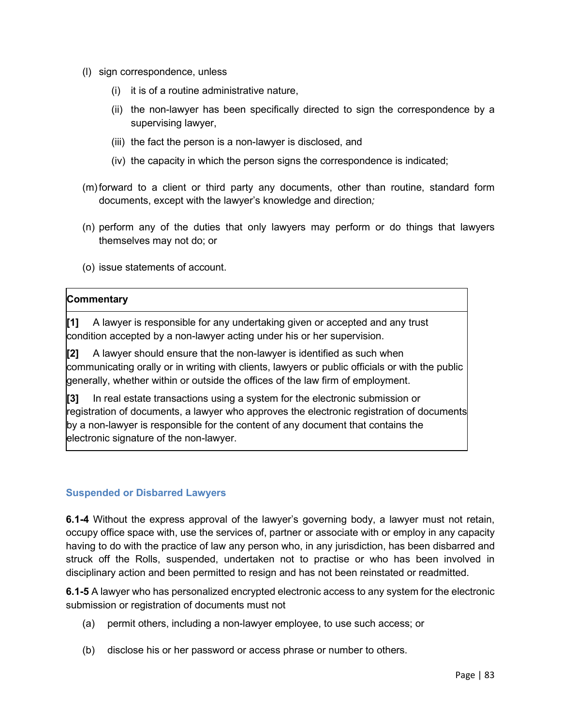- (l) sign correspondence, unless
	- (i) it is of a routine administrative nature,
	- (ii) the non-lawyer has been specifically directed to sign the correspondence by a supervising lawyer,
	- (iii) the fact the person is a non-lawyer is disclosed, and
	- (iv) the capacity in which the person signs the correspondence is indicated;
- (m)forward to a client or third party any documents, other than routine, standard form documents, except with the lawyer's knowledge and direction*;*
- (n) perform any of the duties that only lawyers may perform or do things that lawyers themselves may not do; or
- (o) issue statements of account.

#### **Commentary**

**[1]** A lawyer is responsible for any undertaking given or accepted and any trust condition accepted by a non-lawyer acting under his or her supervision.

**[2]** A lawyer should ensure that the non-lawyer is identified as such when communicating orally or in writing with clients, lawyers or public officials or with the public generally, whether within or outside the offices of the law firm of employment.

**[3]** In real estate transactions using a system for the electronic submission or registration of documents, a lawyer who approves the electronic registration of documents by a non-lawyer is responsible for the content of any document that contains the electronic signature of the non-lawyer.

# **Suspended or Disbarred Lawyers**

**6.1-4** Without the express approval of the lawyer's governing body, a lawyer must not retain, occupy office space with, use the services of, partner or associate with or employ in any capacity having to do with the practice of law any person who, in any jurisdiction, has been disbarred and struck off the Rolls, suspended, undertaken not to practise or who has been involved in disciplinary action and been permitted to resign and has not been reinstated or readmitted.

**6.1-5** A lawyer who has personalized encrypted electronic access to any system for the electronic submission or registration of documents must not

- (a) permit others, including a non-lawyer employee, to use such access; or
- (b) disclose his or her password or access phrase or number to others.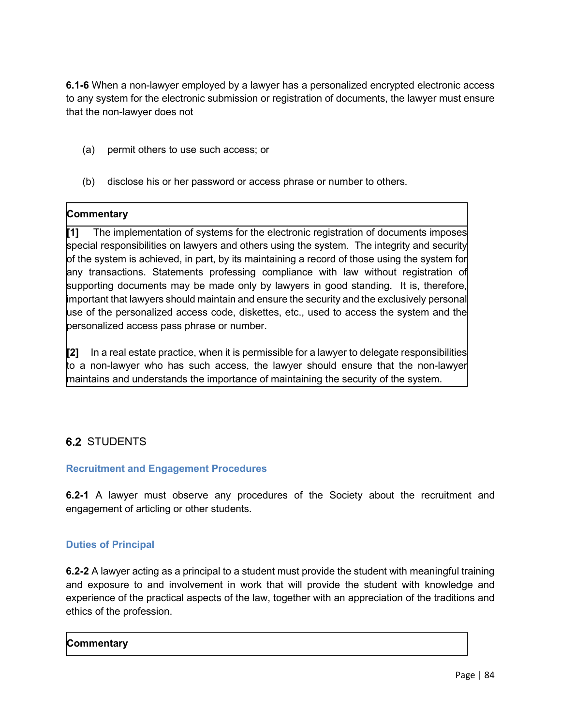**6.1-6** When a non-lawyer employed by a lawyer has a personalized encrypted electronic access to any system for the electronic submission or registration of documents, the lawyer must ensure that the non-lawyer does not

- (a) permit others to use such access; or
- (b) disclose his or her password or access phrase or number to others.

# **Commentary**

**[1]** The implementation of systems for the electronic registration of documents imposes special responsibilities on lawyers and others using the system. The integrity and security of the system is achieved, in part, by its maintaining a record of those using the system for any transactions. Statements professing compliance with law without registration of supporting documents may be made only by lawyers in good standing. It is, therefore, important that lawyers should maintain and ensure the security and the exclusively personal use of the personalized access code, diskettes, etc., used to access the system and the personalized access pass phrase or number.

**[2]** In a real estate practice, when it is permissible for a lawyer to delegate responsibilities to a non-lawyer who has such access, the lawyer should ensure that the non-lawyer maintains and understands the importance of maintaining the security of the system.

# 6.2 STUDENTS

# **Recruitment and Engagement Procedures**

**6.2-1** A lawyer must observe any procedures of the Society about the recruitment and engagement of articling or other students.

# **Duties of Principal**

**6.2-2** A lawyer acting as a principal to a student must provide the student with meaningful training and exposure to and involvement in work that will provide the student with knowledge and experience of the practical aspects of the law, together with an appreciation of the traditions and ethics of the profession.

#### **Commentary**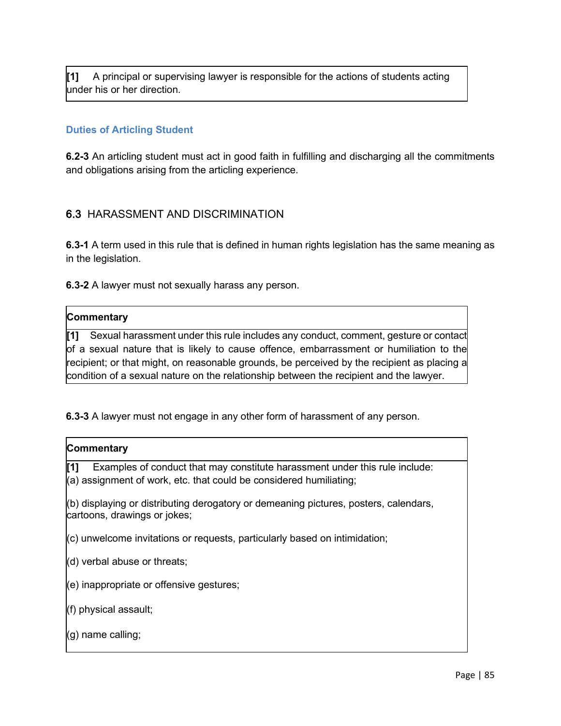**[1]** A principal or supervising lawyer is responsible for the actions of students acting under his or her direction.

# **Duties of Articling Student**

**6.2-3** An articling student must act in good faith in fulfilling and discharging all the commitments and obligations arising from the articling experience.

# 6.3 HARASSMENT AND DISCRIMINATION

**6.3-1** A term used in this rule that is defined in human rights legislation has the same meaning as in the legislation.

**6.3-2** A lawyer must not sexually harass any person.

#### **Commentary**

**[1]** Sexual harassment under this rule includes any conduct, comment, gesture or contact of a sexual nature that is likely to cause offence, embarrassment or humiliation to the recipient; or that might, on reasonable grounds, be perceived by the recipient as placing a condition of a sexual nature on the relationship between the recipient and the lawyer.

#### **6.3-3** A lawyer must not engage in any other form of harassment of any person.

| <b>Commentary</b> |                                                                                                                                                   |
|-------------------|---------------------------------------------------------------------------------------------------------------------------------------------------|
| [1]               | Examples of conduct that may constitute harassment under this rule include:<br>(a) assignment of work, etc. that could be considered humiliating; |
|                   | (b) displaying or distributing derogatory or demeaning pictures, posters, calendars,<br>cartoons, drawings or jokes;                              |

(c) unwelcome invitations or requests, particularly based on intimidation;

- (d) verbal abuse or threats;
- (e) inappropriate or offensive gestures;
- (f) physical assault;
- (g) name calling;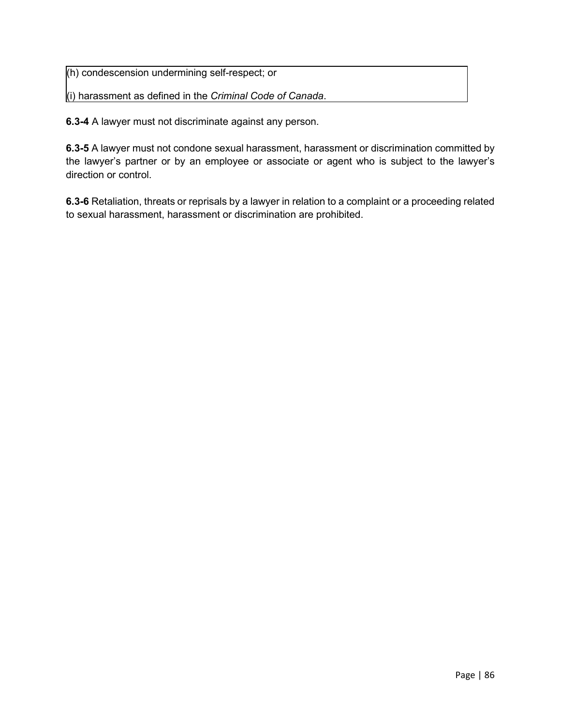(h) condescension undermining self-respect; or

(i) harassment as defined in the *Criminal Code of Canada*.

**6.3-4** A lawyer must not discriminate against any person.

**6.3-5** A lawyer must not condone sexual harassment, harassment or discrimination committed by the lawyer's partner or by an employee or associate or agent who is subject to the lawyer's direction or control.

**6.3-6** Retaliation, threats or reprisals by a lawyer in relation to a complaint or a proceeding related to sexual harassment, harassment or discrimination are prohibited.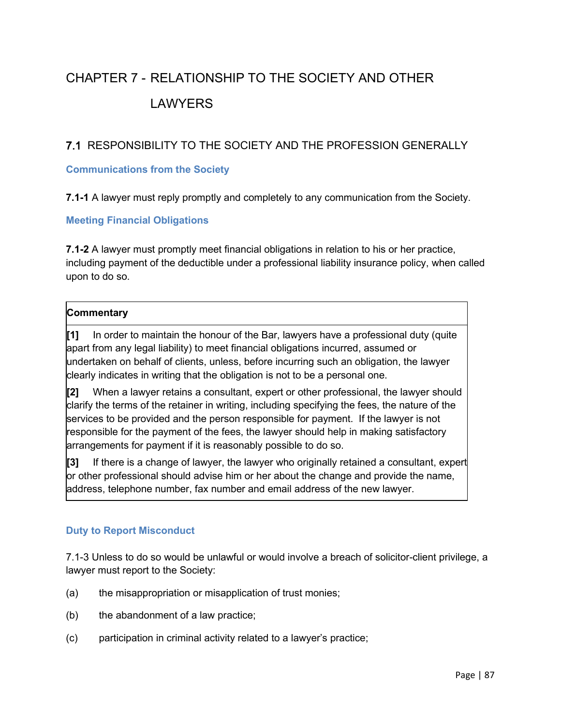# CHAPTER 7 - RELATIONSHIP TO THE SOCIETY AND OTHER LAWYERS

# 7.1 RESPONSIBILITY TO THE SOCIETY AND THE PROFESSION GENERALLY

# **Communications from the Society**

**7.1-1** A lawyer must reply promptly and completely to any communication from the Society.

# **Meeting Financial Obligations**

**7.1-2** A lawyer must promptly meet financial obligations in relation to his or her practice, including payment of the deductible under a professional liability insurance policy, when called upon to do so.

# **Commentary**

**[1]** In order to maintain the honour of the Bar, lawyers have a professional duty (quite apart from any legal liability) to meet financial obligations incurred, assumed or undertaken on behalf of clients, unless, before incurring such an obligation, the lawyer clearly indicates in writing that the obligation is not to be a personal one.

**[2]** When a lawyer retains a consultant, expert or other professional, the lawyer should clarify the terms of the retainer in writing, including specifying the fees, the nature of the services to be provided and the person responsible for payment. If the lawyer is not responsible for the payment of the fees, the lawyer should help in making satisfactory arrangements for payment if it is reasonably possible to do so.

**[3]** If there is a change of lawyer, the lawyer who originally retained a consultant, expert or other professional should advise him or her about the change and provide the name, address, telephone number, fax number and email address of the new lawyer.

# **Duty to Report Misconduct**

7.1-3 Unless to do so would be unlawful or would involve a breach of solicitor-client privilege, a lawyer must report to the Society:

- (a) the misappropriation or misapplication of trust monies;
- (b) the abandonment of a law practice;
- (c) participation in criminal activity related to a lawyer's practice;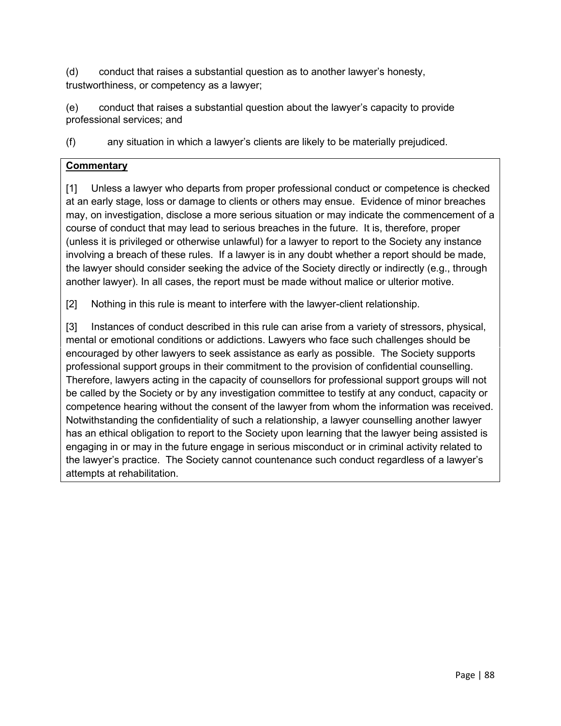(d) conduct that raises a substantial question as to another lawyer's honesty, trustworthiness, or competency as a lawyer;

(e) conduct that raises a substantial question about the lawyer's capacity to provide professional services; and

(f) any situation in which a lawyer's clients are likely to be materially prejudiced.

# **Commentary**

[1] Unless a lawyer who departs from proper professional conduct or competence is checked at an early stage, loss or damage to clients or others may ensue. Evidence of minor breaches may, on investigation, disclose a more serious situation or may indicate the commencement of a course of conduct that may lead to serious breaches in the future. It is, therefore, proper (unless it is privileged or otherwise unlawful) for a lawyer to report to the Society any instance involving a breach of these rules. If a lawyer is in any doubt whether a report should be made, the lawyer should consider seeking the advice of the Society directly or indirectly (e.g., through another lawyer). In all cases, the report must be made without malice or ulterior motive.

[2] Nothing in this rule is meant to interfere with the lawyer-client relationship.

[3] Instances of conduct described in this rule can arise from a variety of stressors, physical, mental or emotional conditions or addictions. Lawyers who face such challenges should be encouraged by other lawyers to seek assistance as early as possible. The Society supports professional support groups in their commitment to the provision of confidential counselling. Therefore, lawyers acting in the capacity of counsellors for professional support groups will not be called by the Society or by any investigation committee to testify at any conduct, capacity or competence hearing without the consent of the lawyer from whom the information was received. Notwithstanding the confidentiality of such a relationship, a lawyer counselling another lawyer has an ethical obligation to report to the Society upon learning that the lawyer being assisted is engaging in or may in the future engage in serious misconduct or in criminal activity related to the lawyer's practice. The Society cannot countenance such conduct regardless of a lawyer's attempts at rehabilitation.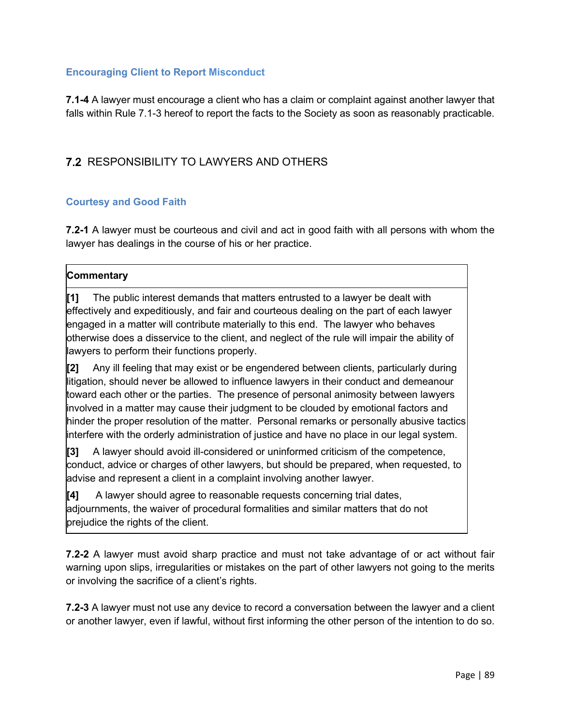# **Encouraging Client to Report Misconduct**

**7.1-4** A lawyer must encourage a client who has a claim or complaint against another lawyer that falls within Rule 7.1-3 hereof to report the facts to the Society as soon as reasonably practicable.

# 7.2 RESPONSIBILITY TO LAWYERS AND OTHERS

# **Courtesy and Good Faith**

**7.2-1** A lawyer must be courteous and civil and act in good faith with all persons with whom the lawyer has dealings in the course of his or her practice.

# **Commentary**

**[1]** The public interest demands that matters entrusted to a lawyer be dealt with effectively and expeditiously, and fair and courteous dealing on the part of each lawyer engaged in a matter will contribute materially to this end. The lawyer who behaves otherwise does a disservice to the client, and neglect of the rule will impair the ability of lawyers to perform their functions properly.

**[2]** Any ill feeling that may exist or be engendered between clients, particularly during litigation, should never be allowed to influence lawyers in their conduct and demeanour toward each other or the parties. The presence of personal animosity between lawyers involved in a matter may cause their judgment to be clouded by emotional factors and hinder the proper resolution of the matter. Personal remarks or personally abusive tactics interfere with the orderly administration of justice and have no place in our legal system.

**[3]** A lawyer should avoid ill-considered or uninformed criticism of the competence, conduct, advice or charges of other lawyers, but should be prepared, when requested, to advise and represent a client in a complaint involving another lawyer.

**[4]** A lawyer should agree to reasonable requests concerning trial dates, adjournments, the waiver of procedural formalities and similar matters that do not prejudice the rights of the client.

**7.2-2** A lawyer must avoid sharp practice and must not take advantage of or act without fair warning upon slips, irregularities or mistakes on the part of other lawyers not going to the merits or involving the sacrifice of a client's rights.

**7.2-3** A lawyer must not use any device to record a conversation between the lawyer and a client or another lawyer, even if lawful, without first informing the other person of the intention to do so.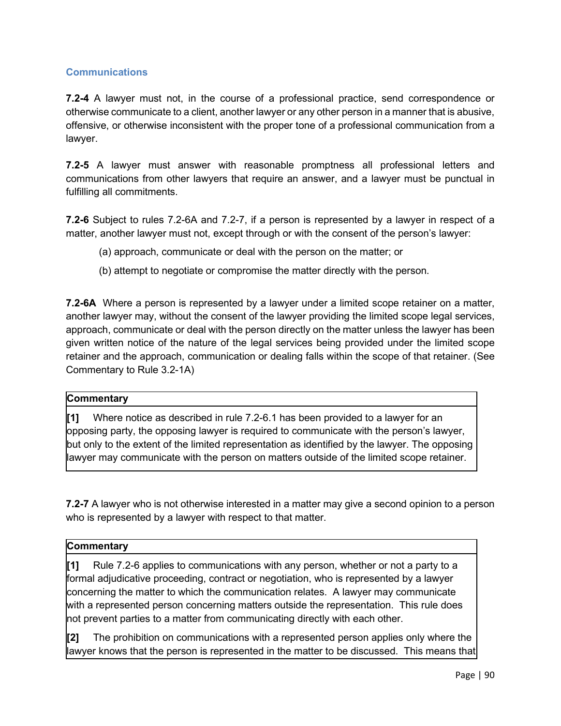# **Communications**

**7.2-4** A lawyer must not, in the course of a professional practice, send correspondence or otherwise communicate to a client, another lawyer or any other person in a manner that is abusive, offensive, or otherwise inconsistent with the proper tone of a professional communication from a lawyer.

**7.2-5** A lawyer must answer with reasonable promptness all professional letters and communications from other lawyers that require an answer, and a lawyer must be punctual in fulfilling all commitments.

**7.2-6** Subject to rules 7.2-6A and 7.2-7, if a person is represented by a lawyer in respect of a matter, another lawyer must not, except through or with the consent of the person's lawyer:

- (a) approach, communicate or deal with the person on the matter; or
- (b) attempt to negotiate or compromise the matter directly with the person.

**7.2-6A** Where a person is represented by a lawyer under a limited scope retainer on a matter, another lawyer may, without the consent of the lawyer providing the limited scope legal services, approach, communicate or deal with the person directly on the matter unless the lawyer has been given written notice of the nature of the legal services being provided under the limited scope retainer and the approach, communication or dealing falls within the scope of that retainer. (See Commentary to Rule 3.2-1A)

#### **Commentary**

**[1]** Where notice as described in rule 7.2-6.1 has been provided to a lawyer for an opposing party, the opposing lawyer is required to communicate with the person's lawyer, but only to the extent of the limited representation as identified by the lawyer. The opposing lawyer may communicate with the person on matters outside of the limited scope retainer.

**7.2-7** A lawyer who is not otherwise interested in a matter may give a second opinion to a person who is represented by a lawyer with respect to that matter.

# **Commentary**

**[1]** Rule 7.2-6 applies to communications with any person, whether or not a party to a formal adjudicative proceeding, contract or negotiation, who is represented by a lawyer concerning the matter to which the communication relates. A lawyer may communicate with a represented person concerning matters outside the representation. This rule does not prevent parties to a matter from communicating directly with each other.

**[2]** The prohibition on communications with a represented person applies only where the lawyer knows that the person is represented in the matter to be discussed. This means that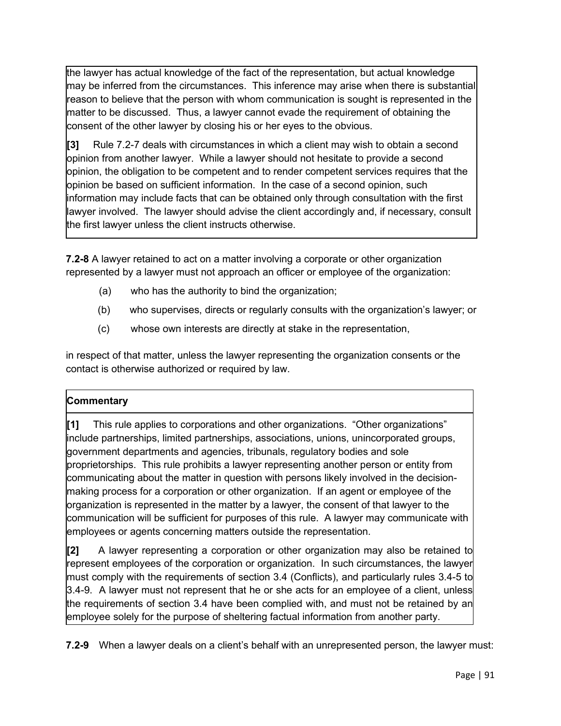the lawyer has actual knowledge of the fact of the representation, but actual knowledge may be inferred from the circumstances. This inference may arise when there is substantial reason to believe that the person with whom communication is sought is represented in the matter to be discussed. Thus, a lawyer cannot evade the requirement of obtaining the consent of the other lawyer by closing his or her eyes to the obvious.

**[3]** Rule 7.2-7 deals with circumstances in which a client may wish to obtain a second opinion from another lawyer. While a lawyer should not hesitate to provide a second opinion, the obligation to be competent and to render competent services requires that the opinion be based on sufficient information. In the case of a second opinion, such information may include facts that can be obtained only through consultation with the first lawyer involved. The lawyer should advise the client accordingly and, if necessary, consult the first lawyer unless the client instructs otherwise.

**7.2-8** A lawyer retained to act on a matter involving a corporate or other organization represented by a lawyer must not approach an officer or employee of the organization:

- (a) who has the authority to bind the organization;
- (b) who supervises, directs or regularly consults with the organization's lawyer; or
- (c) whose own interests are directly at stake in the representation,

in respect of that matter, unless the lawyer representing the organization consents or the contact is otherwise authorized or required by law.

# **Commentary**

**[1]** This rule applies to corporations and other organizations. "Other organizations" include partnerships, limited partnerships, associations, unions, unincorporated groups, government departments and agencies, tribunals, regulatory bodies and sole proprietorships. This rule prohibits a lawyer representing another person or entity from communicating about the matter in question with persons likely involved in the decisionmaking process for a corporation or other organization. If an agent or employee of the organization is represented in the matter by a lawyer, the consent of that lawyer to the communication will be sufficient for purposes of this rule. A lawyer may communicate with employees or agents concerning matters outside the representation.

**[2]** A lawyer representing a corporation or other organization may also be retained to represent employees of the corporation or organization. In such circumstances, the lawyer must comply with the requirements of section 3.4 (Conflicts), and particularly rules 3.4-5 to 3.4-9. A lawyer must not represent that he or she acts for an employee of a client, unless the requirements of section 3.4 have been complied with, and must not be retained by an employee solely for the purpose of sheltering factual information from another party.

**7.2-9** When a lawyer deals on a client's behalf with an unrepresented person, the lawyer must: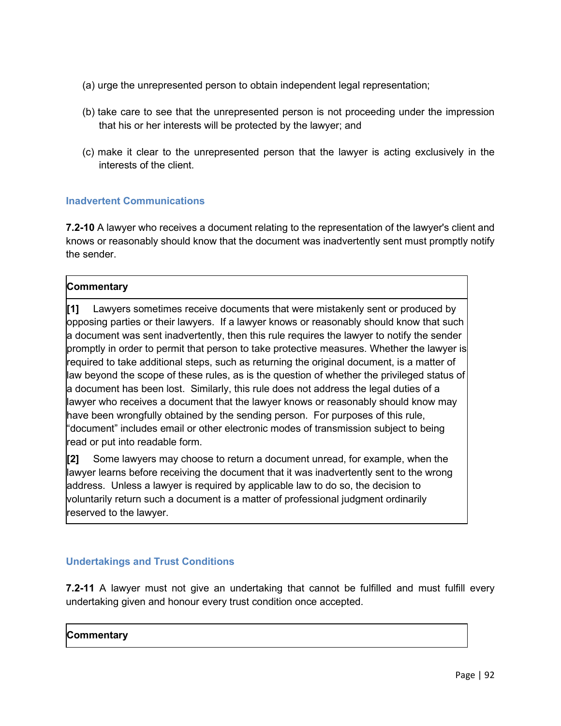- (a) urge the unrepresented person to obtain independent legal representation;
- (b) take care to see that the unrepresented person is not proceeding under the impression that his or her interests will be protected by the lawyer; and
- (c) make it clear to the unrepresented person that the lawyer is acting exclusively in the interests of the client.

# **Inadvertent Communications**

**7.2-10** A lawyer who receives a document relating to the representation of the lawyer's client and knows or reasonably should know that the document was inadvertently sent must promptly notify the sender

# **Commentary**

**[1]** Lawyers sometimes receive documents that were mistakenly sent or produced by opposing parties or their lawyers. If a lawyer knows or reasonably should know that such a document was sent inadvertently, then this rule requires the lawyer to notify the sender promptly in order to permit that person to take protective measures. Whether the lawyer is required to take additional steps, such as returning the original document, is a matter of law beyond the scope of these rules, as is the question of whether the privileged status of a document has been lost. Similarly, this rule does not address the legal duties of a lawyer who receives a document that the lawyer knows or reasonably should know may have been wrongfully obtained by the sending person. For purposes of this rule, "document" includes email or other electronic modes of transmission subject to being read or put into readable form.

**[2]** Some lawyers may choose to return a document unread, for example, when the lawyer learns before receiving the document that it was inadvertently sent to the wrong address. Unless a lawyer is required by applicable law to do so, the decision to voluntarily return such a document is a matter of professional judgment ordinarily reserved to the lawyer.

# **Undertakings and Trust Conditions**

**7.2-11** A lawyer must not give an undertaking that cannot be fulfilled and must fulfill every undertaking given and honour every trust condition once accepted.

#### **Commentary**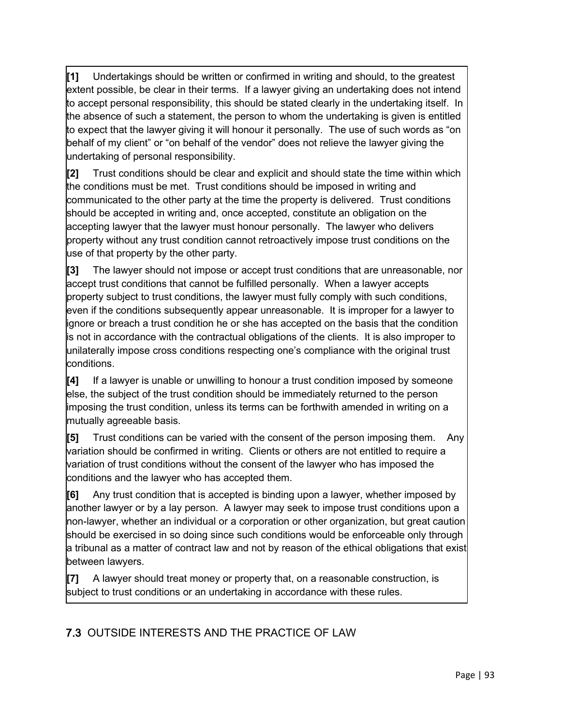**[1]** Undertakings should be written or confirmed in writing and should, to the greatest extent possible, be clear in their terms. If a lawyer giving an undertaking does not intend to accept personal responsibility, this should be stated clearly in the undertaking itself. In the absence of such a statement, the person to whom the undertaking is given is entitled to expect that the lawyer giving it will honour it personally. The use of such words as "on behalf of my client" or "on behalf of the vendor" does not relieve the lawyer giving the undertaking of personal responsibility.

**[2]** Trust conditions should be clear and explicit and should state the time within which the conditions must be met. Trust conditions should be imposed in writing and communicated to the other party at the time the property is delivered. Trust conditions should be accepted in writing and, once accepted, constitute an obligation on the accepting lawyer that the lawyer must honour personally. The lawyer who delivers property without any trust condition cannot retroactively impose trust conditions on the use of that property by the other party.

**[3]** The lawyer should not impose or accept trust conditions that are unreasonable, nor accept trust conditions that cannot be fulfilled personally. When a lawyer accepts property subject to trust conditions, the lawyer must fully comply with such conditions, even if the conditions subsequently appear unreasonable. It is improper for a lawyer to ignore or breach a trust condition he or she has accepted on the basis that the condition is not in accordance with the contractual obligations of the clients. It is also improper to unilaterally impose cross conditions respecting one's compliance with the original trust conditions.

**[4]** If a lawyer is unable or unwilling to honour a trust condition imposed by someone else, the subject of the trust condition should be immediately returned to the person imposing the trust condition, unless its terms can be forthwith amended in writing on a mutually agreeable basis.

**[5]** Trust conditions can be varied with the consent of the person imposing them. Any variation should be confirmed in writing. Clients or others are not entitled to require a variation of trust conditions without the consent of the lawyer who has imposed the conditions and the lawyer who has accepted them.

**[6]** Any trust condition that is accepted is binding upon a lawyer, whether imposed by another lawyer or by a lay person. A lawyer may seek to impose trust conditions upon a non-lawyer, whether an individual or a corporation or other organization, but great caution should be exercised in so doing since such conditions would be enforceable only through a tribunal as a matter of contract law and not by reason of the ethical obligations that exist between lawyers.

**[7]** A lawyer should treat money or property that, on a reasonable construction, is subject to trust conditions or an undertaking in accordance with these rules.

# 7.3 OUTSIDE INTERESTS AND THE PRACTICE OF LAW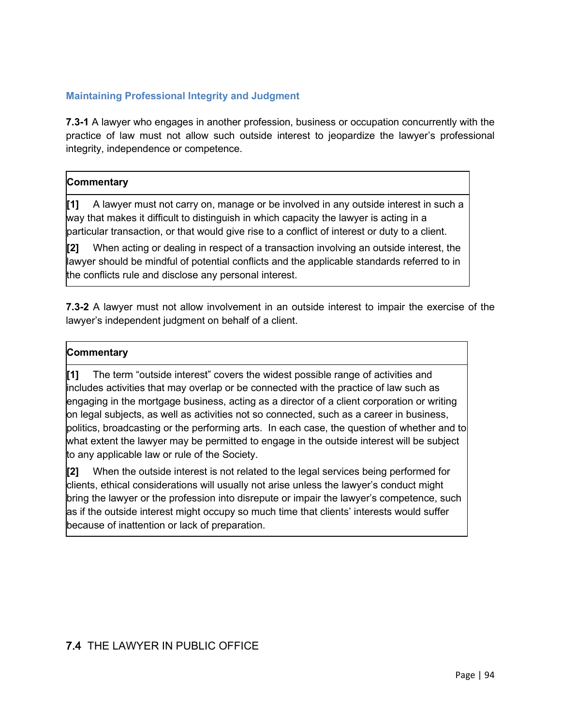# **Maintaining Professional Integrity and Judgment**

**7.3-1** A lawyer who engages in another profession, business or occupation concurrently with the practice of law must not allow such outside interest to jeopardize the lawyer's professional integrity, independence or competence.

# **Commentary**

**[1]** A lawyer must not carry on, manage or be involved in any outside interest in such a way that makes it difficult to distinguish in which capacity the lawyer is acting in a particular transaction, or that would give rise to a conflict of interest or duty to a client.

**[2]** When acting or dealing in respect of a transaction involving an outside interest, the lawyer should be mindful of potential conflicts and the applicable standards referred to in the conflicts rule and disclose any personal interest.

**7.3-2** A lawyer must not allow involvement in an outside interest to impair the exercise of the lawyer's independent judgment on behalf of a client.

# **Commentary**

**[1]** The term "outside interest" covers the widest possible range of activities and includes activities that may overlap or be connected with the practice of law such as engaging in the mortgage business, acting as a director of a client corporation or writing on legal subjects, as well as activities not so connected, such as a career in business, politics, broadcasting or the performing arts. In each case, the question of whether and to what extent the lawyer may be permitted to engage in the outside interest will be subject to any applicable law or rule of the Society.

**[2]** When the outside interest is not related to the legal services being performed for clients, ethical considerations will usually not arise unless the lawyer's conduct might bring the lawyer or the profession into disrepute or impair the lawyer's competence, such as if the outside interest might occupy so much time that clients' interests would suffer because of inattention or lack of preparation.

# 7.4 THE LAWYER IN PUBLIC OFFICE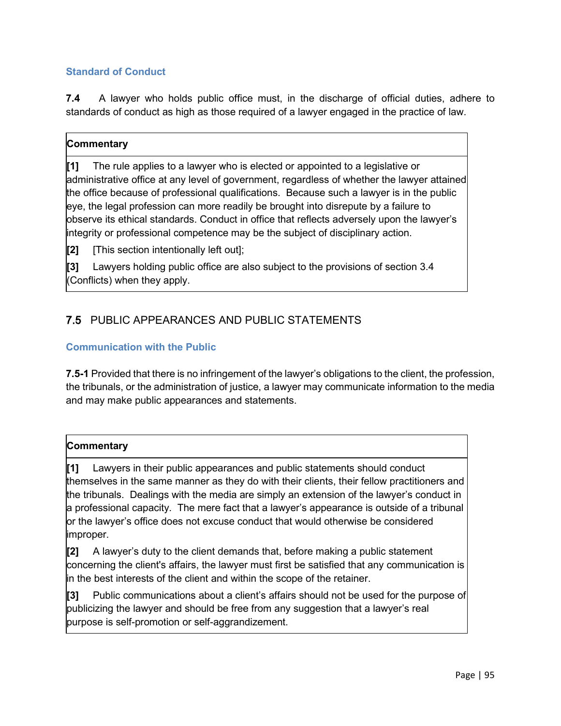# **Standard of Conduct**

**7.4** A lawyer who holds public office must, in the discharge of official duties, adhere to standards of conduct as high as those required of a lawyer engaged in the practice of law.

# **Commentary**

**[1]** The rule applies to a lawyer who is elected or appointed to a legislative or administrative office at any level of government, regardless of whether the lawyer attained the office because of professional qualifications. Because such a lawyer is in the public eye, the legal profession can more readily be brought into disrepute by a failure to observe its ethical standards. Conduct in office that reflects adversely upon the lawyer's integrity or professional competence may be the subject of disciplinary action.

**[2]** [This section intentionally left out];

**[3]** Lawyers holding public office are also subject to the provisions of section 3.4 (Conflicts) when they apply.

# 7.5 PUBLIC APPEARANCES AND PUBLIC STATEMENTS

# **Communication with the Public**

**7.5-1** Provided that there is no infringement of the lawyer's obligations to the client, the profession, the tribunals, or the administration of justice, a lawyer may communicate information to the media and may make public appearances and statements.

# **Commentary**

**[1]** Lawyers in their public appearances and public statements should conduct themselves in the same manner as they do with their clients, their fellow practitioners and the tribunals. Dealings with the media are simply an extension of the lawyer's conduct in a professional capacity. The mere fact that a lawyer's appearance is outside of a tribunal or the lawyer's office does not excuse conduct that would otherwise be considered improper.

**[2]** A lawyer's duty to the client demands that, before making a public statement concerning the client's affairs, the lawyer must first be satisfied that any communication is in the best interests of the client and within the scope of the retainer.

**[3]** Public communications about a client's affairs should not be used for the purpose of publicizing the lawyer and should be free from any suggestion that a lawyer's real purpose is self-promotion or self-aggrandizement.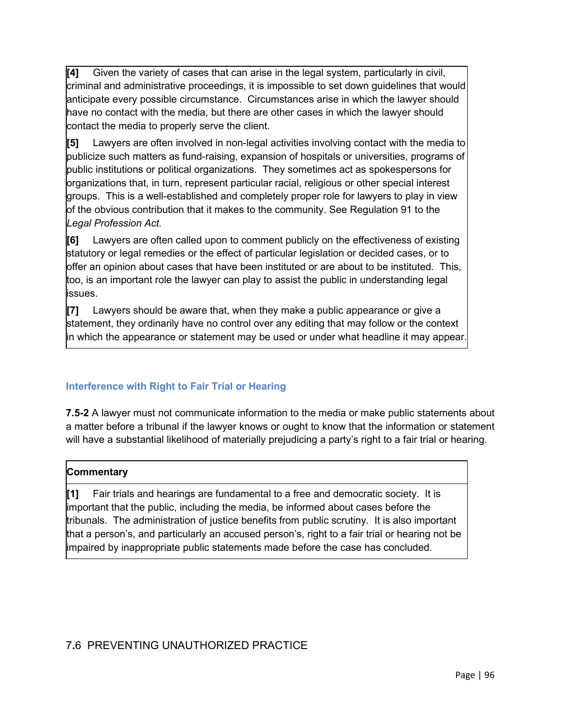**[4]** Given the variety of cases that can arise in the legal system, particularly in civil, criminal and administrative proceedings, it is impossible to set down guidelines that would anticipate every possible circumstance. Circumstances arise in which the lawyer should have no contact with the media, but there are other cases in which the lawyer should contact the media to properly serve the client.

**[5]** Lawyers are often involved in non-legal activities involving contact with the media to publicize such matters as fund-raising, expansion of hospitals or universities, programs of public institutions or political organizations. They sometimes act as spokespersons for organizations that, in turn, represent particular racial, religious or other special interest groups. This is a well-established and completely proper role for lawyers to play in view of the obvious contribution that it makes to the community. See Regulation 91 to the *Legal Profession Act.*

**[6]** Lawyers are often called upon to comment publicly on the effectiveness of existing statutory or legal remedies or the effect of particular legislation or decided cases, or to offer an opinion about cases that have been instituted or are about to be instituted. This, too, is an important role the lawyer can play to assist the public in understanding legal issues.

**[7]** Lawyers should be aware that, when they make a public appearance or give a statement, they ordinarily have no control over any editing that may follow or the context in which the appearance or statement may be used or under what headline it may appear.

# **Interference with Right to Fair Trial or Hearing**

**7.5-2** A lawyer must not communicate information to the media or make public statements about a matter before a tribunal if the lawyer knows or ought to know that the information or statement will have a substantial likelihood of materially prejudicing a party's right to a fair trial or hearing.

# **Commentary**

**[1]** Fair trials and hearings are fundamental to a free and democratic society. It is important that the public, including the media, be informed about cases before the tribunals. The administration of justice benefits from public scrutiny. It is also important that a person's, and particularly an accused person's, right to a fair trial or hearing not be impaired by inappropriate public statements made before the case has concluded.

# 7**.**6 PREVENTING UNAUTHORIZED PRACTICE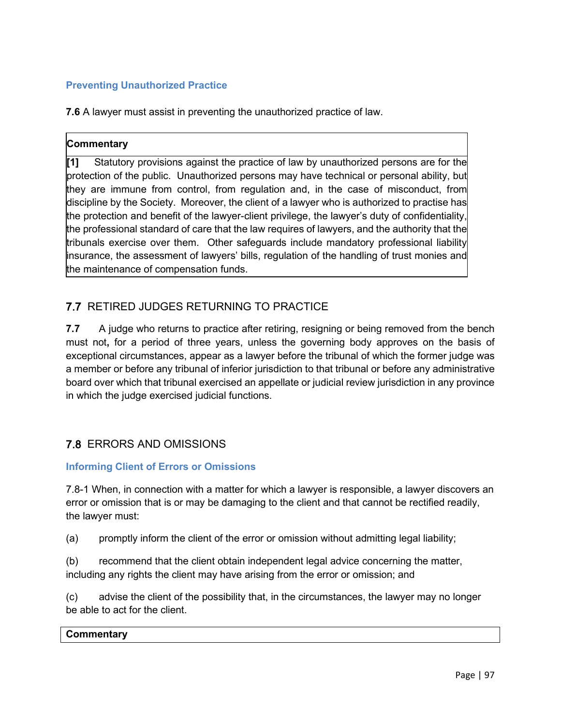# **Preventing Unauthorized Practice**

**7.6** A lawyer must assist in preventing the unauthorized practice of law.

# **Commentary**

**[1]** Statutory provisions against the practice of law by unauthorized persons are for the protection of the public. Unauthorized persons may have technical or personal ability, but they are immune from control, from regulation and, in the case of misconduct, from discipline by the Society. Moreover, the client of a lawyer who is authorized to practise has the protection and benefit of the lawyer-client privilege, the lawyer's duty of confidentiality, the professional standard of care that the law requires of lawyers, and the authority that the tribunals exercise over them. Other safeguards include mandatory professional liability insurance, the assessment of lawyers' bills, regulation of the handling of trust monies and the maintenance of compensation funds.

# 7.7 RETIRED JUDGES RETURNING TO PRACTICE

**7.7** A judge who returns to practice after retiring, resigning or being removed from the bench must not**,** for a period of three years, unless the governing body approves on the basis of exceptional circumstances, appear as a lawyer before the tribunal of which the former judge was a member or before any tribunal of inferior jurisdiction to that tribunal or before any administrative board over which that tribunal exercised an appellate or judicial review jurisdiction in any province in which the judge exercised judicial functions.

# 7.8 ERRORS AND OMISSIONS

# **Informing Client of Errors or Omissions**

7.8-1 When, in connection with a matter for which a lawyer is responsible, a lawyer discovers an error or omission that is or may be damaging to the client and that cannot be rectified readily, the lawyer must:

(a) promptly inform the client of the error or omission without admitting legal liability;

(b) recommend that the client obtain independent legal advice concerning the matter, including any rights the client may have arising from the error or omission; and

(c) advise the client of the possibility that, in the circumstances, the lawyer may no longer be able to act for the client.

# **Commentary**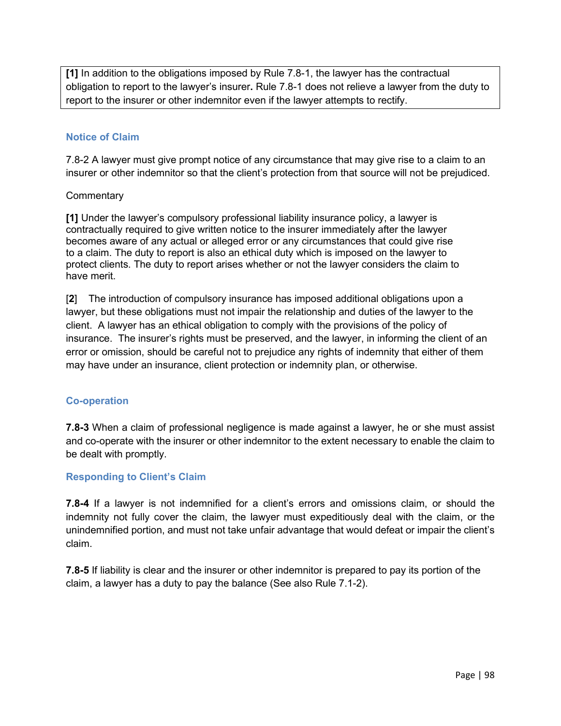**[1]** In addition to the obligations imposed by Rule 7.8-1, the lawyer has the contractual obligation to report to the lawyer's insurer**.** Rule 7.8-1 does not relieve a lawyer from the duty to report to the insurer or other indemnitor even if the lawyer attempts to rectify.

# **Notice of Claim**

7.8-2 A lawyer must give prompt notice of any circumstance that may give rise to a claim to an insurer or other indemnitor so that the client's protection from that source will not be prejudiced.

#### **Commentary**

**[1]** Under the lawyer's compulsory professional liability insurance policy, a lawyer is contractually required to give written notice to the insurer immediately after the lawyer becomes aware of any actual or alleged error or any circumstances that could give rise to a claim. The duty to report is also an ethical duty which is imposed on the lawyer to protect clients. The duty to report arises whether or not the lawyer considers the claim to have merit.

[**2**] The introduction of compulsory insurance has imposed additional obligations upon a lawyer, but these obligations must not impair the relationship and duties of the lawyer to the client. A lawyer has an ethical obligation to comply with the provisions of the policy of insurance. The insurer's rights must be preserved, and the lawyer, in informing the client of an error or omission, should be careful not to prejudice any rights of indemnity that either of them may have under an insurance, client protection or indemnity plan, or otherwise.

# **Co-operation**

**7.8-3** When a claim of professional negligence is made against a lawyer, he or she must assist and co-operate with the insurer or other indemnitor to the extent necessary to enable the claim to be dealt with promptly.

# **Responding to Client's Claim**

**7.8-4** If a lawyer is not indemnified for a client's errors and omissions claim, or should the indemnity not fully cover the claim, the lawyer must expeditiously deal with the claim, or the unindemnified portion, and must not take unfair advantage that would defeat or impair the client's claim.

**7.8-5** If liability is clear and the insurer or other indemnitor is prepared to pay its portion of the claim, a lawyer has a duty to pay the balance (See also Rule 7.1-2).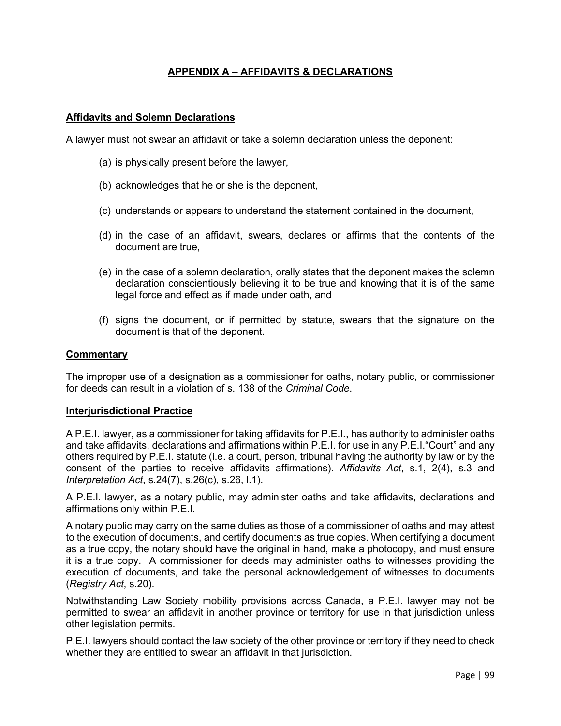# **APPENDIX A – AFFIDAVITS & DECLARATIONS**

#### **Affidavits and Solemn Declarations**

A lawyer must not swear an affidavit or take a solemn declaration unless the deponent:

- (a) is physically present before the lawyer,
- (b) acknowledges that he or she is the deponent,
- (c) understands or appears to understand the statement contained in the document,
- (d) in the case of an affidavit, swears, declares or affirms that the contents of the document are true,
- (e) in the case of a solemn declaration, orally states that the deponent makes the solemn declaration conscientiously believing it to be true and knowing that it is of the same legal force and effect as if made under oath, and
- (f) signs the document, or if permitted by statute, swears that the signature on the document is that of the deponent.

#### **Commentary**

The improper use of a designation as a commissioner for oaths, notary public, or commissioner for deeds can result in a violation of s. 138 of the *Criminal Code*.

#### **Interjurisdictional Practice**

A P.E.I. lawyer, as a commissioner for taking affidavits for P.E.I., has authority to administer oaths and take affidavits, declarations and affirmations within P.E.I. for use in any P.E.I."Court" and any others required by P.E.I. statute (i.e. a court, person, tribunal having the authority by law or by the consent of the parties to receive affidavits affirmations). *Affidavits Act*, s.1, 2(4), s.3 and *Interpretation Act*, s.24(7), s.26(c), s.26, l.1).

A P.E.I. lawyer, as a notary public, may administer oaths and take affidavits, declarations and affirmations only within P.E.I.

A notary public may carry on the same duties as those of a commissioner of oaths and may attest to the execution of documents, and certify documents as true copies. When certifying a document as a true copy, the notary should have the original in hand, make a photocopy, and must ensure it is a true copy. A commissioner for deeds may administer oaths to witnesses providing the execution of documents, and take the personal acknowledgement of witnesses to documents (*Registry Act*, s.20).

Notwithstanding Law Society mobility provisions across Canada, a P.E.I. lawyer may not be permitted to swear an affidavit in another province or territory for use in that jurisdiction unless other legislation permits.

P.E.I. lawyers should contact the law society of the other province or territory if they need to check whether they are entitled to swear an affidavit in that jurisdiction.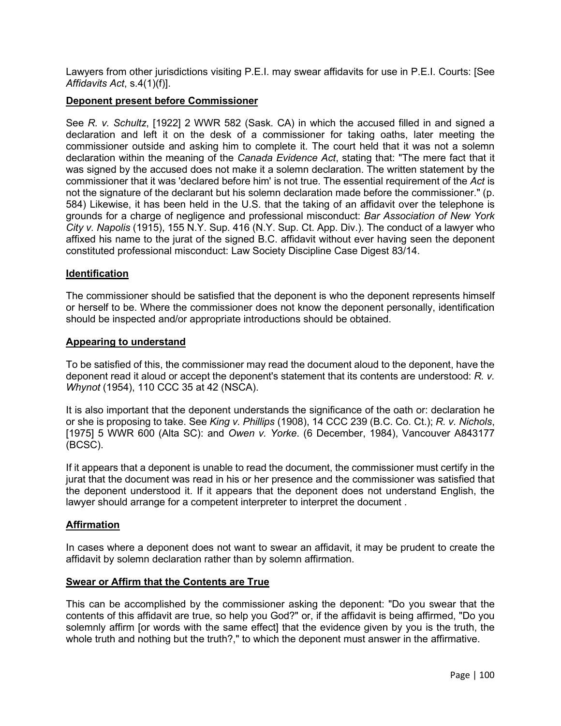Lawyers from other jurisdictions visiting P.E.I. may swear affidavits for use in P.E.I. Courts: [See *Affidavits Act*, s.4(1)(f)].

# **Deponent present before Commissioner**

See *R. v. Schultz*, [1922] 2 WWR 582 (Sask. CA) in which the accused filled in and signed a declaration and left it on the desk of a commissioner for taking oaths, later meeting the commissioner outside and asking him to complete it. The court held that it was not a solemn declaration within the meaning of the *Canada Evidence Act*, stating that: "The mere fact that it was signed by the accused does not make it a solemn declaration. The written statement by the commissioner that it was 'declared before him' is not true. The essential requirement of the *Act* is not the signature of the declarant but his solemn declaration made before the commissioner." (p. 584) Likewise, it has been held in the U.S. that the taking of an affidavit over the telephone is grounds for a charge of negligence and professional misconduct: *Bar Association of New York City v. Napolis* (1915), 155 N.Y. Sup. 416 (N.Y. Sup. Ct. App. Div.). The conduct of a lawyer who affixed his name to the jurat of the signed B.C. affidavit without ever having seen the deponent constituted professional misconduct: Law Society Discipline Case Digest 83/14.

# **Identification**

The commissioner should be satisfied that the deponent is who the deponent represents himself or herself to be. Where the commissioner does not know the deponent personally, identification should be inspected and/or appropriate introductions should be obtained.

#### **Appearing to understand**

To be satisfied of this, the commissioner may read the document aloud to the deponent, have the deponent read it aloud or accept the deponent's statement that its contents are understood: *R. v. Whynot* (1954), 110 CCC 35 at 42 (NSCA).

It is also important that the deponent understands the significance of the oath or: declaration he or she is proposing to take. See *King v. Phillips* (1908), 14 CCC 239 (B.C. Co. Ct.); *R. v. Nichols*, [1975] 5 WWR 600 (Alta SC): and *Owen v. Yorke*. (6 December, 1984), Vancouver A843177 (BCSC).

If it appears that a deponent is unable to read the document, the commissioner must certify in the jurat that the document was read in his or her presence and the commissioner was satisfied that the deponent understood it. If it appears that the deponent does not understand English, the lawyer should arrange for a competent interpreter to interpret the document .

# **Affirmation**

In cases where a deponent does not want to swear an affidavit, it may be prudent to create the affidavit by solemn declaration rather than by solemn affirmation.

# **Swear or Affirm that the Contents are True**

This can be accomplished by the commissioner asking the deponent: "Do you swear that the contents of this affidavit are true, so help you God?" or, if the affidavit is being affirmed, "Do you solemnly affirm [or words with the same effect] that the evidence given by you is the truth, the whole truth and nothing but the truth?," to which the deponent must answer in the affirmative.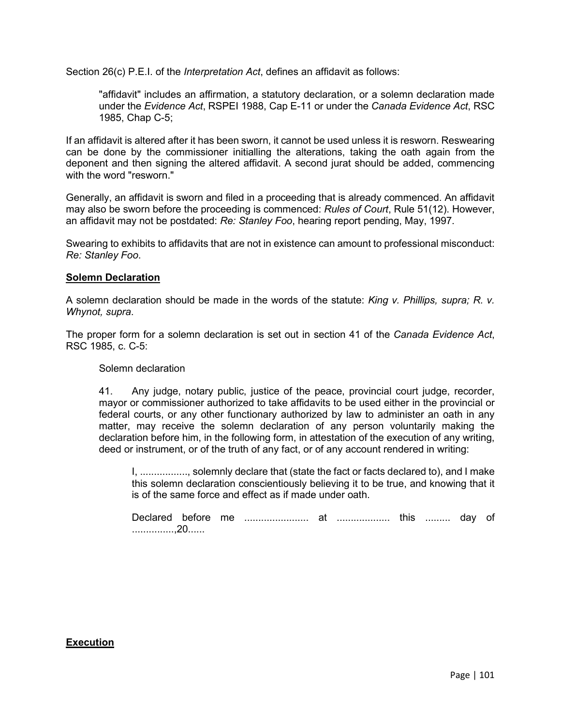Section 26(c) P.E.I. of the *Interpretation Act*, defines an affidavit as follows:

"affidavit" includes an affirmation, a statutory declaration, or a solemn declaration made under the *Evidence Act*, RSPEI 1988, Cap E-11 or under the *Canada Evidence Act*, RSC 1985, Chap C-5;

If an affidavit is altered after it has been sworn, it cannot be used unless it is resworn. Reswearing can be done by the commissioner initialling the alterations, taking the oath again from the deponent and then signing the altered affidavit. A second jurat should be added, commencing with the word "resworn."

Generally, an affidavit is sworn and filed in a proceeding that is already commenced. An affidavit may also be sworn before the proceeding is commenced: *Rules of Court*, Rule 51(12). However, an affidavit may not be postdated: *Re: Stanley Foo*, hearing report pending, May, 1997.

Swearing to exhibits to affidavits that are not in existence can amount to professional misconduct: *Re: Stanley Foo*.

#### **Solemn Declaration**

A solemn declaration should be made in the words of the statute: *King v. Phillips, supra; R. v. Whynot, supra*.

The proper form for a solemn declaration is set out in section 41 of the *Canada Evidence Act*, RSC 1985, c. C-5:

#### Solemn declaration

41. Any judge, notary public, justice of the peace, provincial court judge, recorder, mayor or commissioner authorized to take affidavits to be used either in the provincial or federal courts, or any other functionary authorized by law to administer an oath in any matter, may receive the solemn declaration of any person voluntarily making the declaration before him, in the following form, in attestation of the execution of any writing, deed or instrument, or of the truth of any fact, or of any account rendered in writing:

I, ................., solemnly declare that (state the fact or facts declared to), and I make this solemn declaration conscientiously believing it to be true, and knowing that it is of the same force and effect as if made under oath.

Declared before me ....................... at ................... this ......... day of ...............,20......

#### **Execution**